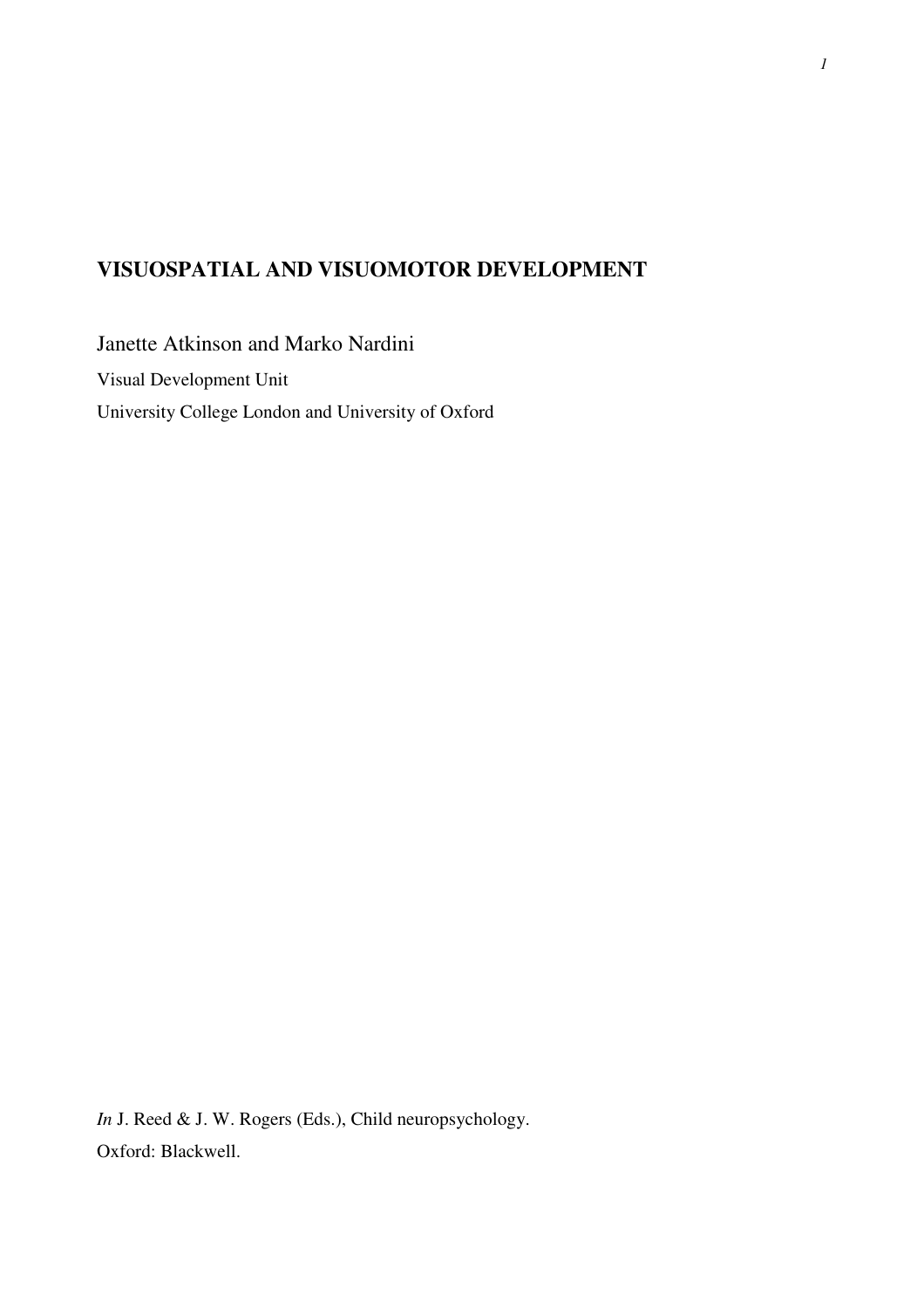# **VISUOSPATIAL AND VISUOMOTOR DEVELOPMENT**

Janette Atkinson and Marko Nardini Visual Development Unit University College London and University of Oxford

*In* J. Reed & J. W. Rogers (Eds.), Child neuropsychology. Oxford: Blackwell.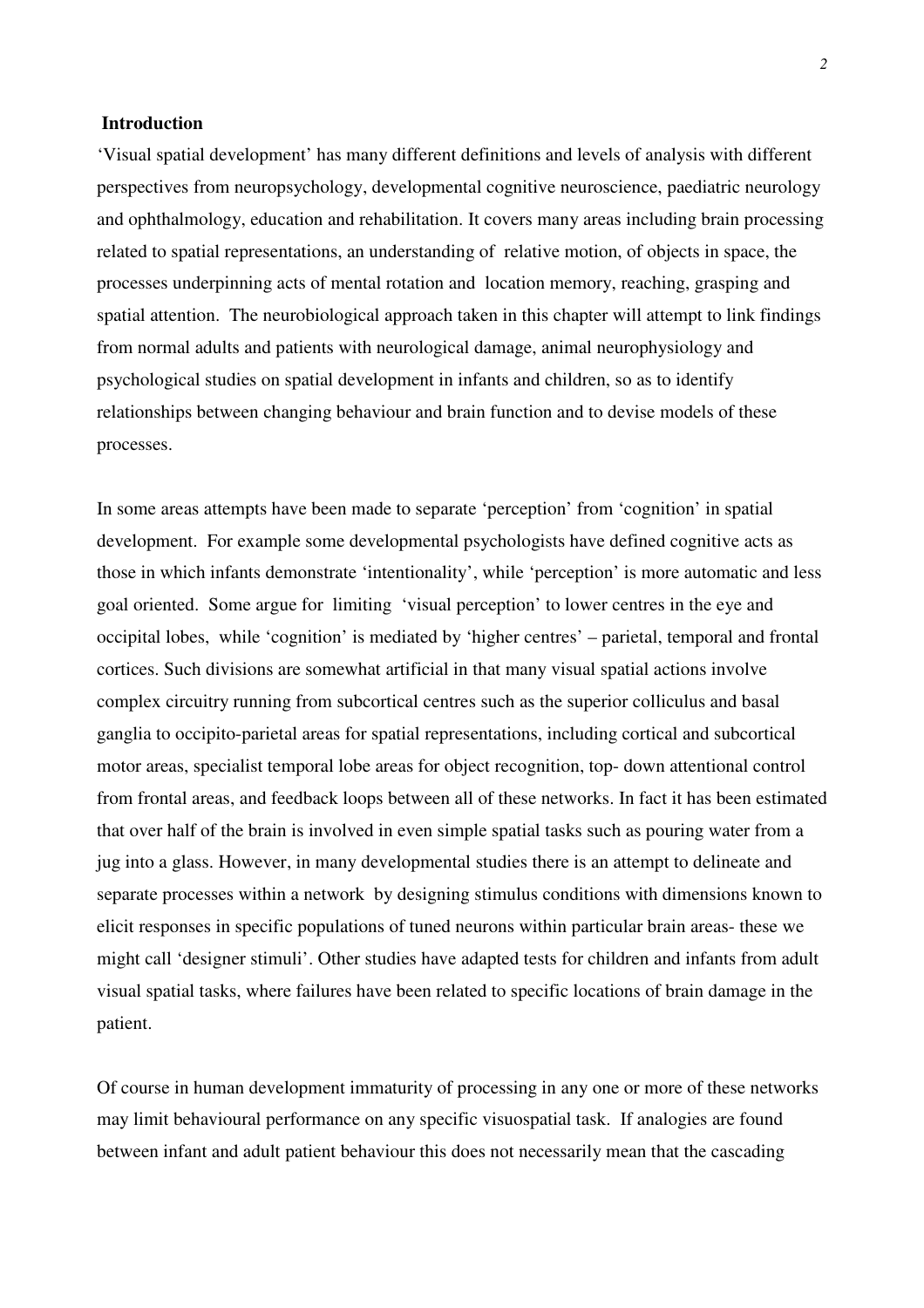## **Introduction**

'Visual spatial development' has many different definitions and levels of analysis with different perspectives from neuropsychology, developmental cognitive neuroscience, paediatric neurology and ophthalmology, education and rehabilitation. It covers many areas including brain processing related to spatial representations, an understanding of relative motion, of objects in space, the processes underpinning acts of mental rotation and location memory, reaching, grasping and spatial attention. The neurobiological approach taken in this chapter will attempt to link findings from normal adults and patients with neurological damage, animal neurophysiology and psychological studies on spatial development in infants and children, so as to identify relationships between changing behaviour and brain function and to devise models of these processes.

In some areas attempts have been made to separate 'perception' from 'cognition' in spatial development. For example some developmental psychologists have defined cognitive acts as those in which infants demonstrate 'intentionality', while 'perception' is more automatic and less goal oriented. Some argue for limiting 'visual perception' to lower centres in the eye and occipital lobes, while 'cognition' is mediated by 'higher centres' – parietal, temporal and frontal cortices. Such divisions are somewhat artificial in that many visual spatial actions involve complex circuitry running from subcortical centres such as the superior colliculus and basal ganglia to occipito-parietal areas for spatial representations, including cortical and subcortical motor areas, specialist temporal lobe areas for object recognition, top- down attentional control from frontal areas, and feedback loops between all of these networks. In fact it has been estimated that over half of the brain is involved in even simple spatial tasks such as pouring water from a jug into a glass. However, in many developmental studies there is an attempt to delineate and separate processes within a network by designing stimulus conditions with dimensions known to elicit responses in specific populations of tuned neurons within particular brain areas- these we might call 'designer stimuli'. Other studies have adapted tests for children and infants from adult visual spatial tasks, where failures have been related to specific locations of brain damage in the patient.

Of course in human development immaturity of processing in any one or more of these networks may limit behavioural performance on any specific visuospatial task. If analogies are found between infant and adult patient behaviour this does not necessarily mean that the cascading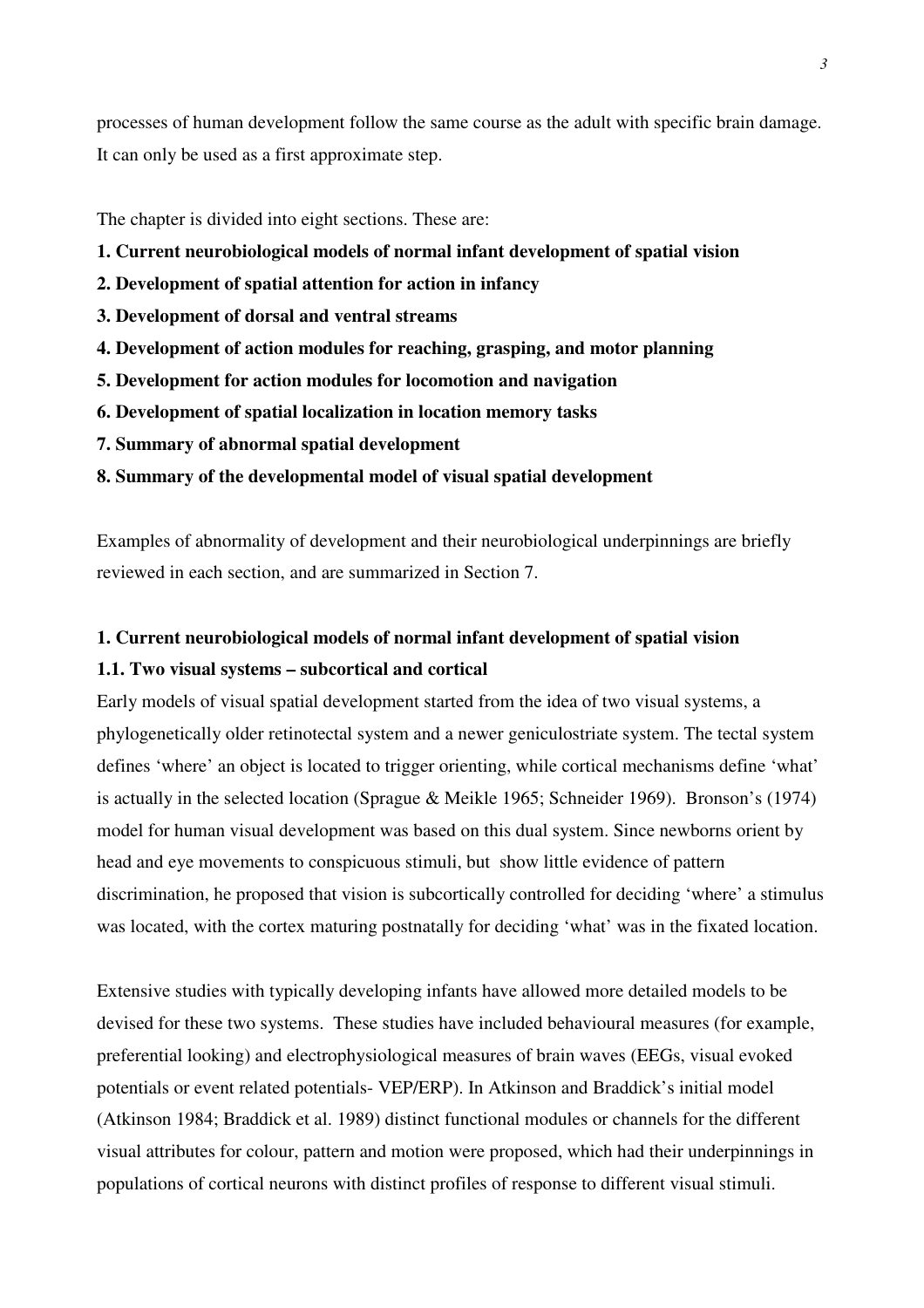processes of human development follow the same course as the adult with specific brain damage. It can only be used as a first approximate step.

The chapter is divided into eight sections. These are:

- **1. Current neurobiological models of normal infant development of spatial vision**
- **2. Development of spatial attention for action in infancy**
- **3. Development of dorsal and ventral streams**
- **4. Development of action modules for reaching, grasping, and motor planning**
- **5. Development for action modules for locomotion and navigation**
- **6. Development of spatial localization in location memory tasks**
- **7. Summary of abnormal spatial development**
- **8. Summary of the developmental model of visual spatial development**

Examples of abnormality of development and their neurobiological underpinnings are briefly reviewed in each section, and are summarized in Section 7.

# **1. Current neurobiological models of normal infant development of spatial vision 1.1. Two visual systems – subcortical and cortical**

Early models of visual spatial development started from the idea of two visual systems, a phylogenetically older retinotectal system and a newer geniculostriate system. The tectal system defines 'where' an object is located to trigger orienting, while cortical mechanisms define 'what' is actually in the selected location (Sprague & Meikle 1965; Schneider 1969). Bronson's (1974) model for human visual development was based on this dual system. Since newborns orient by head and eye movements to conspicuous stimuli, but show little evidence of pattern discrimination, he proposed that vision is subcortically controlled for deciding 'where' a stimulus was located, with the cortex maturing postnatally for deciding 'what' was in the fixated location.

Extensive studies with typically developing infants have allowed more detailed models to be devised for these two systems. These studies have included behavioural measures (for example, preferential looking) and electrophysiological measures of brain waves (EEGs, visual evoked potentials or event related potentials- VEP/ERP). In Atkinson and Braddick's initial model (Atkinson 1984; Braddick et al. 1989) distinct functional modules or channels for the different visual attributes for colour, pattern and motion were proposed, which had their underpinnings in populations of cortical neurons with distinct profiles of response to different visual stimuli.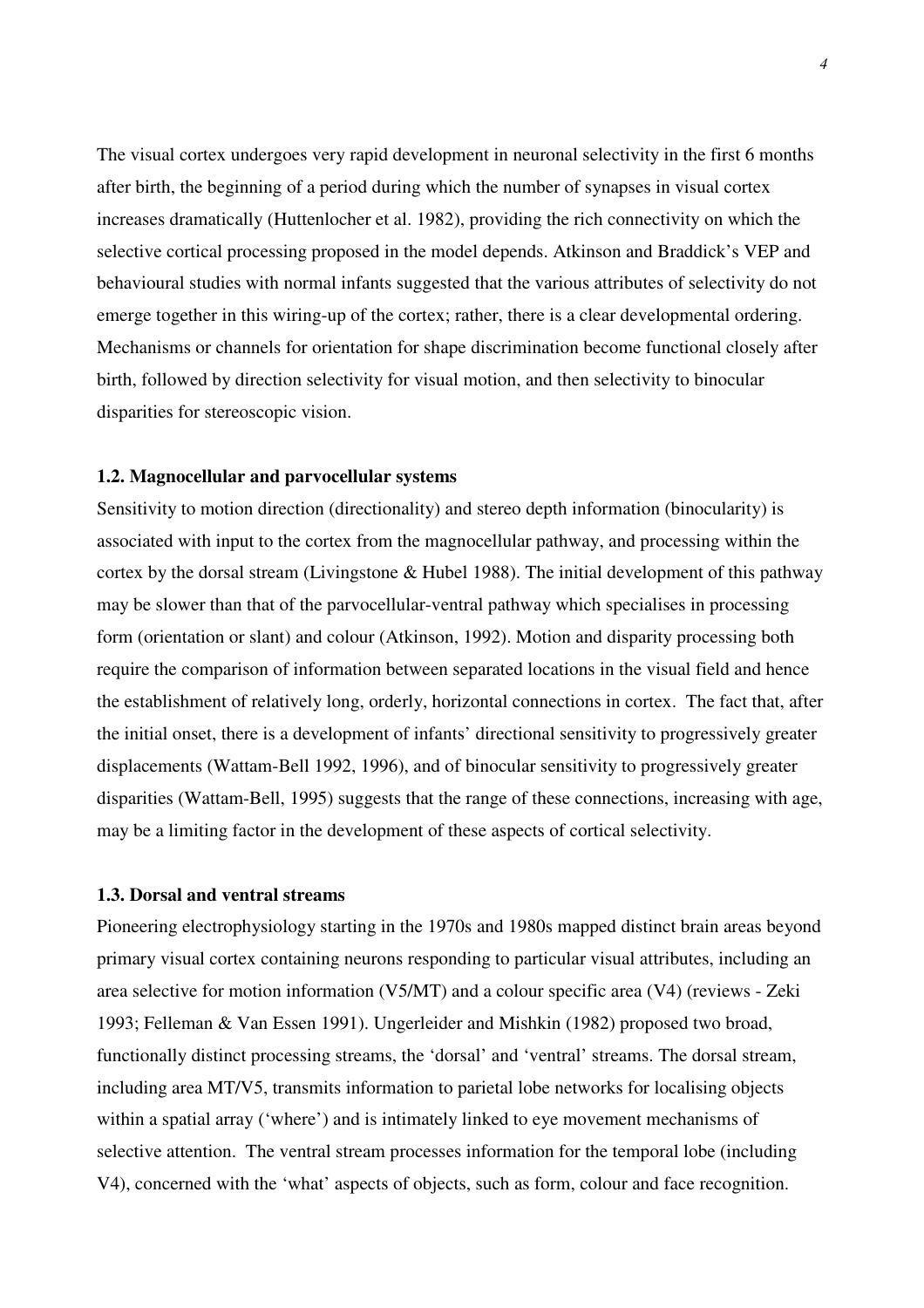The visual cortex undergoes very rapid development in neuronal selectivity in the first 6 months after birth, the beginning of a period during which the number of synapses in visual cortex increases dramatically (Huttenlocher et al. 1982), providing the rich connectivity on which the selective cortical processing proposed in the model depends. Atkinson and Braddick's VEP and behavioural studies with normal infants suggested that the various attributes of selectivity do not emerge together in this wiring-up of the cortex; rather, there is a clear developmental ordering. Mechanisms or channels for orientation for shape discrimination become functional closely after birth, followed by direction selectivity for visual motion, and then selectivity to binocular disparities for stereoscopic vision.

## **1.2. Magnocellular and parvocellular systems**

Sensitivity to motion direction (directionality) and stereo depth information (binocularity) is associated with input to the cortex from the magnocellular pathway, and processing within the cortex by the dorsal stream (Livingstone & Hubel 1988). The initial development of this pathway may be slower than that of the parvocellular-ventral pathway which specialises in processing form (orientation or slant) and colour (Atkinson, 1992). Motion and disparity processing both require the comparison of information between separated locations in the visual field and hence the establishment of relatively long, orderly, horizontal connections in cortex. The fact that, after the initial onset, there is a development of infants' directional sensitivity to progressively greater displacements (Wattam-Bell 1992, 1996), and of binocular sensitivity to progressively greater disparities (Wattam-Bell, 1995) suggests that the range of these connections, increasing with age, may be a limiting factor in the development of these aspects of cortical selectivity.

## **1.3. Dorsal and ventral streams**

Pioneering electrophysiology starting in the 1970s and 1980s mapped distinct brain areas beyond primary visual cortex containing neurons responding to particular visual attributes, including an area selective for motion information (V5/MT) and a colour specific area (V4) (reviews - Zeki 1993; Felleman & Van Essen 1991). Ungerleider and Mishkin (1982) proposed two broad, functionally distinct processing streams, the 'dorsal' and 'ventral' streams. The dorsal stream, including area MT/V5, transmits information to parietal lobe networks for localising objects within a spatial array ('where') and is intimately linked to eye movement mechanisms of selective attention. The ventral stream processes information for the temporal lobe (including V4), concerned with the 'what' aspects of objects, such as form, colour and face recognition.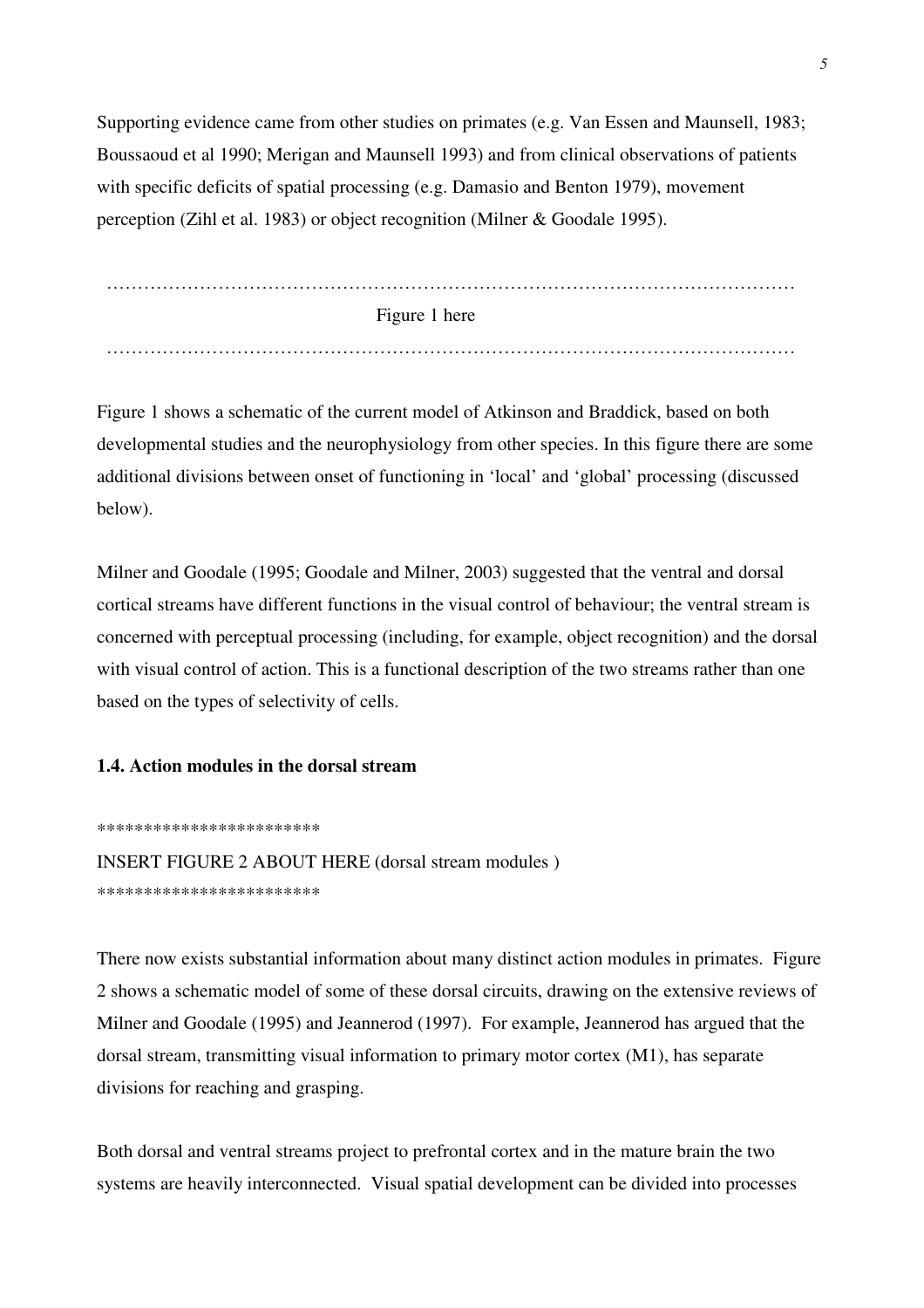Supporting evidence came from other studies on primates (e.g. Van Essen and Maunsell, 1983; Boussaoud et al 1990; Merigan and Maunsell 1993) and from clinical observations of patients with specific deficits of spatial processing (e.g. Damasio and Benton 1979), movement perception (Zihl et al. 1983) or object recognition (Milner & Goodale 1995).

 Figure 1 here …………………………………………………………………………………………………

Figure 1 shows a schematic of the current model of Atkinson and Braddick, based on both developmental studies and the neurophysiology from other species. In this figure there are some additional divisions between onset of functioning in 'local' and 'global' processing (discussed below).

Milner and Goodale (1995; Goodale and Milner, 2003) suggested that the ventral and dorsal cortical streams have different functions in the visual control of behaviour; the ventral stream is concerned with perceptual processing (including, for example, object recognition) and the dorsal with visual control of action. This is a functional description of the two streams rather than one based on the types of selectivity of cells.

## **1.4. Action modules in the dorsal stream**

\*\*\*\*\*\*\*\*\*\*\*\*\*\*\*\*\*\*\*\*\*\*\*\*

INSERT FIGURE 2 ABOUT HERE (dorsal stream modules ) \*\*\*\*\*\*\*\*\*\*\*\*\*\*\*\*\*\*\*\*\*\*\*\*

There now exists substantial information about many distinct action modules in primates. Figure 2 shows a schematic model of some of these dorsal circuits, drawing on the extensive reviews of Milner and Goodale (1995) and Jeannerod (1997). For example, Jeannerod has argued that the dorsal stream, transmitting visual information to primary motor cortex (M1), has separate divisions for reaching and grasping.

Both dorsal and ventral streams project to prefrontal cortex and in the mature brain the two systems are heavily interconnected. Visual spatial development can be divided into processes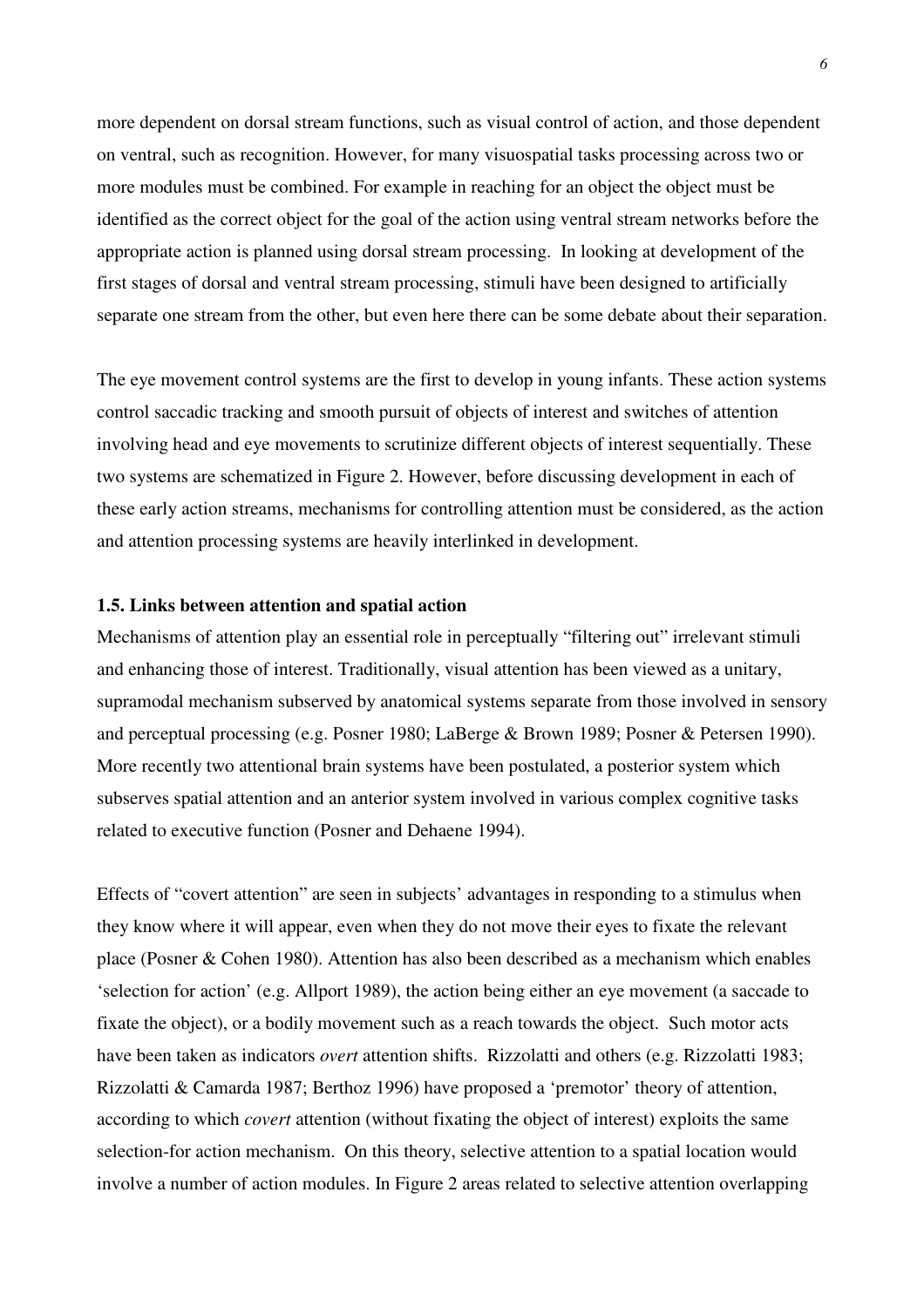more dependent on dorsal stream functions, such as visual control of action, and those dependent on ventral, such as recognition. However, for many visuospatial tasks processing across two or more modules must be combined. For example in reaching for an object the object must be identified as the correct object for the goal of the action using ventral stream networks before the appropriate action is planned using dorsal stream processing. In looking at development of the first stages of dorsal and ventral stream processing, stimuli have been designed to artificially separate one stream from the other, but even here there can be some debate about their separation.

The eye movement control systems are the first to develop in young infants. These action systems control saccadic tracking and smooth pursuit of objects of interest and switches of attention involving head and eye movements to scrutinize different objects of interest sequentially. These two systems are schematized in Figure 2. However, before discussing development in each of these early action streams, mechanisms for controlling attention must be considered, as the action and attention processing systems are heavily interlinked in development.

## **1.5. Links between attention and spatial action**

Mechanisms of attention play an essential role in perceptually "filtering out" irrelevant stimuli and enhancing those of interest. Traditionally, visual attention has been viewed as a unitary, supramodal mechanism subserved by anatomical systems separate from those involved in sensory and perceptual processing (e.g. Posner 1980; LaBerge & Brown 1989; Posner & Petersen 1990). More recently two attentional brain systems have been postulated, a posterior system which subserves spatial attention and an anterior system involved in various complex cognitive tasks related to executive function (Posner and Dehaene 1994).

Effects of "covert attention" are seen in subjects' advantages in responding to a stimulus when they know where it will appear, even when they do not move their eyes to fixate the relevant place (Posner & Cohen 1980). Attention has also been described as a mechanism which enables 'selection for action' (e.g. Allport 1989), the action being either an eye movement (a saccade to fixate the object), or a bodily movement such as a reach towards the object. Such motor acts have been taken as indicators *overt* attention shifts. Rizzolatti and others (e.g. Rizzolatti 1983; Rizzolatti & Camarda 1987; Berthoz 1996) have proposed a 'premotor' theory of attention, according to which *covert* attention (without fixating the object of interest) exploits the same selection-for action mechanism. On this theory, selective attention to a spatial location would involve a number of action modules. In Figure 2 areas related to selective attention overlapping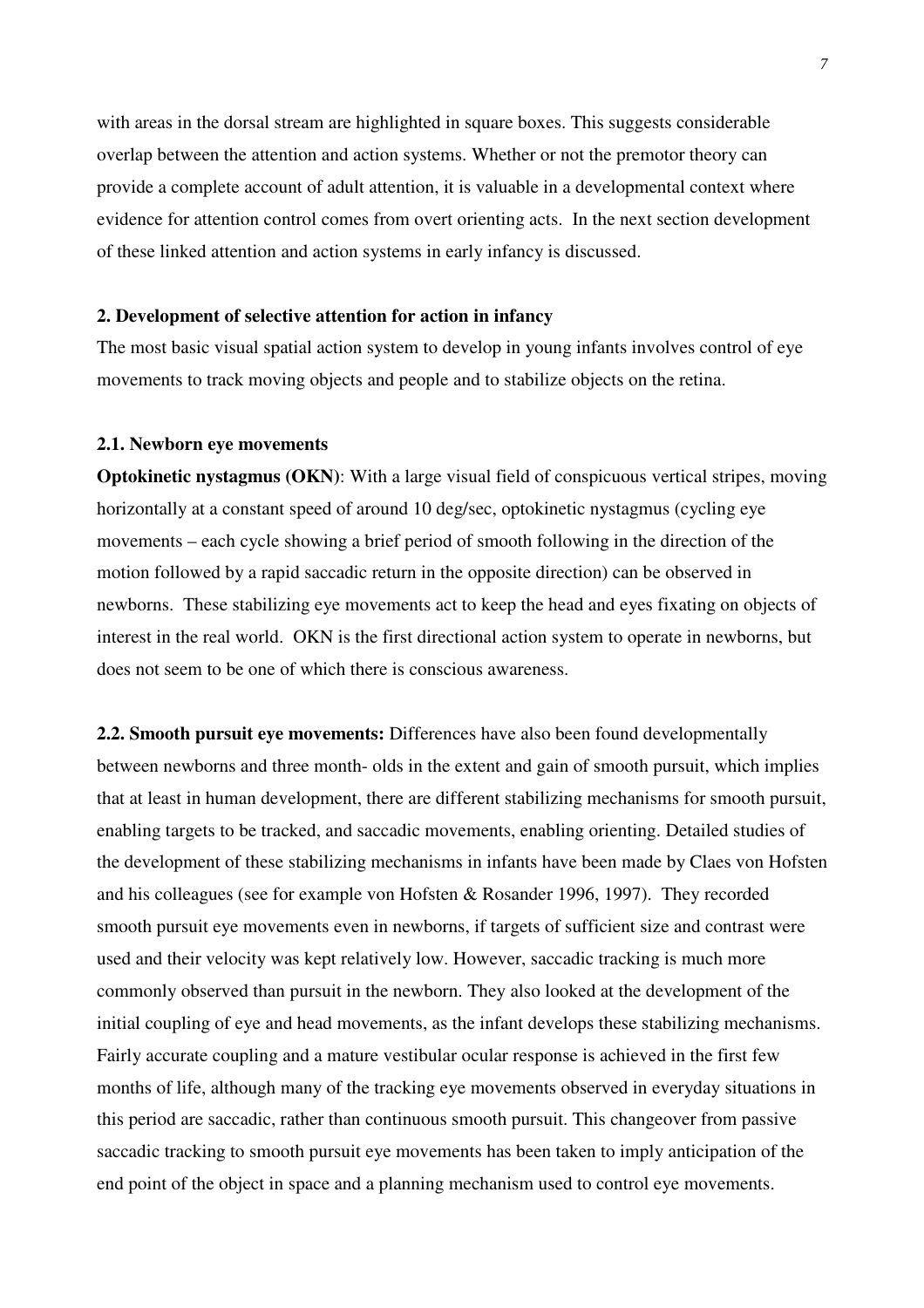with areas in the dorsal stream are highlighted in square boxes. This suggests considerable overlap between the attention and action systems. Whether or not the premotor theory can provide a complete account of adult attention, it is valuable in a developmental context where evidence for attention control comes from overt orienting acts. In the next section development of these linked attention and action systems in early infancy is discussed.

## **2. Development of selective attention for action in infancy**

The most basic visual spatial action system to develop in young infants involves control of eye movements to track moving objects and people and to stabilize objects on the retina.

#### **2.1. Newborn eye movements**

**Optokinetic nystagmus (OKN):** With a large visual field of conspicuous vertical stripes, moving horizontally at a constant speed of around 10 deg/sec, optokinetic nystagmus (cycling eye movements – each cycle showing a brief period of smooth following in the direction of the motion followed by a rapid saccadic return in the opposite direction) can be observed in newborns. These stabilizing eye movements act to keep the head and eyes fixating on objects of interest in the real world. OKN is the first directional action system to operate in newborns, but does not seem to be one of which there is conscious awareness.

**2.2. Smooth pursuit eye movements:** Differences have also been found developmentally between newborns and three month- olds in the extent and gain of smooth pursuit, which implies that at least in human development, there are different stabilizing mechanisms for smooth pursuit, enabling targets to be tracked, and saccadic movements, enabling orienting. Detailed studies of the development of these stabilizing mechanisms in infants have been made by Claes von Hofsten and his colleagues (see for example von Hofsten & Rosander 1996, 1997). They recorded smooth pursuit eye movements even in newborns, if targets of sufficient size and contrast were used and their velocity was kept relatively low. However, saccadic tracking is much more commonly observed than pursuit in the newborn. They also looked at the development of the initial coupling of eye and head movements, as the infant develops these stabilizing mechanisms. Fairly accurate coupling and a mature vestibular ocular response is achieved in the first few months of life, although many of the tracking eye movements observed in everyday situations in this period are saccadic, rather than continuous smooth pursuit. This changeover from passive saccadic tracking to smooth pursuit eye movements has been taken to imply anticipation of the end point of the object in space and a planning mechanism used to control eye movements.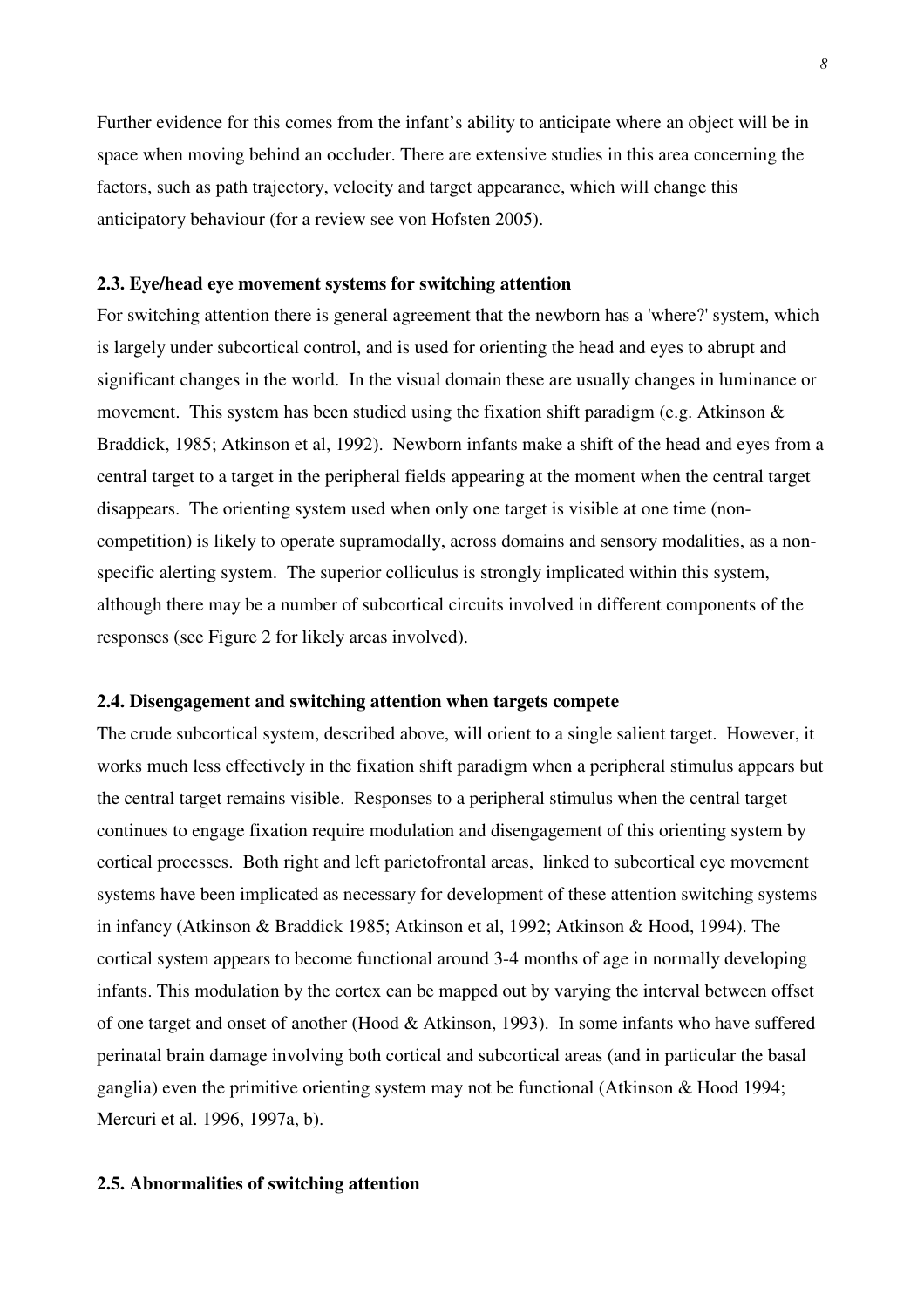Further evidence for this comes from the infant's ability to anticipate where an object will be in space when moving behind an occluder. There are extensive studies in this area concerning the factors, such as path trajectory, velocity and target appearance, which will change this anticipatory behaviour (for a review see von Hofsten 2005).

## **2.3. Eye/head eye movement systems for switching attention**

For switching attention there is general agreement that the newborn has a 'where?' system, which is largely under subcortical control, and is used for orienting the head and eyes to abrupt and significant changes in the world. In the visual domain these are usually changes in luminance or movement. This system has been studied using the fixation shift paradigm (e.g. Atkinson & Braddick, 1985; Atkinson et al, 1992). Newborn infants make a shift of the head and eyes from a central target to a target in the peripheral fields appearing at the moment when the central target disappears. The orienting system used when only one target is visible at one time (noncompetition) is likely to operate supramodally, across domains and sensory modalities, as a nonspecific alerting system. The superior colliculus is strongly implicated within this system, although there may be a number of subcortical circuits involved in different components of the responses (see Figure 2 for likely areas involved).

#### **2.4. Disengagement and switching attention when targets compete**

The crude subcortical system, described above, will orient to a single salient target. However, it works much less effectively in the fixation shift paradigm when a peripheral stimulus appears but the central target remains visible. Responses to a peripheral stimulus when the central target continues to engage fixation require modulation and disengagement of this orienting system by cortical processes. Both right and left parietofrontal areas, linked to subcortical eye movement systems have been implicated as necessary for development of these attention switching systems in infancy (Atkinson & Braddick 1985; Atkinson et al, 1992; Atkinson & Hood, 1994). The cortical system appears to become functional around 3-4 months of age in normally developing infants. This modulation by the cortex can be mapped out by varying the interval between offset of one target and onset of another (Hood & Atkinson, 1993). In some infants who have suffered perinatal brain damage involving both cortical and subcortical areas (and in particular the basal ganglia) even the primitive orienting system may not be functional (Atkinson & Hood 1994; Mercuri et al. 1996, 1997a, b).

## **2.5. Abnormalities of switching attention**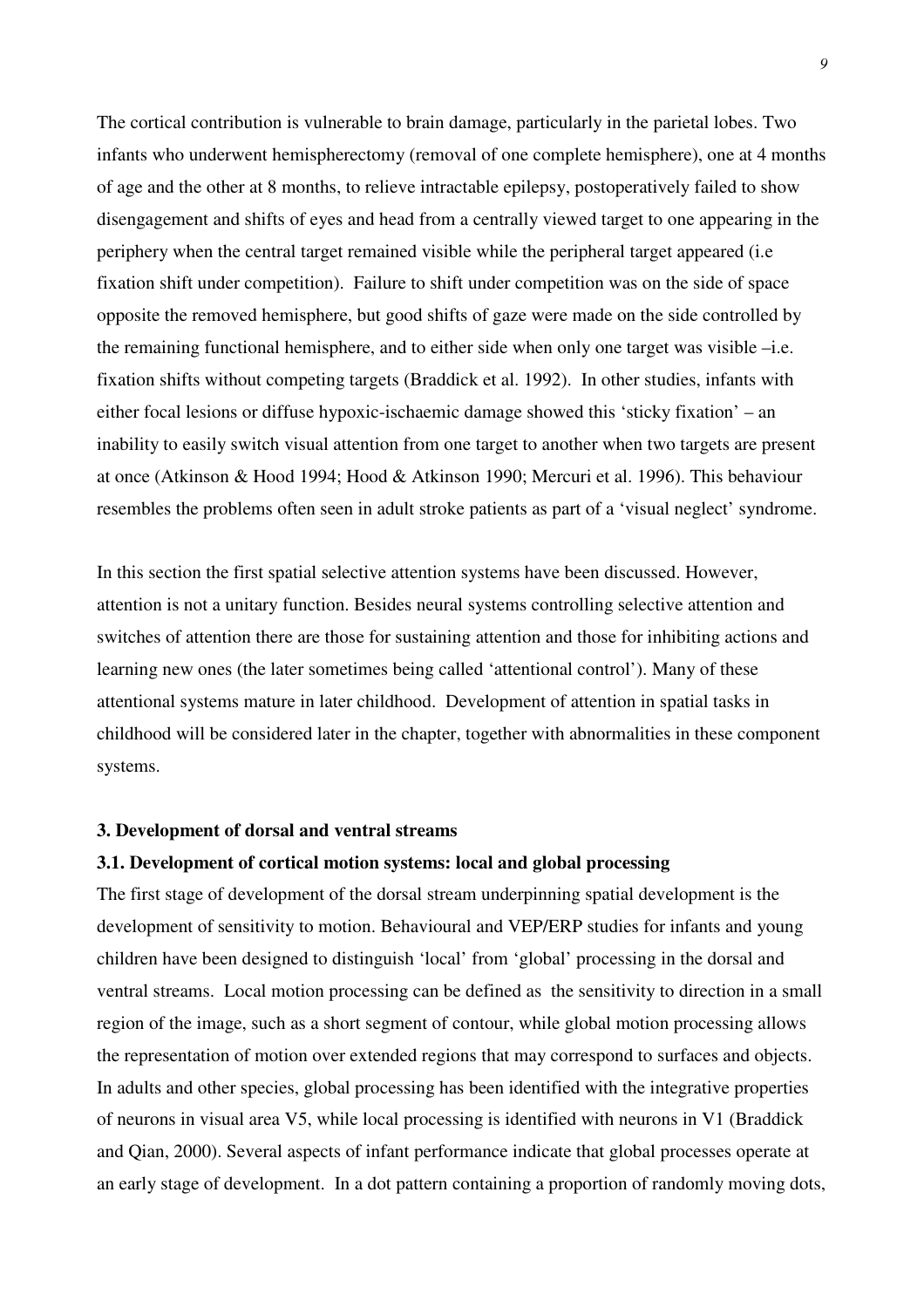The cortical contribution is vulnerable to brain damage, particularly in the parietal lobes. Two infants who underwent hemispherectomy (removal of one complete hemisphere), one at 4 months of age and the other at 8 months, to relieve intractable epilepsy, postoperatively failed to show disengagement and shifts of eyes and head from a centrally viewed target to one appearing in the periphery when the central target remained visible while the peripheral target appeared (i.e fixation shift under competition). Failure to shift under competition was on the side of space opposite the removed hemisphere, but good shifts of gaze were made on the side controlled by the remaining functional hemisphere, and to either side when only one target was visible –i.e. fixation shifts without competing targets (Braddick et al. 1992). In other studies, infants with either focal lesions or diffuse hypoxic-ischaemic damage showed this 'sticky fixation' – an inability to easily switch visual attention from one target to another when two targets are present at once (Atkinson & Hood 1994; Hood & Atkinson 1990; Mercuri et al. 1996). This behaviour resembles the problems often seen in adult stroke patients as part of a 'visual neglect' syndrome.

In this section the first spatial selective attention systems have been discussed. However, attention is not a unitary function. Besides neural systems controlling selective attention and switches of attention there are those for sustaining attention and those for inhibiting actions and learning new ones (the later sometimes being called 'attentional control'). Many of these attentional systems mature in later childhood. Development of attention in spatial tasks in childhood will be considered later in the chapter, together with abnormalities in these component systems.

## **3. Development of dorsal and ventral streams**

#### **3.1. Development of cortical motion systems: local and global processing**

The first stage of development of the dorsal stream underpinning spatial development is the development of sensitivity to motion. Behavioural and VEP/ERP studies for infants and young children have been designed to distinguish 'local' from 'global' processing in the dorsal and ventral streams. Local motion processing can be defined as the sensitivity to direction in a small region of the image, such as a short segment of contour, while global motion processing allows the representation of motion over extended regions that may correspond to surfaces and objects. In adults and other species, global processing has been identified with the integrative properties of neurons in visual area V5, while local processing is identified with neurons in V1 (Braddick and Qian, 2000). Several aspects of infant performance indicate that global processes operate at an early stage of development. In a dot pattern containing a proportion of randomly moving dots,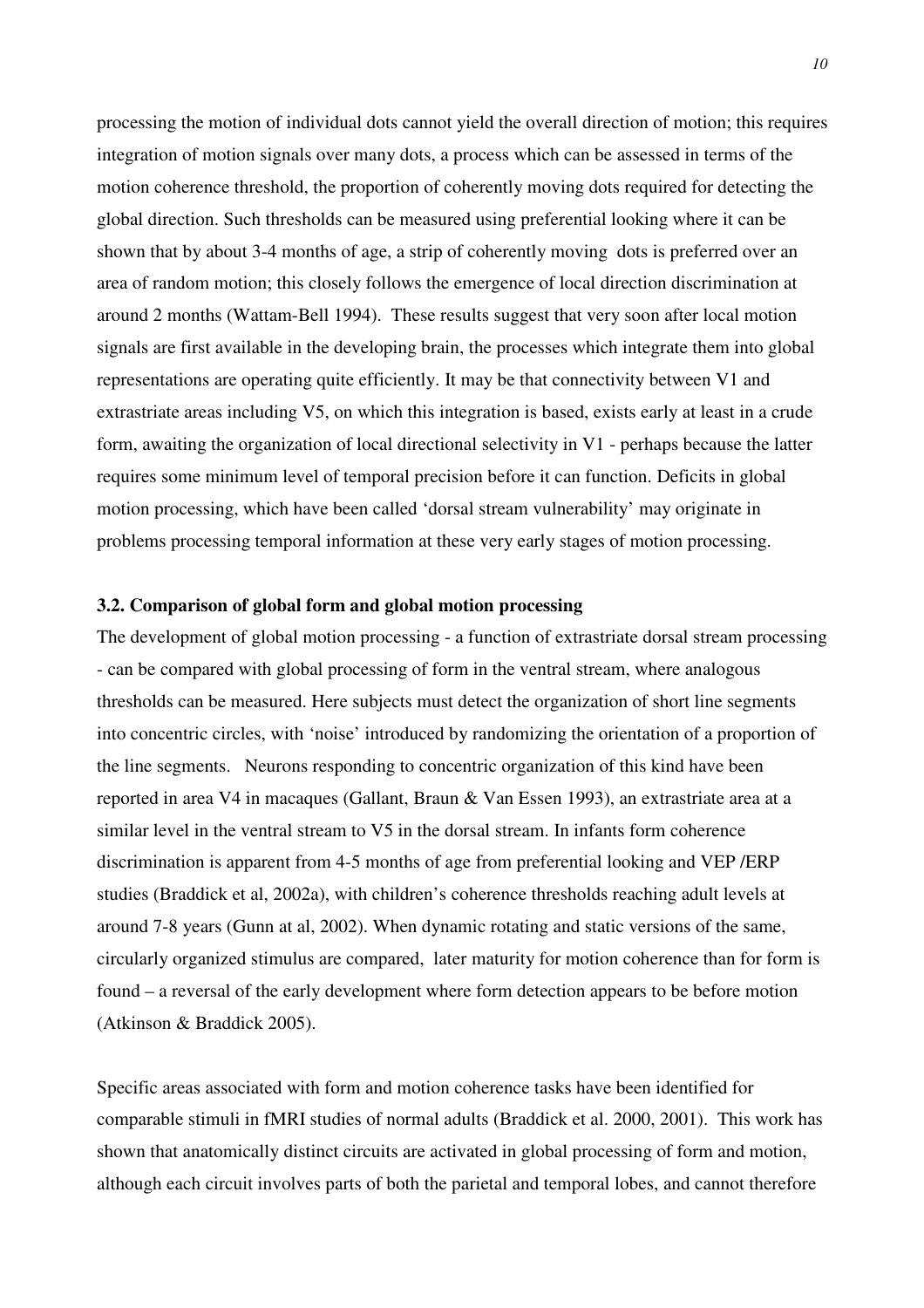processing the motion of individual dots cannot yield the overall direction of motion; this requires integration of motion signals over many dots, a process which can be assessed in terms of the motion coherence threshold, the proportion of coherently moving dots required for detecting the global direction. Such thresholds can be measured using preferential looking where it can be shown that by about 3-4 months of age, a strip of coherently moving dots is preferred over an area of random motion; this closely follows the emergence of local direction discrimination at around 2 months (Wattam-Bell 1994). These results suggest that very soon after local motion signals are first available in the developing brain, the processes which integrate them into global representations are operating quite efficiently. It may be that connectivity between V1 and extrastriate areas including V5, on which this integration is based, exists early at least in a crude form, awaiting the organization of local directional selectivity in V1 - perhaps because the latter requires some minimum level of temporal precision before it can function. Deficits in global motion processing, which have been called 'dorsal stream vulnerability' may originate in problems processing temporal information at these very early stages of motion processing.

## **3.2. Comparison of global form and global motion processing**

The development of global motion processing - a function of extrastriate dorsal stream processing - can be compared with global processing of form in the ventral stream, where analogous thresholds can be measured. Here subjects must detect the organization of short line segments into concentric circles, with 'noise' introduced by randomizing the orientation of a proportion of the line segments. Neurons responding to concentric organization of this kind have been reported in area V4 in macaques (Gallant, Braun & Van Essen 1993), an extrastriate area at a similar level in the ventral stream to V5 in the dorsal stream. In infants form coherence discrimination is apparent from 4-5 months of age from preferential looking and VEP /ERP studies (Braddick et al, 2002a), with children's coherence thresholds reaching adult levels at around 7-8 years (Gunn at al, 2002). When dynamic rotating and static versions of the same, circularly organized stimulus are compared, later maturity for motion coherence than for form is found – a reversal of the early development where form detection appears to be before motion (Atkinson & Braddick 2005).

Specific areas associated with form and motion coherence tasks have been identified for comparable stimuli in fMRI studies of normal adults (Braddick et al. 2000, 2001). This work has shown that anatomically distinct circuits are activated in global processing of form and motion, although each circuit involves parts of both the parietal and temporal lobes, and cannot therefore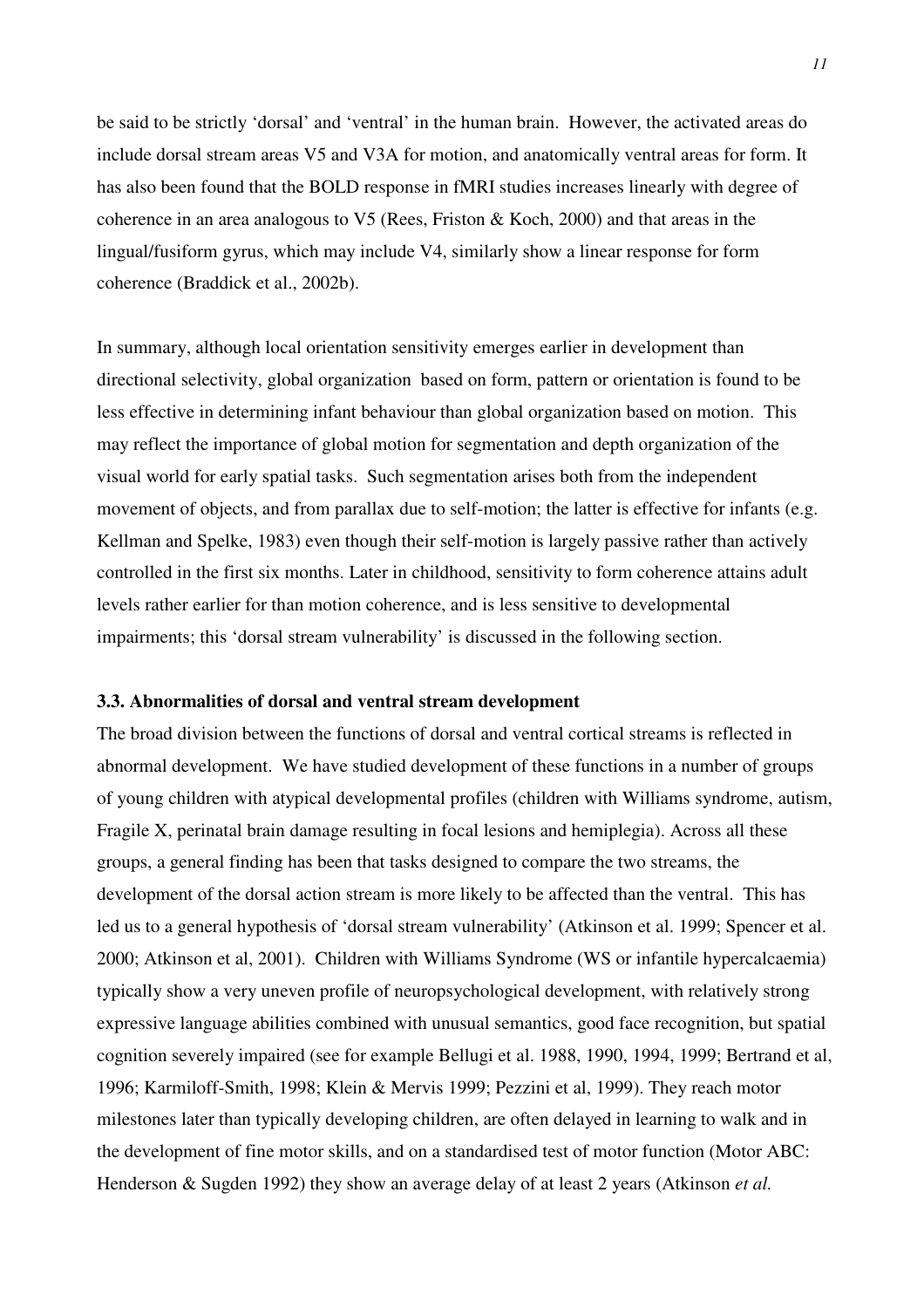be said to be strictly 'dorsal' and 'ventral' in the human brain. However, the activated areas do include dorsal stream areas V5 and V3A for motion, and anatomically ventral areas for form. It has also been found that the BOLD response in fMRI studies increases linearly with degree of coherence in an area analogous to V5 (Rees, Friston & Koch, 2000) and that areas in the lingual/fusiform gyrus, which may include V4, similarly show a linear response for form coherence (Braddick et al., 2002b).

In summary, although local orientation sensitivity emerges earlier in development than directional selectivity, global organization based on form, pattern or orientation is found to be less effective in determining infant behaviour than global organization based on motion. This may reflect the importance of global motion for segmentation and depth organization of the visual world for early spatial tasks. Such segmentation arises both from the independent movement of objects, and from parallax due to self-motion; the latter is effective for infants (e.g. Kellman and Spelke, 1983) even though their self-motion is largely passive rather than actively controlled in the first six months. Later in childhood, sensitivity to form coherence attains adult levels rather earlier for than motion coherence, and is less sensitive to developmental impairments; this 'dorsal stream vulnerability' is discussed in the following section.

#### **3.3. Abnormalities of dorsal and ventral stream development**

The broad division between the functions of dorsal and ventral cortical streams is reflected in abnormal development. We have studied development of these functions in a number of groups of young children with atypical developmental profiles (children with Williams syndrome, autism, Fragile X, perinatal brain damage resulting in focal lesions and hemiplegia). Across all these groups, a general finding has been that tasks designed to compare the two streams, the development of the dorsal action stream is more likely to be affected than the ventral. This has led us to a general hypothesis of 'dorsal stream vulnerability' (Atkinson et al. 1999; Spencer et al. 2000; Atkinson et al, 2001). Children with Williams Syndrome (WS or infantile hypercalcaemia) typically show a very uneven profile of neuropsychological development, with relatively strong expressive language abilities combined with unusual semantics, good face recognition, but spatial cognition severely impaired (see for example Bellugi et al. 1988, 1990, 1994, 1999; Bertrand et al, 1996; Karmiloff-Smith, 1998; Klein & Mervis 1999; Pezzini et al, 1999). They reach motor milestones later than typically developing children, are often delayed in learning to walk and in the development of fine motor skills, and on a standardised test of motor function (Motor ABC: Henderson & Sugden 1992) they show an average delay of at least 2 years (Atkinson *et al.*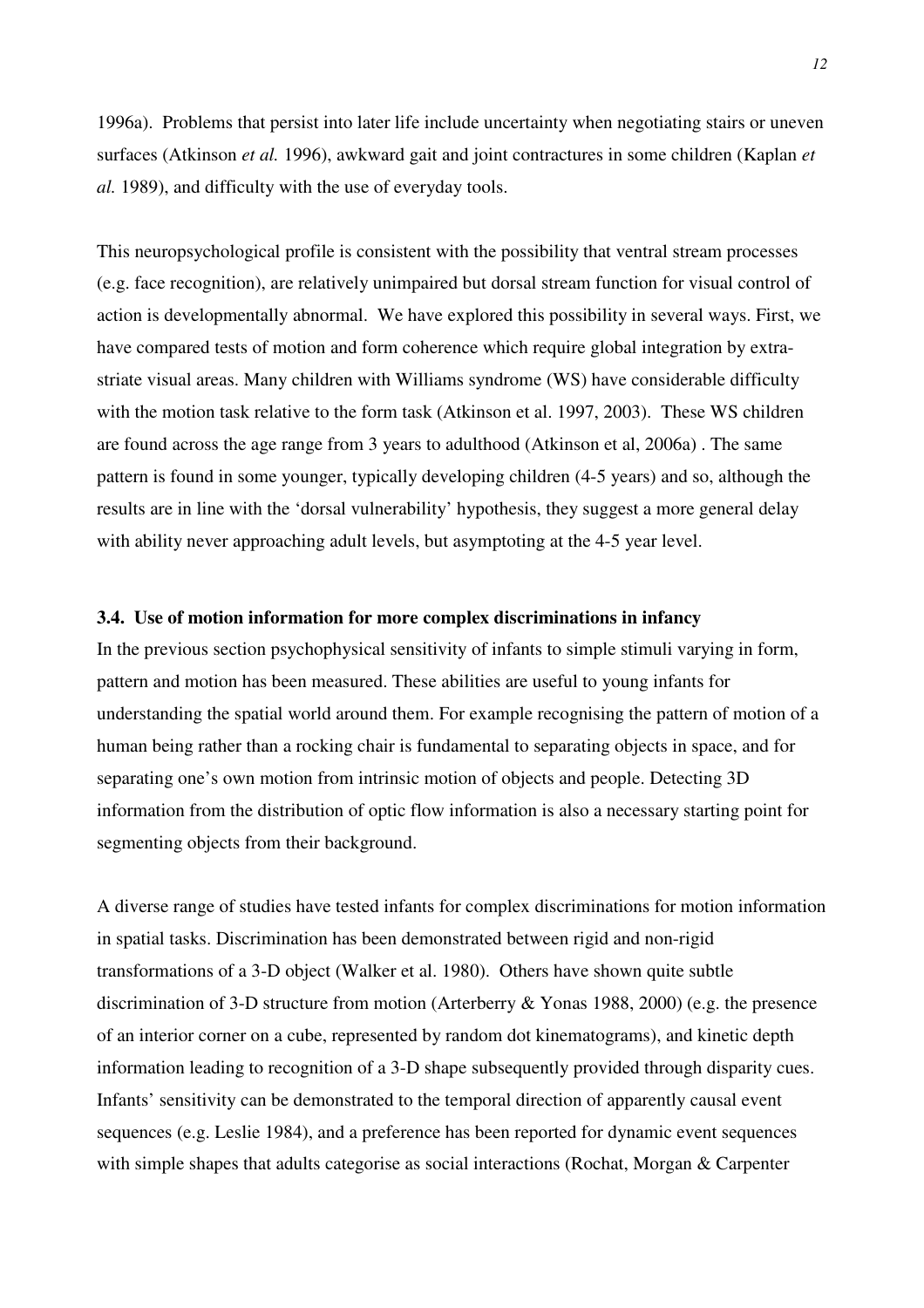1996a). Problems that persist into later life include uncertainty when negotiating stairs or uneven surfaces (Atkinson *et al.* 1996), awkward gait and joint contractures in some children (Kaplan *et al.* 1989), and difficulty with the use of everyday tools.

This neuropsychological profile is consistent with the possibility that ventral stream processes (e.g. face recognition), are relatively unimpaired but dorsal stream function for visual control of action is developmentally abnormal. We have explored this possibility in several ways. First, we have compared tests of motion and form coherence which require global integration by extrastriate visual areas. Many children with Williams syndrome (WS) have considerable difficulty with the motion task relative to the form task (Atkinson et al. 1997, 2003). These WS children are found across the age range from 3 years to adulthood (Atkinson et al, 2006a) . The same pattern is found in some younger, typically developing children (4-5 years) and so, although the results are in line with the 'dorsal vulnerability' hypothesis, they suggest a more general delay with ability never approaching adult levels, but asymptoting at the 4-5 year level.

#### **3.4. Use of motion information for more complex discriminations in infancy**

In the previous section psychophysical sensitivity of infants to simple stimuli varying in form, pattern and motion has been measured. These abilities are useful to young infants for understanding the spatial world around them. For example recognising the pattern of motion of a human being rather than a rocking chair is fundamental to separating objects in space, and for separating one's own motion from intrinsic motion of objects and people. Detecting 3D information from the distribution of optic flow information is also a necessary starting point for segmenting objects from their background.

A diverse range of studies have tested infants for complex discriminations for motion information in spatial tasks. Discrimination has been demonstrated between rigid and non-rigid transformations of a 3-D object (Walker et al. 1980). Others have shown quite subtle discrimination of 3-D structure from motion (Arterberry & Yonas 1988, 2000) (e.g. the presence of an interior corner on a cube, represented by random dot kinematograms), and kinetic depth information leading to recognition of a 3-D shape subsequently provided through disparity cues. Infants' sensitivity can be demonstrated to the temporal direction of apparently causal event sequences (e.g. Leslie 1984), and a preference has been reported for dynamic event sequences with simple shapes that adults categorise as social interactions (Rochat, Morgan & Carpenter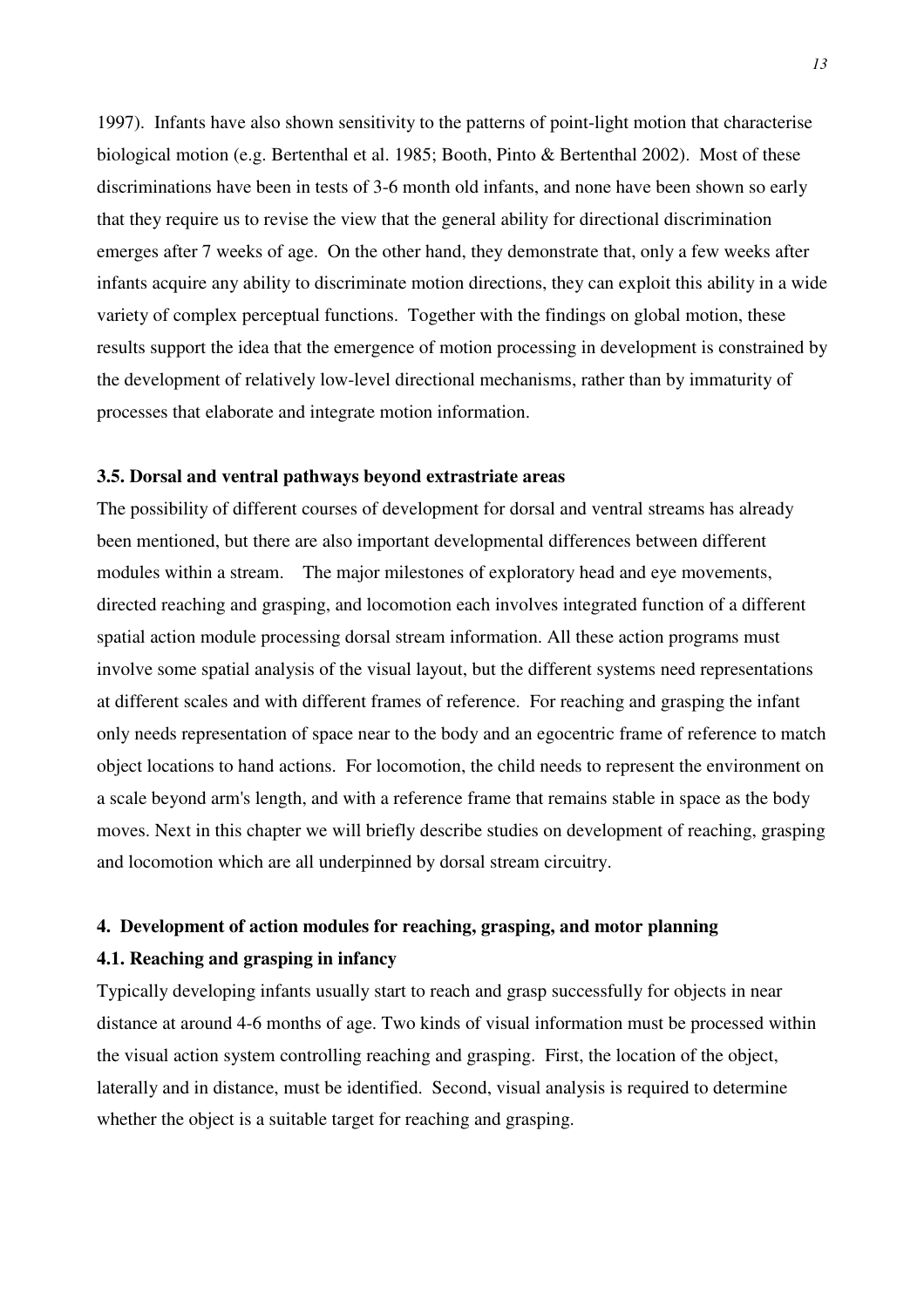1997). Infants have also shown sensitivity to the patterns of point-light motion that characterise biological motion (e.g. Bertenthal et al. 1985; Booth, Pinto & Bertenthal 2002). Most of these discriminations have been in tests of 3-6 month old infants, and none have been shown so early that they require us to revise the view that the general ability for directional discrimination emerges after 7 weeks of age. On the other hand, they demonstrate that, only a few weeks after infants acquire any ability to discriminate motion directions, they can exploit this ability in a wide variety of complex perceptual functions. Together with the findings on global motion, these results support the idea that the emergence of motion processing in development is constrained by the development of relatively low-level directional mechanisms, rather than by immaturity of processes that elaborate and integrate motion information.

#### **3.5. Dorsal and ventral pathways beyond extrastriate areas**

The possibility of different courses of development for dorsal and ventral streams has already been mentioned, but there are also important developmental differences between different modules within a stream. The major milestones of exploratory head and eye movements, directed reaching and grasping, and locomotion each involves integrated function of a different spatial action module processing dorsal stream information. All these action programs must involve some spatial analysis of the visual layout, but the different systems need representations at different scales and with different frames of reference. For reaching and grasping the infant only needs representation of space near to the body and an egocentric frame of reference to match object locations to hand actions. For locomotion, the child needs to represent the environment on a scale beyond arm's length, and with a reference frame that remains stable in space as the body moves. Next in this chapter we will briefly describe studies on development of reaching, grasping and locomotion which are all underpinned by dorsal stream circuitry.

## **4. Development of action modules for reaching, grasping, and motor planning 4.1. Reaching and grasping in infancy**

Typically developing infants usually start to reach and grasp successfully for objects in near distance at around 4-6 months of age. Two kinds of visual information must be processed within the visual action system controlling reaching and grasping. First, the location of the object, laterally and in distance, must be identified. Second, visual analysis is required to determine whether the object is a suitable target for reaching and grasping.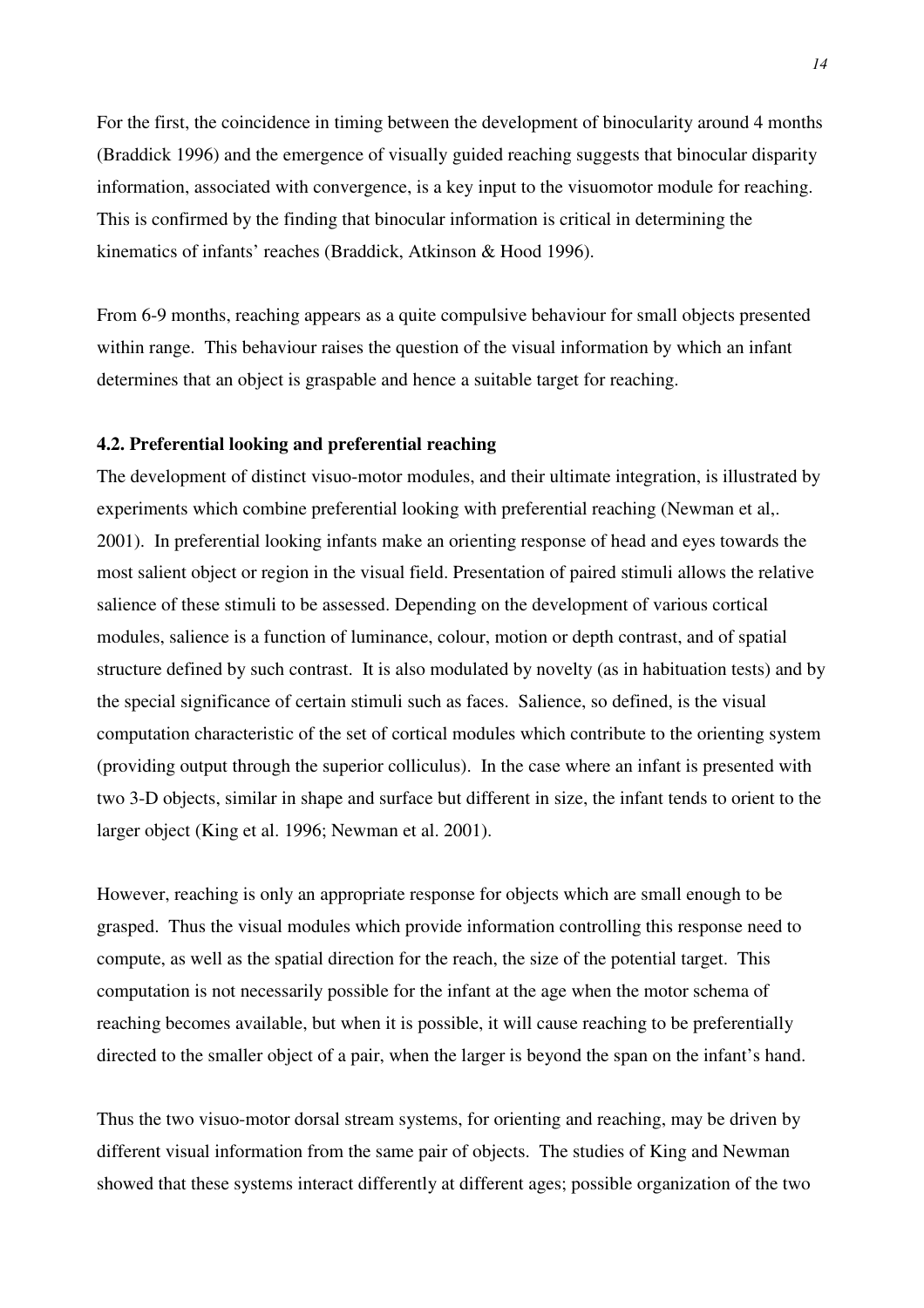For the first, the coincidence in timing between the development of binocularity around 4 months (Braddick 1996) and the emergence of visually guided reaching suggests that binocular disparity information, associated with convergence, is a key input to the visuomotor module for reaching. This is confirmed by the finding that binocular information is critical in determining the kinematics of infants' reaches (Braddick, Atkinson & Hood 1996).

From 6-9 months, reaching appears as a quite compulsive behaviour for small objects presented within range. This behaviour raises the question of the visual information by which an infant determines that an object is graspable and hence a suitable target for reaching.

## **4.2. Preferential looking and preferential reaching**

The development of distinct visuo-motor modules, and their ultimate integration, is illustrated by experiments which combine preferential looking with preferential reaching (Newman et al,. 2001). In preferential looking infants make an orienting response of head and eyes towards the most salient object or region in the visual field. Presentation of paired stimuli allows the relative salience of these stimuli to be assessed. Depending on the development of various cortical modules, salience is a function of luminance, colour, motion or depth contrast, and of spatial structure defined by such contrast. It is also modulated by novelty (as in habituation tests) and by the special significance of certain stimuli such as faces. Salience, so defined, is the visual computation characteristic of the set of cortical modules which contribute to the orienting system (providing output through the superior colliculus). In the case where an infant is presented with two 3-D objects, similar in shape and surface but different in size, the infant tends to orient to the larger object (King et al. 1996; Newman et al. 2001).

However, reaching is only an appropriate response for objects which are small enough to be grasped. Thus the visual modules which provide information controlling this response need to compute, as well as the spatial direction for the reach, the size of the potential target. This computation is not necessarily possible for the infant at the age when the motor schema of reaching becomes available, but when it is possible, it will cause reaching to be preferentially directed to the smaller object of a pair, when the larger is beyond the span on the infant's hand.

Thus the two visuo-motor dorsal stream systems, for orienting and reaching, may be driven by different visual information from the same pair of objects. The studies of King and Newman showed that these systems interact differently at different ages; possible organization of the two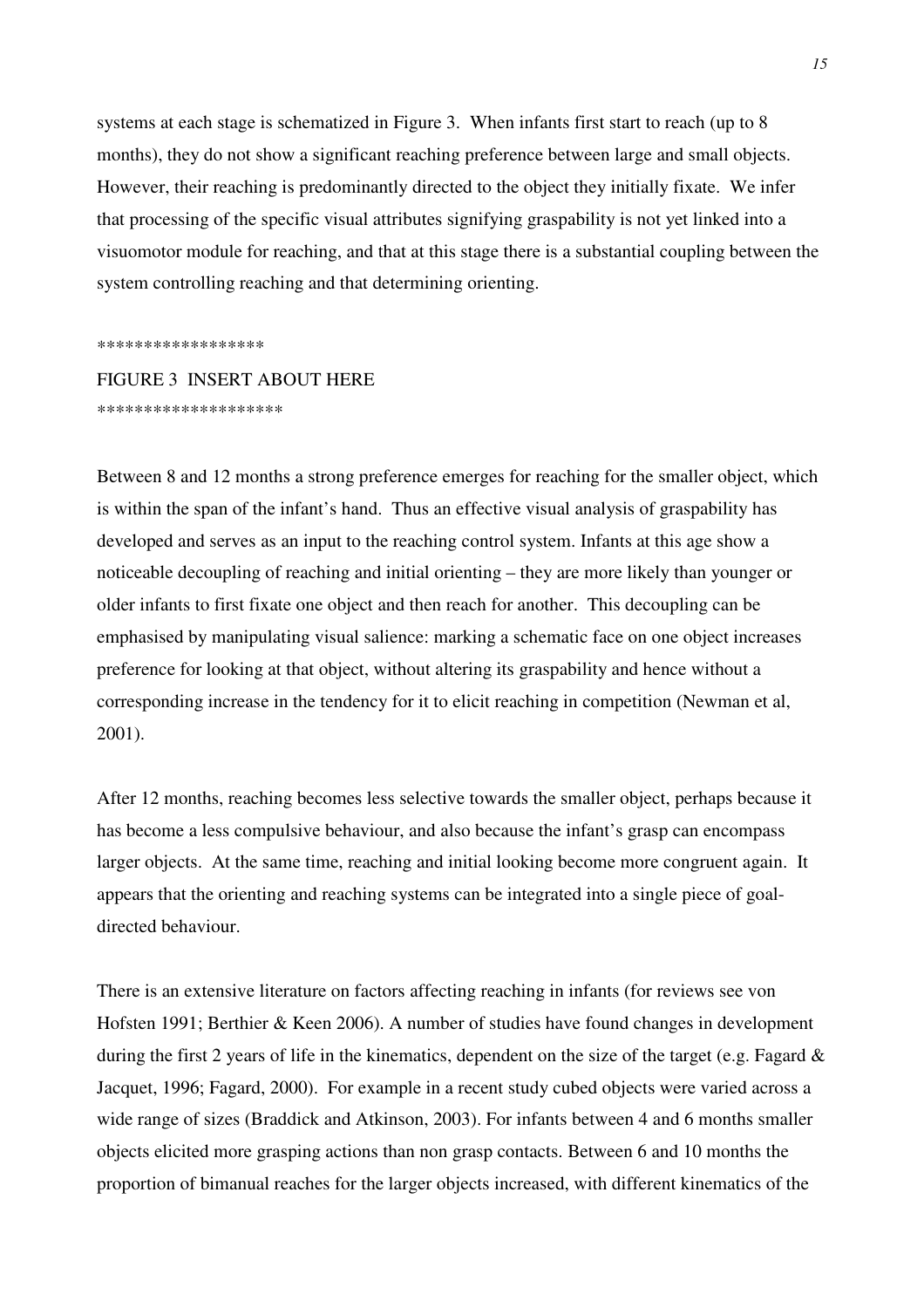systems at each stage is schematized in Figure 3. When infants first start to reach (up to 8 months), they do not show a significant reaching preference between large and small objects. However, their reaching is predominantly directed to the object they initially fixate. We infer that processing of the specific visual attributes signifying graspability is not yet linked into a visuomotor module for reaching, and that at this stage there is a substantial coupling between the system controlling reaching and that determining orienting.

\*\*\*\*\*\*\*\*\*\*\*\*\*\*\*\*\*\*

FIGURE 3 INSERT ABOUT HERE \*\*\*\*\*\*\*\*\*\*\*\*\*\*\*\*\*\*\*\*

Between 8 and 12 months a strong preference emerges for reaching for the smaller object, which is within the span of the infant's hand. Thus an effective visual analysis of graspability has developed and serves as an input to the reaching control system. Infants at this age show a noticeable decoupling of reaching and initial orienting – they are more likely than younger or older infants to first fixate one object and then reach for another. This decoupling can be emphasised by manipulating visual salience: marking a schematic face on one object increases preference for looking at that object, without altering its graspability and hence without a corresponding increase in the tendency for it to elicit reaching in competition (Newman et al, 2001).

After 12 months, reaching becomes less selective towards the smaller object, perhaps because it has become a less compulsive behaviour, and also because the infant's grasp can encompass larger objects. At the same time, reaching and initial looking become more congruent again. It appears that the orienting and reaching systems can be integrated into a single piece of goaldirected behaviour.

There is an extensive literature on factors affecting reaching in infants (for reviews see von Hofsten 1991; Berthier & Keen 2006). A number of studies have found changes in development during the first 2 years of life in the kinematics, dependent on the size of the target (e.g. Fagard & Jacquet, 1996; Fagard, 2000). For example in a recent study cubed objects were varied across a wide range of sizes (Braddick and Atkinson, 2003). For infants between 4 and 6 months smaller objects elicited more grasping actions than non grasp contacts. Between 6 and 10 months the proportion of bimanual reaches for the larger objects increased, with different kinematics of the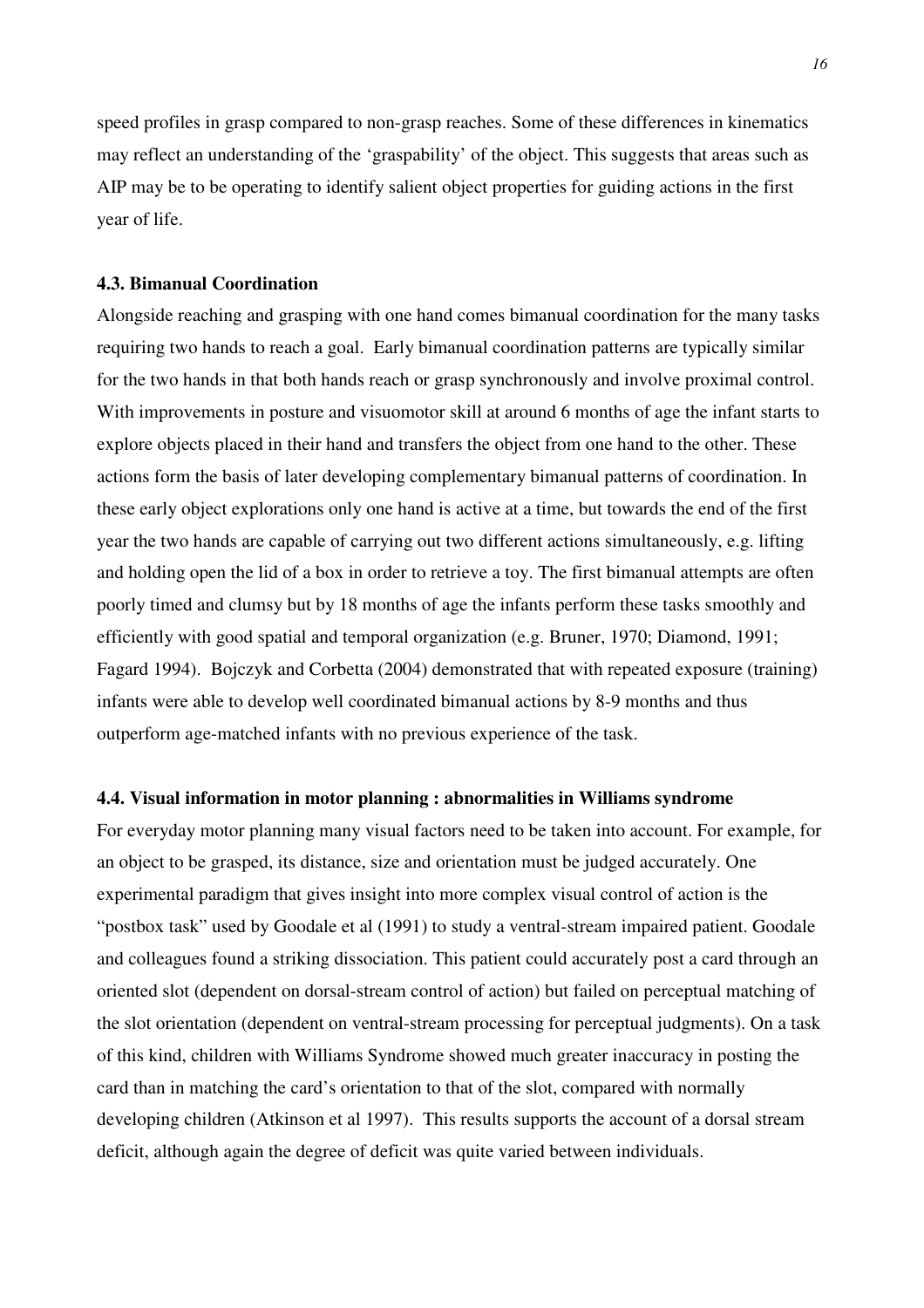speed profiles in grasp compared to non-grasp reaches. Some of these differences in kinematics may reflect an understanding of the 'graspability' of the object. This suggests that areas such as AIP may be to be operating to identify salient object properties for guiding actions in the first year of life.

## **4.3. Bimanual Coordination**

Alongside reaching and grasping with one hand comes bimanual coordination for the many tasks requiring two hands to reach a goal. Early bimanual coordination patterns are typically similar for the two hands in that both hands reach or grasp synchronously and involve proximal control. With improvements in posture and visuomotor skill at around 6 months of age the infant starts to explore objects placed in their hand and transfers the object from one hand to the other. These actions form the basis of later developing complementary bimanual patterns of coordination. In these early object explorations only one hand is active at a time, but towards the end of the first year the two hands are capable of carrying out two different actions simultaneously, e.g. lifting and holding open the lid of a box in order to retrieve a toy. The first bimanual attempts are often poorly timed and clumsy but by 18 months of age the infants perform these tasks smoothly and efficiently with good spatial and temporal organization (e.g. Bruner, 1970; Diamond, 1991; Fagard 1994). Bojczyk and Corbetta (2004) demonstrated that with repeated exposure (training) infants were able to develop well coordinated bimanual actions by 8-9 months and thus outperform age-matched infants with no previous experience of the task.

### **4.4. Visual information in motor planning : abnormalities in Williams syndrome**

For everyday motor planning many visual factors need to be taken into account. For example, for an object to be grasped, its distance, size and orientation must be judged accurately. One experimental paradigm that gives insight into more complex visual control of action is the "postbox task" used by Goodale et al (1991) to study a ventral-stream impaired patient. Goodale and colleagues found a striking dissociation. This patient could accurately post a card through an oriented slot (dependent on dorsal-stream control of action) but failed on perceptual matching of the slot orientation (dependent on ventral-stream processing for perceptual judgments). On a task of this kind, children with Williams Syndrome showed much greater inaccuracy in posting the card than in matching the card's orientation to that of the slot, compared with normally developing children (Atkinson et al 1997). This results supports the account of a dorsal stream deficit, although again the degree of deficit was quite varied between individuals.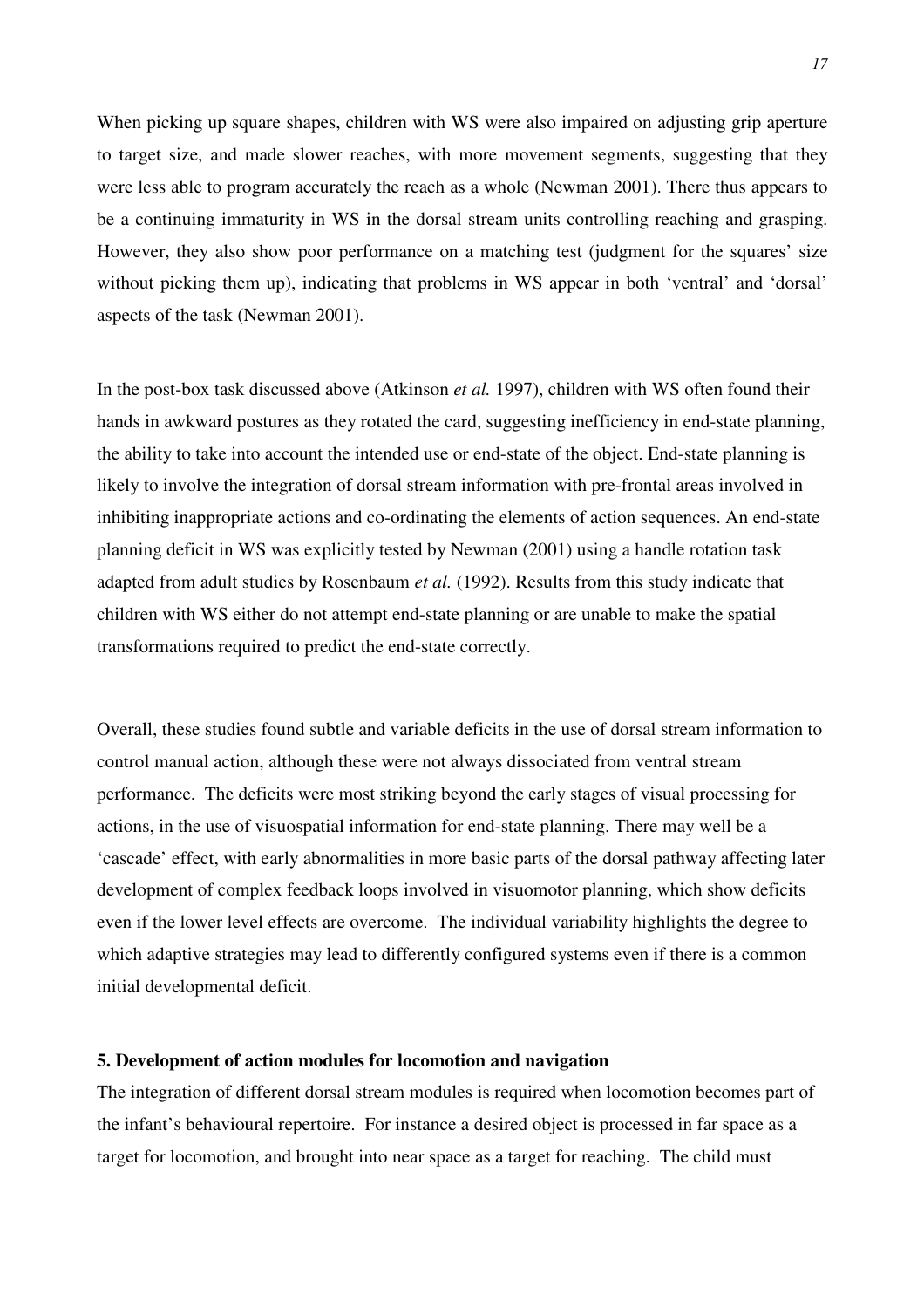When picking up square shapes, children with WS were also impaired on adjusting grip aperture to target size, and made slower reaches, with more movement segments, suggesting that they were less able to program accurately the reach as a whole (Newman 2001). There thus appears to be a continuing immaturity in WS in the dorsal stream units controlling reaching and grasping. However, they also show poor performance on a matching test (judgment for the squares' size without picking them up), indicating that problems in WS appear in both 'ventral' and 'dorsal' aspects of the task (Newman 2001).

In the post-box task discussed above (Atkinson *et al.* 1997), children with WS often found their hands in awkward postures as they rotated the card, suggesting inefficiency in end-state planning, the ability to take into account the intended use or end-state of the object. End-state planning is likely to involve the integration of dorsal stream information with pre-frontal areas involved in inhibiting inappropriate actions and co-ordinating the elements of action sequences. An end-state planning deficit in WS was explicitly tested by Newman (2001) using a handle rotation task adapted from adult studies by Rosenbaum *et al.* (1992). Results from this study indicate that children with WS either do not attempt end-state planning or are unable to make the spatial transformations required to predict the end-state correctly.

Overall, these studies found subtle and variable deficits in the use of dorsal stream information to control manual action, although these were not always dissociated from ventral stream performance. The deficits were most striking beyond the early stages of visual processing for actions, in the use of visuospatial information for end-state planning. There may well be a 'cascade' effect, with early abnormalities in more basic parts of the dorsal pathway affecting later development of complex feedback loops involved in visuomotor planning, which show deficits even if the lower level effects are overcome. The individual variability highlights the degree to which adaptive strategies may lead to differently configured systems even if there is a common initial developmental deficit.

#### **5. Development of action modules for locomotion and navigation**

The integration of different dorsal stream modules is required when locomotion becomes part of the infant's behavioural repertoire. For instance a desired object is processed in far space as a target for locomotion, and brought into near space as a target for reaching. The child must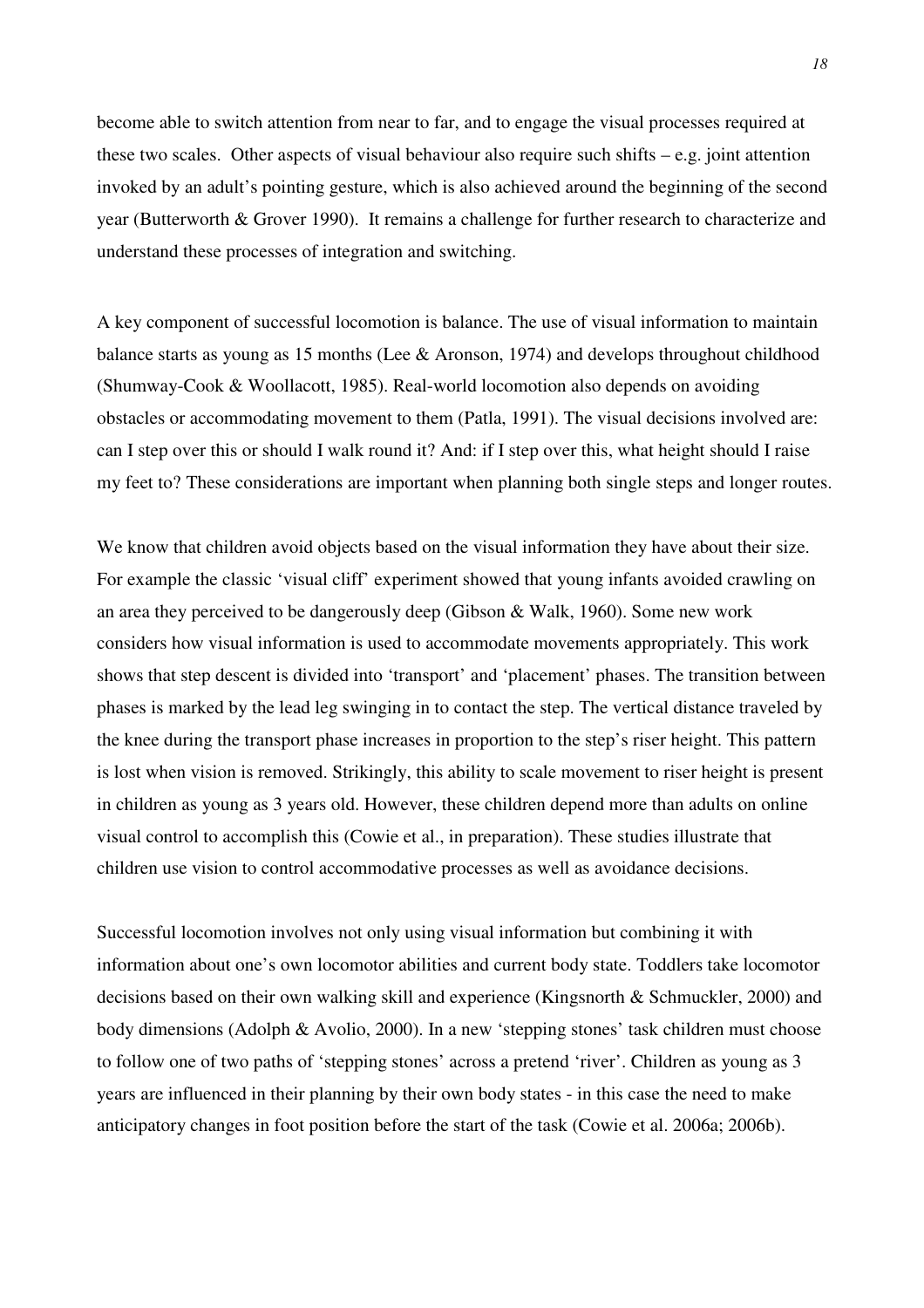become able to switch attention from near to far, and to engage the visual processes required at these two scales. Other aspects of visual behaviour also require such shifts  $-e.g.$  joint attention invoked by an adult's pointing gesture, which is also achieved around the beginning of the second year (Butterworth & Grover 1990). It remains a challenge for further research to characterize and understand these processes of integration and switching.

A key component of successful locomotion is balance. The use of visual information to maintain balance starts as young as 15 months (Lee & Aronson, 1974) and develops throughout childhood (Shumway-Cook & Woollacott, 1985). Real-world locomotion also depends on avoiding obstacles or accommodating movement to them (Patla, 1991). The visual decisions involved are: can I step over this or should I walk round it? And: if I step over this, what height should I raise my feet to? These considerations are important when planning both single steps and longer routes.

We know that children avoid objects based on the visual information they have about their size. For example the classic 'visual cliff' experiment showed that young infants avoided crawling on an area they perceived to be dangerously deep (Gibson & Walk, 1960). Some new work considers how visual information is used to accommodate movements appropriately. This work shows that step descent is divided into 'transport' and 'placement' phases. The transition between phases is marked by the lead leg swinging in to contact the step. The vertical distance traveled by the knee during the transport phase increases in proportion to the step's riser height. This pattern is lost when vision is removed. Strikingly, this ability to scale movement to riser height is present in children as young as 3 years old. However, these children depend more than adults on online visual control to accomplish this (Cowie et al., in preparation). These studies illustrate that children use vision to control accommodative processes as well as avoidance decisions.

Successful locomotion involves not only using visual information but combining it with information about one's own locomotor abilities and current body state. Toddlers take locomotor decisions based on their own walking skill and experience (Kingsnorth & Schmuckler, 2000) and body dimensions (Adolph & Avolio, 2000). In a new 'stepping stones' task children must choose to follow one of two paths of 'stepping stones' across a pretend 'river'. Children as young as 3 years are influenced in their planning by their own body states - in this case the need to make anticipatory changes in foot position before the start of the task (Cowie et al. 2006a; 2006b).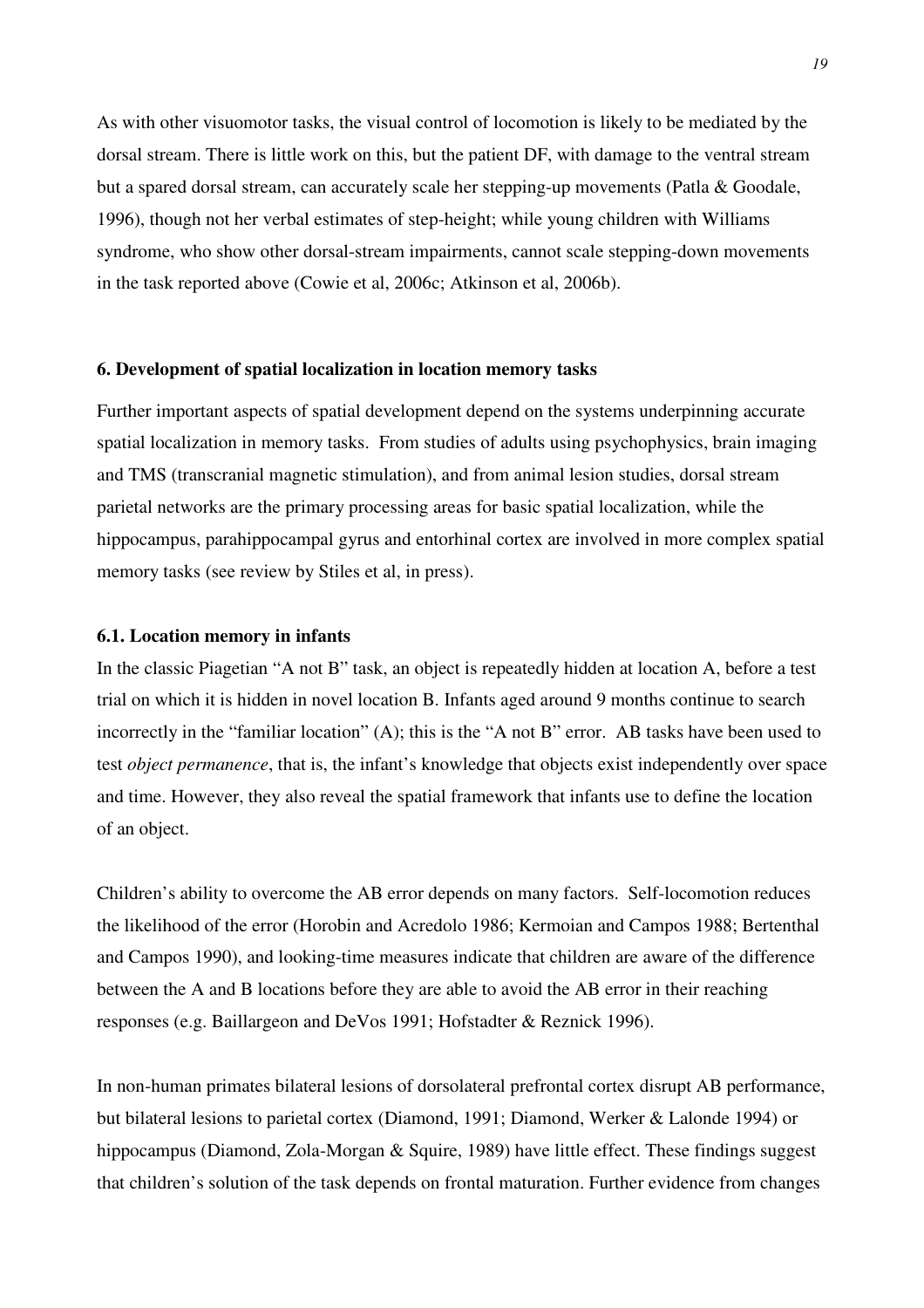As with other visuomotor tasks, the visual control of locomotion is likely to be mediated by the dorsal stream. There is little work on this, but the patient DF, with damage to the ventral stream but a spared dorsal stream, can accurately scale her stepping-up movements (Patla & Goodale, 1996), though not her verbal estimates of step-height; while young children with Williams syndrome, who show other dorsal-stream impairments, cannot scale stepping-down movements in the task reported above (Cowie et al, 2006c; Atkinson et al, 2006b).

### **6. Development of spatial localization in location memory tasks**

Further important aspects of spatial development depend on the systems underpinning accurate spatial localization in memory tasks. From studies of adults using psychophysics, brain imaging and TMS (transcranial magnetic stimulation), and from animal lesion studies, dorsal stream parietal networks are the primary processing areas for basic spatial localization, while the hippocampus, parahippocampal gyrus and entorhinal cortex are involved in more complex spatial memory tasks (see review by Stiles et al, in press).

## **6.1. Location memory in infants**

In the classic Piagetian "A not B" task, an object is repeatedly hidden at location A, before a test trial on which it is hidden in novel location B. Infants aged around 9 months continue to search incorrectly in the "familiar location" (A); this is the "A not B" error. AB tasks have been used to test *object permanence*, that is, the infant's knowledge that objects exist independently over space and time. However, they also reveal the spatial framework that infants use to define the location of an object.

Children's ability to overcome the AB error depends on many factors. Self-locomotion reduces the likelihood of the error (Horobin and Acredolo 1986; Kermoian and Campos 1988; Bertenthal and Campos 1990), and looking-time measures indicate that children are aware of the difference between the A and B locations before they are able to avoid the AB error in their reaching responses (e.g. Baillargeon and DeVos 1991; Hofstadter & Reznick 1996).

In non-human primates bilateral lesions of dorsolateral prefrontal cortex disrupt AB performance, but bilateral lesions to parietal cortex (Diamond, 1991; Diamond, Werker & Lalonde 1994) or hippocampus (Diamond, Zola-Morgan & Squire, 1989) have little effect. These findings suggest that children's solution of the task depends on frontal maturation. Further evidence from changes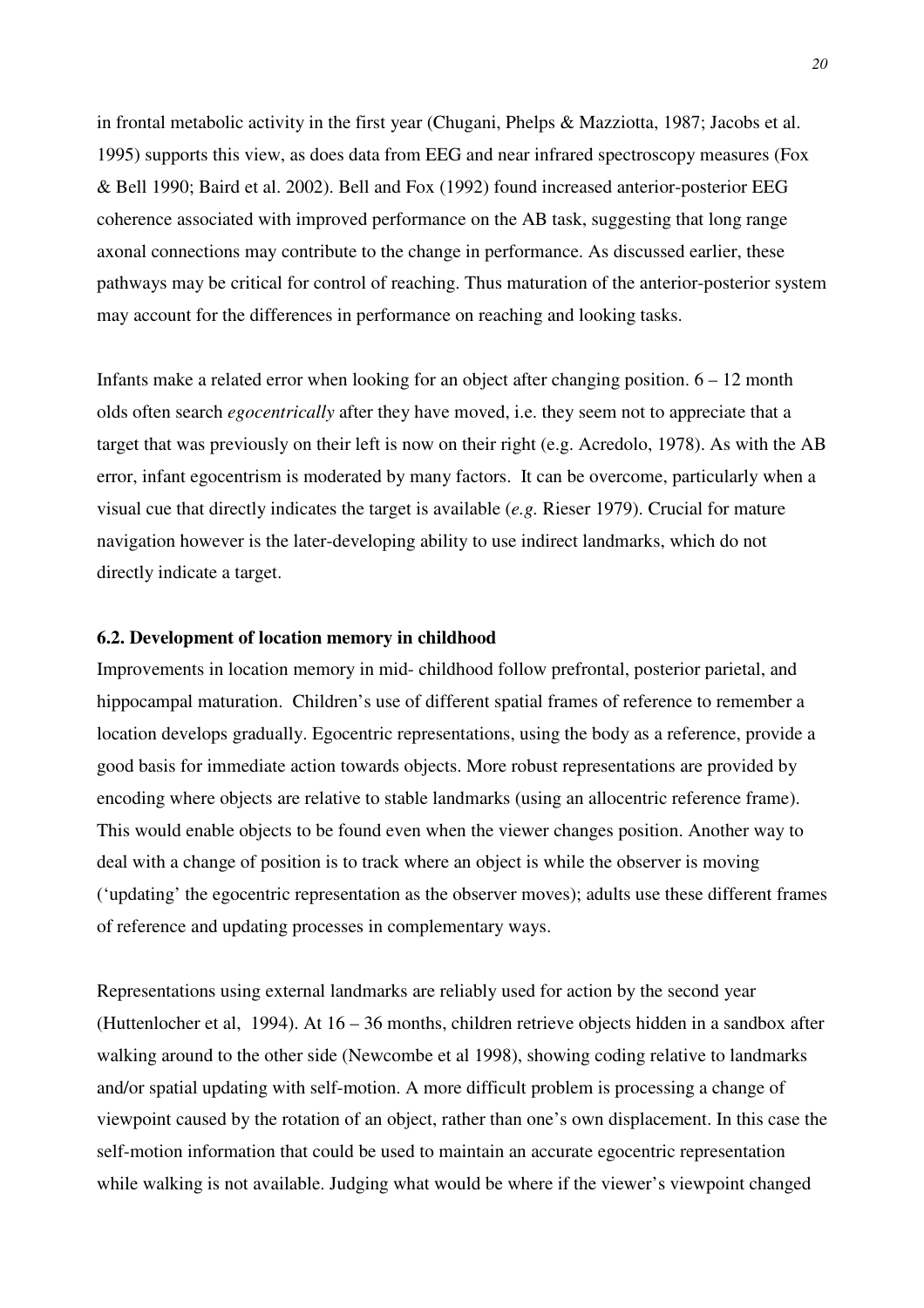in frontal metabolic activity in the first year (Chugani, Phelps & Mazziotta, 1987; Jacobs et al. 1995) supports this view, as does data from EEG and near infrared spectroscopy measures (Fox & Bell 1990; Baird et al. 2002). Bell and Fox (1992) found increased anterior-posterior EEG coherence associated with improved performance on the AB task, suggesting that long range axonal connections may contribute to the change in performance. As discussed earlier, these pathways may be critical for control of reaching. Thus maturation of the anterior-posterior system may account for the differences in performance on reaching and looking tasks.

Infants make a related error when looking for an object after changing position.  $6 - 12$  month olds often search *egocentrically* after they have moved, i.e. they seem not to appreciate that a target that was previously on their left is now on their right (e.g. Acredolo, 1978). As with the AB error, infant egocentrism is moderated by many factors. It can be overcome, particularly when a visual cue that directly indicates the target is available (*e.g.* Rieser 1979). Crucial for mature navigation however is the later-developing ability to use indirect landmarks, which do not directly indicate a target.

## **6.2. Development of location memory in childhood**

Improvements in location memory in mid- childhood follow prefrontal, posterior parietal, and hippocampal maturation. Children's use of different spatial frames of reference to remember a location develops gradually. Egocentric representations, using the body as a reference, provide a good basis for immediate action towards objects. More robust representations are provided by encoding where objects are relative to stable landmarks (using an allocentric reference frame). This would enable objects to be found even when the viewer changes position. Another way to deal with a change of position is to track where an object is while the observer is moving ('updating' the egocentric representation as the observer moves); adults use these different frames of reference and updating processes in complementary ways.

Representations using external landmarks are reliably used for action by the second year (Huttenlocher et al, 1994). At 16 – 36 months, children retrieve objects hidden in a sandbox after walking around to the other side (Newcombe et al 1998), showing coding relative to landmarks and/or spatial updating with self-motion. A more difficult problem is processing a change of viewpoint caused by the rotation of an object, rather than one's own displacement. In this case the self-motion information that could be used to maintain an accurate egocentric representation while walking is not available. Judging what would be where if the viewer's viewpoint changed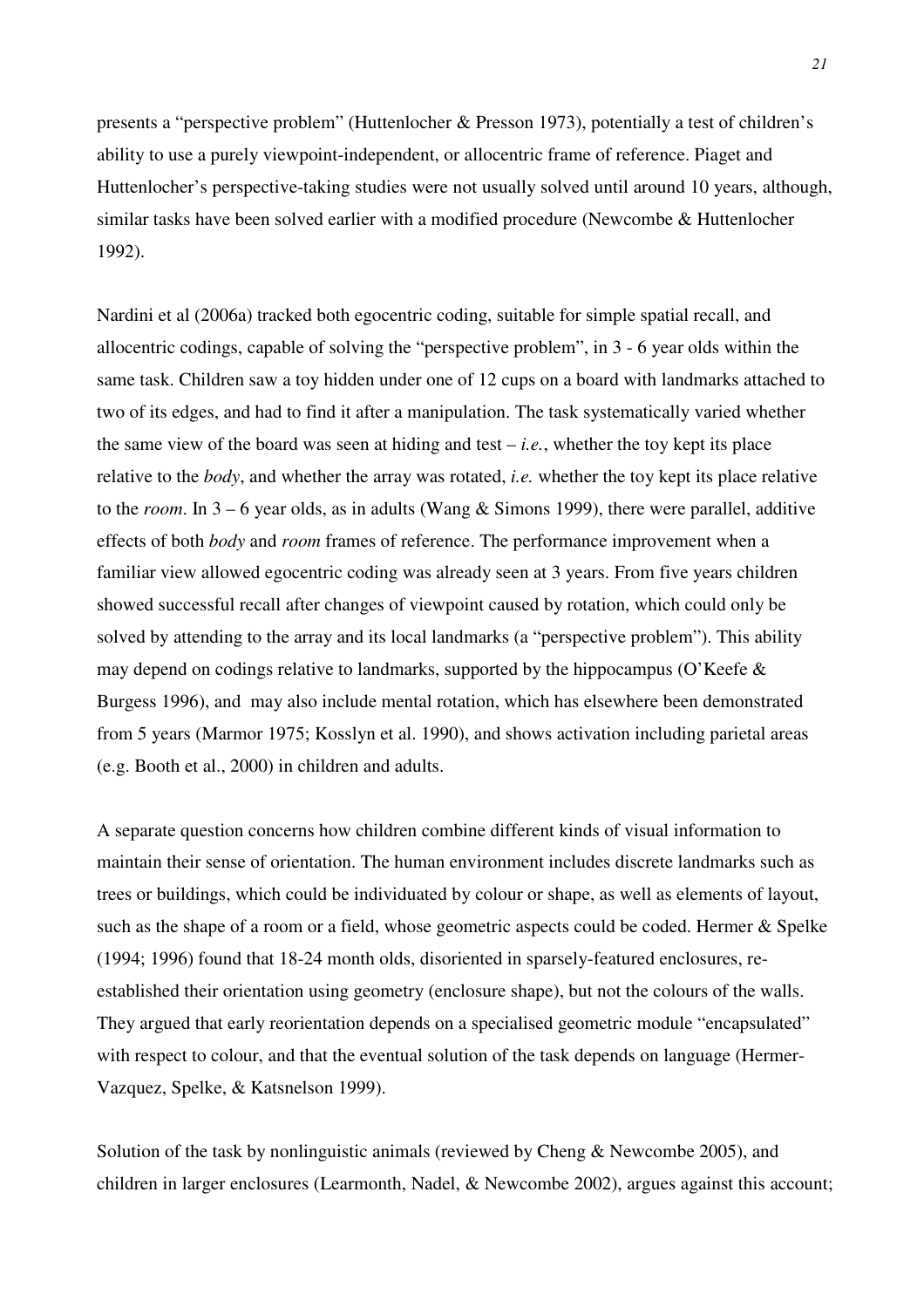presents a "perspective problem" (Huttenlocher & Presson 1973), potentially a test of children's ability to use a purely viewpoint-independent, or allocentric frame of reference. Piaget and Huttenlocher's perspective-taking studies were not usually solved until around 10 years, although, similar tasks have been solved earlier with a modified procedure (Newcombe & Huttenlocher 1992).

Nardini et al (2006a) tracked both egocentric coding, suitable for simple spatial recall, and allocentric codings, capable of solving the "perspective problem", in 3 - 6 year olds within the same task. Children saw a toy hidden under one of 12 cups on a board with landmarks attached to two of its edges, and had to find it after a manipulation. The task systematically varied whether the same view of the board was seen at hiding and test  $-i.e.,$  whether the toy kept its place relative to the *body*, and whether the array was rotated, *i.e.* whether the toy kept its place relative to the *room*. In 3 – 6 year olds, as in adults (Wang & Simons 1999), there were parallel, additive effects of both *body* and *room* frames of reference. The performance improvement when a familiar view allowed egocentric coding was already seen at 3 years. From five years children showed successful recall after changes of viewpoint caused by rotation, which could only be solved by attending to the array and its local landmarks (a "perspective problem"). This ability may depend on codings relative to landmarks, supported by the hippocampus (O'Keefe  $\&$ Burgess 1996), and may also include mental rotation, which has elsewhere been demonstrated from 5 years (Marmor 1975; Kosslyn et al. 1990), and shows activation including parietal areas (e.g. Booth et al., 2000) in children and adults.

A separate question concerns how children combine different kinds of visual information to maintain their sense of orientation. The human environment includes discrete landmarks such as trees or buildings, which could be individuated by colour or shape, as well as elements of layout, such as the shape of a room or a field, whose geometric aspects could be coded. Hermer & Spelke (1994; 1996) found that 18-24 month olds, disoriented in sparsely-featured enclosures, reestablished their orientation using geometry (enclosure shape), but not the colours of the walls. They argued that early reorientation depends on a specialised geometric module "encapsulated" with respect to colour, and that the eventual solution of the task depends on language (Hermer-Vazquez, Spelke, & Katsnelson 1999).

Solution of the task by nonlinguistic animals (reviewed by Cheng & Newcombe 2005), and children in larger enclosures (Learmonth, Nadel, & Newcombe 2002), argues against this account;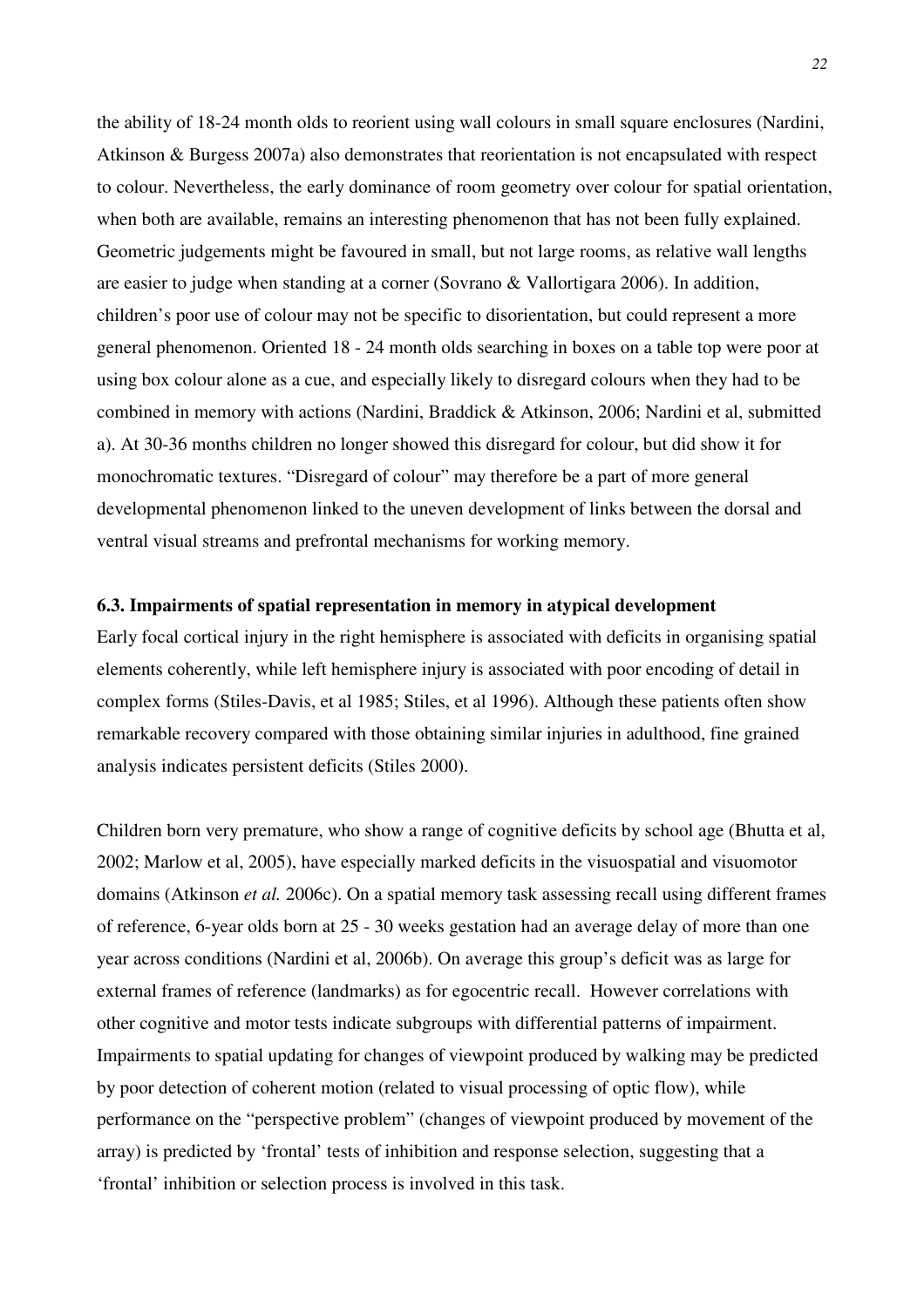the ability of 18-24 month olds to reorient using wall colours in small square enclosures (Nardini, Atkinson & Burgess 2007a) also demonstrates that reorientation is not encapsulated with respect to colour. Nevertheless, the early dominance of room geometry over colour for spatial orientation, when both are available, remains an interesting phenomenon that has not been fully explained. Geometric judgements might be favoured in small, but not large rooms, as relative wall lengths are easier to judge when standing at a corner (Sovrano & Vallortigara 2006). In addition, children's poor use of colour may not be specific to disorientation, but could represent a more general phenomenon. Oriented 18 - 24 month olds searching in boxes on a table top were poor at using box colour alone as a cue, and especially likely to disregard colours when they had to be combined in memory with actions (Nardini, Braddick & Atkinson, 2006; Nardini et al, submitted a). At 30-36 months children no longer showed this disregard for colour, but did show it for monochromatic textures. "Disregard of colour" may therefore be a part of more general developmental phenomenon linked to the uneven development of links between the dorsal and ventral visual streams and prefrontal mechanisms for working memory.

## **6.3. Impairments of spatial representation in memory in atypical development**

Early focal cortical injury in the right hemisphere is associated with deficits in organising spatial elements coherently, while left hemisphere injury is associated with poor encoding of detail in complex forms (Stiles-Davis, et al 1985; Stiles, et al 1996). Although these patients often show remarkable recovery compared with those obtaining similar injuries in adulthood, fine grained analysis indicates persistent deficits (Stiles 2000).

Children born very premature, who show a range of cognitive deficits by school age (Bhutta et al, 2002; Marlow et al, 2005), have especially marked deficits in the visuospatial and visuomotor domains (Atkinson *et al.* 2006c). On a spatial memory task assessing recall using different frames of reference, 6-year olds born at 25 - 30 weeks gestation had an average delay of more than one year across conditions (Nardini et al, 2006b). On average this group's deficit was as large for external frames of reference (landmarks) as for egocentric recall. However correlations with other cognitive and motor tests indicate subgroups with differential patterns of impairment. Impairments to spatial updating for changes of viewpoint produced by walking may be predicted by poor detection of coherent motion (related to visual processing of optic flow), while performance on the "perspective problem" (changes of viewpoint produced by movement of the array) is predicted by 'frontal' tests of inhibition and response selection, suggesting that a 'frontal' inhibition or selection process is involved in this task.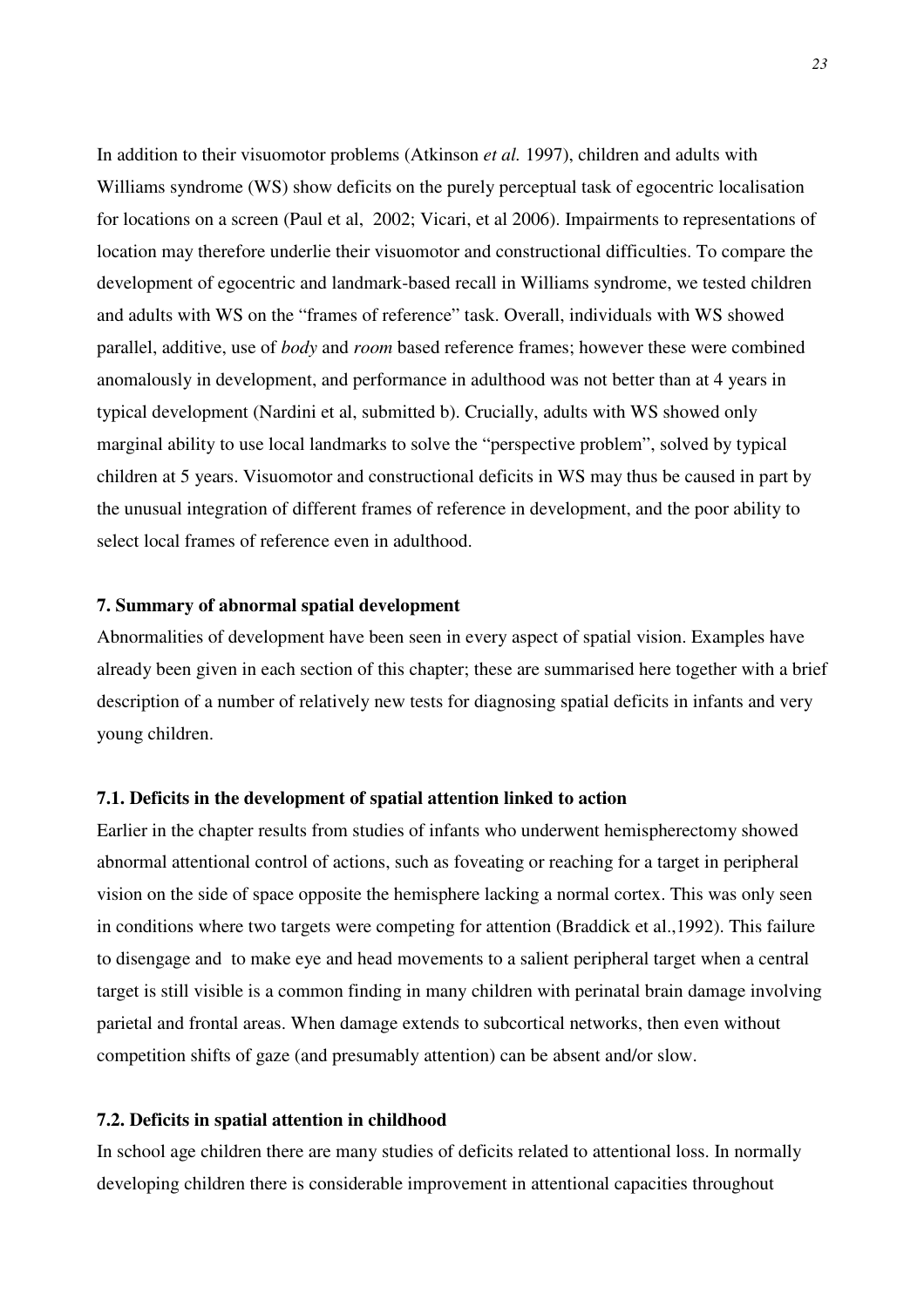In addition to their visuomotor problems (Atkinson *et al.* 1997), children and adults with Williams syndrome (WS) show deficits on the purely perceptual task of egocentric localisation for locations on a screen (Paul et al, 2002; Vicari, et al 2006). Impairments to representations of location may therefore underlie their visuomotor and constructional difficulties. To compare the development of egocentric and landmark-based recall in Williams syndrome, we tested children and adults with WS on the "frames of reference" task. Overall, individuals with WS showed parallel, additive, use of *body* and *room* based reference frames; however these were combined anomalously in development, and performance in adulthood was not better than at 4 years in typical development (Nardini et al, submitted b). Crucially, adults with WS showed only marginal ability to use local landmarks to solve the "perspective problem", solved by typical children at 5 years. Visuomotor and constructional deficits in WS may thus be caused in part by the unusual integration of different frames of reference in development, and the poor ability to select local frames of reference even in adulthood.

## **7. Summary of abnormal spatial development**

Abnormalities of development have been seen in every aspect of spatial vision. Examples have already been given in each section of this chapter; these are summarised here together with a brief description of a number of relatively new tests for diagnosing spatial deficits in infants and very young children.

### **7.1. Deficits in the development of spatial attention linked to action**

Earlier in the chapter results from studies of infants who underwent hemispherectomy showed abnormal attentional control of actions, such as foveating or reaching for a target in peripheral vision on the side of space opposite the hemisphere lacking a normal cortex. This was only seen in conditions where two targets were competing for attention (Braddick et al.,1992). This failure to disengage and to make eye and head movements to a salient peripheral target when a central target is still visible is a common finding in many children with perinatal brain damage involving parietal and frontal areas. When damage extends to subcortical networks, then even without competition shifts of gaze (and presumably attention) can be absent and/or slow.

## **7.2. Deficits in spatial attention in childhood**

In school age children there are many studies of deficits related to attentional loss. In normally developing children there is considerable improvement in attentional capacities throughout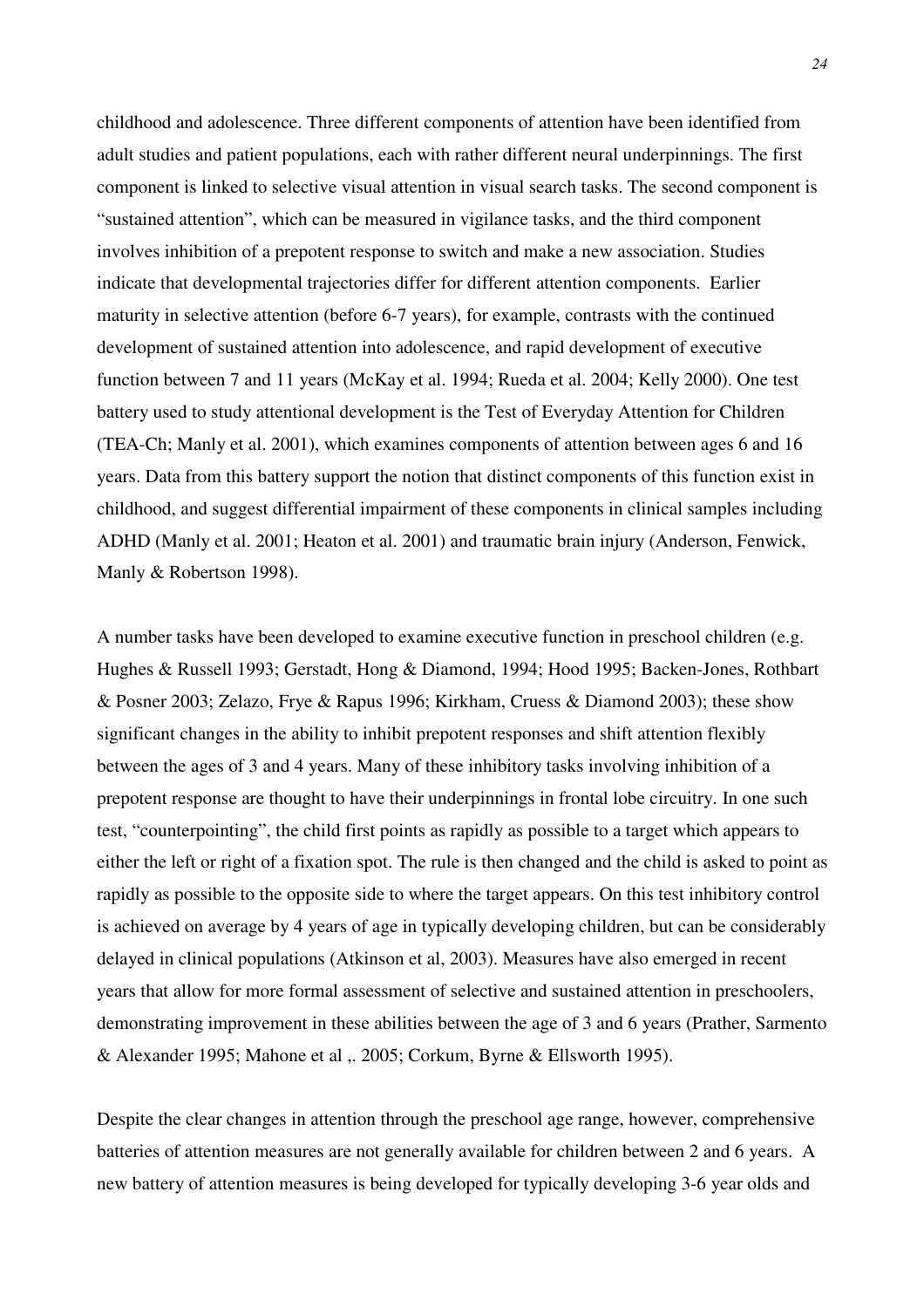childhood and adolescence. Three different components of attention have been identified from adult studies and patient populations, each with rather different neural underpinnings. The first component is linked to selective visual attention in visual search tasks. The second component is "sustained attention", which can be measured in vigilance tasks, and the third component involves inhibition of a prepotent response to switch and make a new association. Studies indicate that developmental trajectories differ for different attention components. Earlier maturity in selective attention (before 6-7 years), for example, contrasts with the continued development of sustained attention into adolescence, and rapid development of executive function between 7 and 11 years (McKay et al. 1994; Rueda et al. 2004; Kelly 2000). One test battery used to study attentional development is the Test of Everyday Attention for Children (TEA-Ch; Manly et al. 2001), which examines components of attention between ages 6 and 16 years. Data from this battery support the notion that distinct components of this function exist in childhood, and suggest differential impairment of these components in clinical samples including ADHD (Manly et al. 2001; Heaton et al. 2001) and traumatic brain injury (Anderson, Fenwick, Manly & Robertson 1998).

A number tasks have been developed to examine executive function in preschool children (e.g. Hughes & Russell 1993; Gerstadt, Hong & Diamond, 1994; Hood 1995; Backen-Jones, Rothbart & Posner 2003; Zelazo, Frye & Rapus 1996; Kirkham, Cruess & Diamond 2003); these show significant changes in the ability to inhibit prepotent responses and shift attention flexibly between the ages of 3 and 4 years. Many of these inhibitory tasks involving inhibition of a prepotent response are thought to have their underpinnings in frontal lobe circuitry. In one such test, "counterpointing", the child first points as rapidly as possible to a target which appears to either the left or right of a fixation spot. The rule is then changed and the child is asked to point as rapidly as possible to the opposite side to where the target appears. On this test inhibitory control is achieved on average by 4 years of age in typically developing children, but can be considerably delayed in clinical populations (Atkinson et al, 2003). Measures have also emerged in recent years that allow for more formal assessment of selective and sustained attention in preschoolers, demonstrating improvement in these abilities between the age of 3 and 6 years (Prather, Sarmento & Alexander 1995; Mahone et al ,. 2005; Corkum, Byrne & Ellsworth 1995).

Despite the clear changes in attention through the preschool age range, however, comprehensive batteries of attention measures are not generally available for children between 2 and 6 years. A new battery of attention measures is being developed for typically developing 3-6 year olds and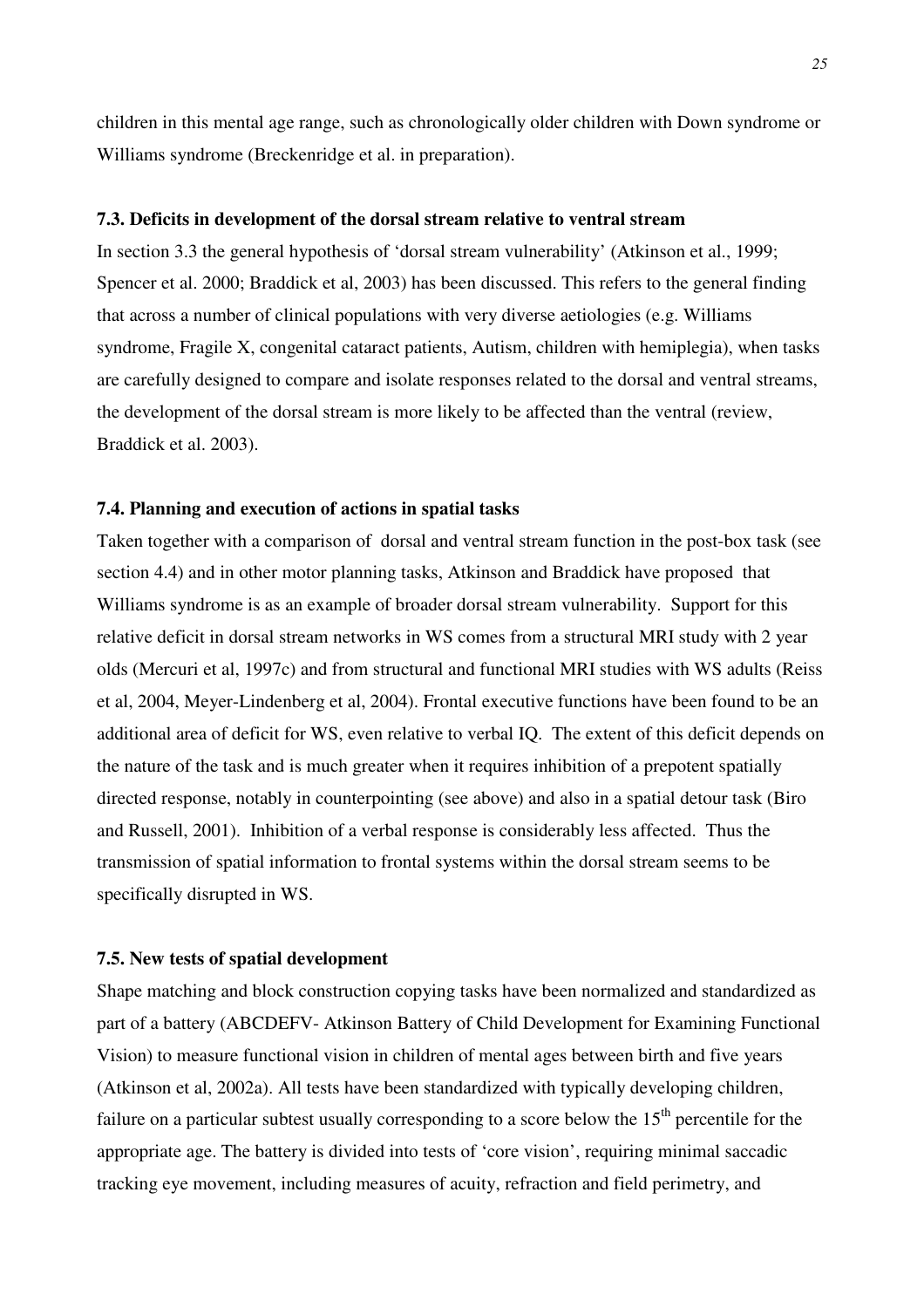children in this mental age range, such as chronologically older children with Down syndrome or Williams syndrome (Breckenridge et al. in preparation).

#### **7.3. Deficits in development of the dorsal stream relative to ventral stream**

In section 3.3 the general hypothesis of 'dorsal stream vulnerability' (Atkinson et al., 1999; Spencer et al. 2000; Braddick et al, 2003) has been discussed. This refers to the general finding that across a number of clinical populations with very diverse aetiologies (e.g. Williams syndrome, Fragile X, congenital cataract patients, Autism, children with hemiplegia), when tasks are carefully designed to compare and isolate responses related to the dorsal and ventral streams, the development of the dorsal stream is more likely to be affected than the ventral (review, Braddick et al. 2003).

## **7.4. Planning and execution of actions in spatial tasks**

Taken together with a comparison of dorsal and ventral stream function in the post-box task (see section 4.4) and in other motor planning tasks, Atkinson and Braddick have proposed that Williams syndrome is as an example of broader dorsal stream vulnerability. Support for this relative deficit in dorsal stream networks in WS comes from a structural MRI study with 2 year olds (Mercuri et al, 1997c) and from structural and functional MRI studies with WS adults (Reiss et al, 2004, Meyer-Lindenberg et al, 2004). Frontal executive functions have been found to be an additional area of deficit for WS, even relative to verbal IQ. The extent of this deficit depends on the nature of the task and is much greater when it requires inhibition of a prepotent spatially directed response, notably in counterpointing (see above) and also in a spatial detour task (Biro and Russell, 2001). Inhibition of a verbal response is considerably less affected. Thus the transmission of spatial information to frontal systems within the dorsal stream seems to be specifically disrupted in WS.

#### **7.5. New tests of spatial development**

Shape matching and block construction copying tasks have been normalized and standardized as part of a battery (ABCDEFV- Atkinson Battery of Child Development for Examining Functional Vision) to measure functional vision in children of mental ages between birth and five years (Atkinson et al, 2002a). All tests have been standardized with typically developing children, failure on a particular subtest usually corresponding to a score below the  $15<sup>th</sup>$  percentile for the appropriate age. The battery is divided into tests of 'core vision', requiring minimal saccadic tracking eye movement, including measures of acuity, refraction and field perimetry, and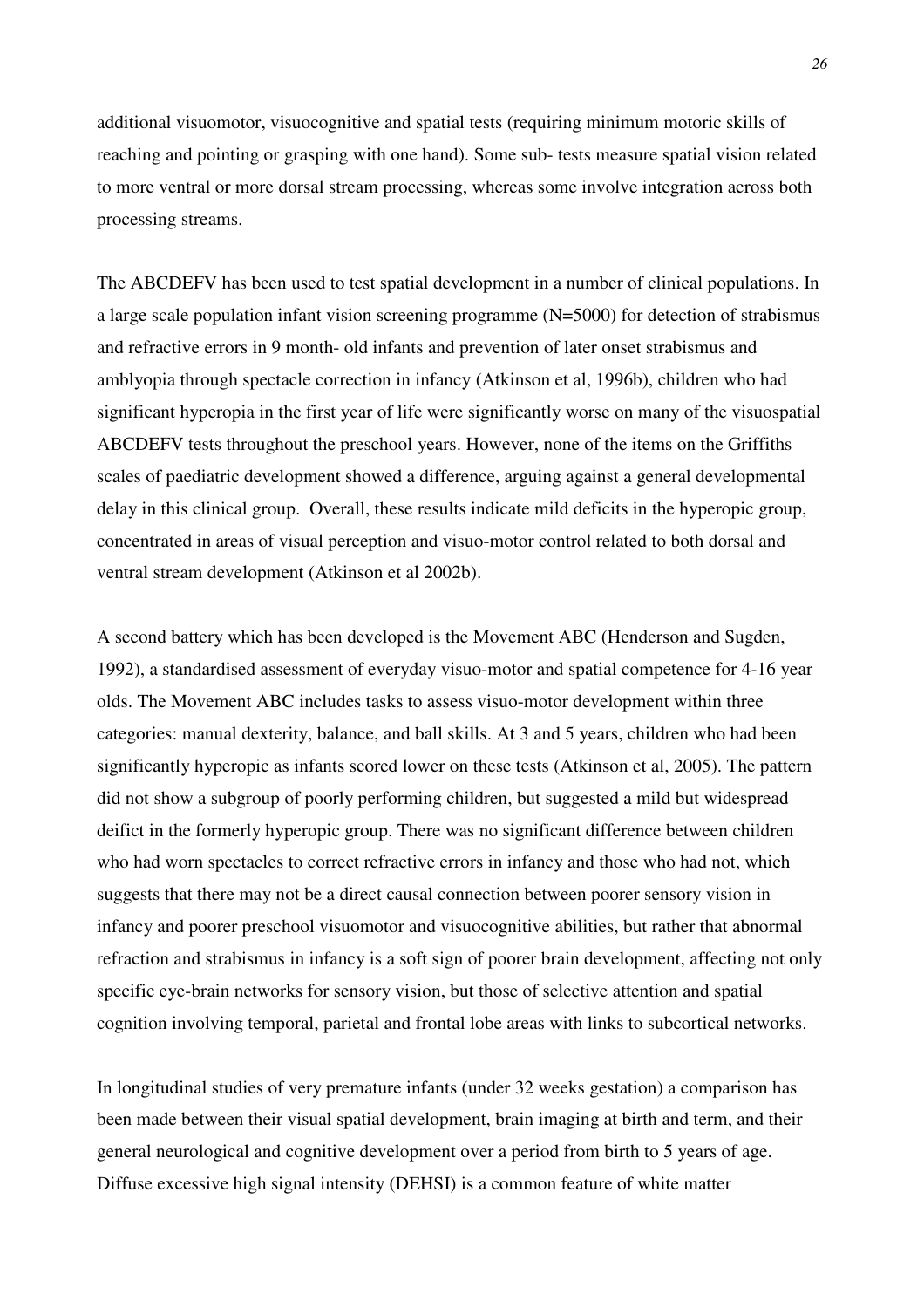additional visuomotor, visuocognitive and spatial tests (requiring minimum motoric skills of reaching and pointing or grasping with one hand). Some sub- tests measure spatial vision related to more ventral or more dorsal stream processing, whereas some involve integration across both processing streams.

The ABCDEFV has been used to test spatial development in a number of clinical populations. In a large scale population infant vision screening programme (N=5000) for detection of strabismus and refractive errors in 9 month- old infants and prevention of later onset strabismus and amblyopia through spectacle correction in infancy (Atkinson et al, 1996b), children who had significant hyperopia in the first year of life were significantly worse on many of the visuospatial ABCDEFV tests throughout the preschool years. However, none of the items on the Griffiths scales of paediatric development showed a difference, arguing against a general developmental delay in this clinical group. Overall, these results indicate mild deficits in the hyperopic group, concentrated in areas of visual perception and visuo-motor control related to both dorsal and ventral stream development (Atkinson et al 2002b).

A second battery which has been developed is the Movement ABC (Henderson and Sugden, 1992), a standardised assessment of everyday visuo-motor and spatial competence for 4-16 year olds. The Movement ABC includes tasks to assess visuo-motor development within three categories: manual dexterity, balance, and ball skills. At 3 and 5 years, children who had been significantly hyperopic as infants scored lower on these tests (Atkinson et al, 2005). The pattern did not show a subgroup of poorly performing children, but suggested a mild but widespread deifict in the formerly hyperopic group. There was no significant difference between children who had worn spectacles to correct refractive errors in infancy and those who had not, which suggests that there may not be a direct causal connection between poorer sensory vision in infancy and poorer preschool visuomotor and visuocognitive abilities, but rather that abnormal refraction and strabismus in infancy is a soft sign of poorer brain development, affecting not only specific eye-brain networks for sensory vision, but those of selective attention and spatial cognition involving temporal, parietal and frontal lobe areas with links to subcortical networks.

In longitudinal studies of very premature infants (under 32 weeks gestation) a comparison has been made between their visual spatial development, brain imaging at birth and term, and their general neurological and cognitive development over a period from birth to 5 years of age. Diffuse excessive high signal intensity (DEHSI) is a common feature of white matter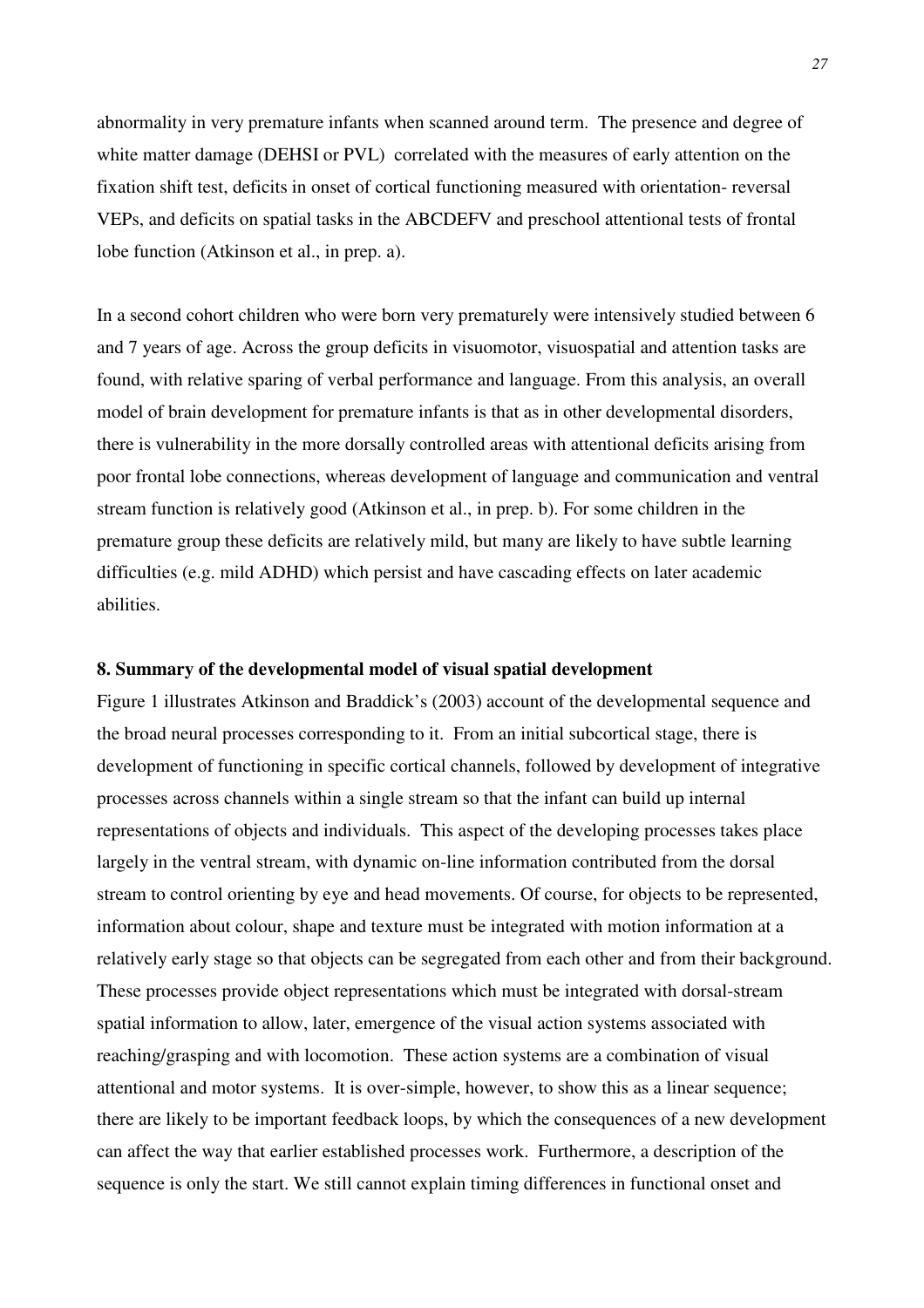abnormality in very premature infants when scanned around term. The presence and degree of white matter damage (DEHSI or PVL) correlated with the measures of early attention on the fixation shift test, deficits in onset of cortical functioning measured with orientation- reversal VEPs, and deficits on spatial tasks in the ABCDEFV and preschool attentional tests of frontal lobe function (Atkinson et al., in prep. a).

In a second cohort children who were born very prematurely were intensively studied between 6 and 7 years of age. Across the group deficits in visuomotor, visuospatial and attention tasks are found, with relative sparing of verbal performance and language. From this analysis, an overall model of brain development for premature infants is that as in other developmental disorders, there is vulnerability in the more dorsally controlled areas with attentional deficits arising from poor frontal lobe connections, whereas development of language and communication and ventral stream function is relatively good (Atkinson et al., in prep. b). For some children in the premature group these deficits are relatively mild, but many are likely to have subtle learning difficulties (e.g. mild ADHD) which persist and have cascading effects on later academic abilities.

## **8. Summary of the developmental model of visual spatial development**

Figure 1 illustrates Atkinson and Braddick's (2003) account of the developmental sequence and the broad neural processes corresponding to it. From an initial subcortical stage, there is development of functioning in specific cortical channels, followed by development of integrative processes across channels within a single stream so that the infant can build up internal representations of objects and individuals. This aspect of the developing processes takes place largely in the ventral stream, with dynamic on-line information contributed from the dorsal stream to control orienting by eye and head movements. Of course, for objects to be represented, information about colour, shape and texture must be integrated with motion information at a relatively early stage so that objects can be segregated from each other and from their background. These processes provide object representations which must be integrated with dorsal-stream spatial information to allow, later, emergence of the visual action systems associated with reaching/grasping and with locomotion. These action systems are a combination of visual attentional and motor systems. It is over-simple, however, to show this as a linear sequence; there are likely to be important feedback loops, by which the consequences of a new development can affect the way that earlier established processes work. Furthermore, a description of the sequence is only the start. We still cannot explain timing differences in functional onset and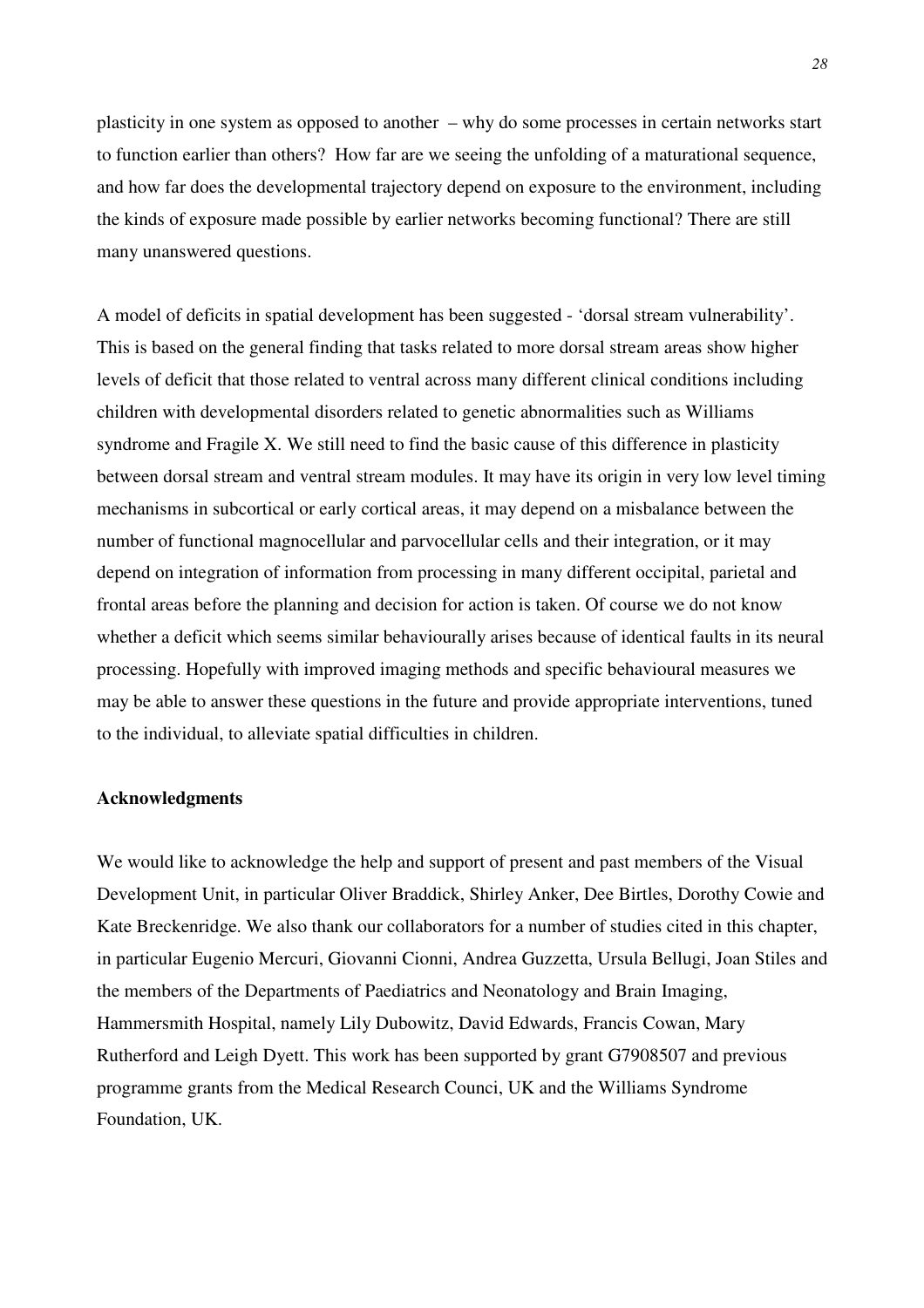plasticity in one system as opposed to another – why do some processes in certain networks start to function earlier than others? How far are we seeing the unfolding of a maturational sequence, and how far does the developmental trajectory depend on exposure to the environment, including the kinds of exposure made possible by earlier networks becoming functional? There are still many unanswered questions.

A model of deficits in spatial development has been suggested - 'dorsal stream vulnerability'. This is based on the general finding that tasks related to more dorsal stream areas show higher levels of deficit that those related to ventral across many different clinical conditions including children with developmental disorders related to genetic abnormalities such as Williams syndrome and Fragile X. We still need to find the basic cause of this difference in plasticity between dorsal stream and ventral stream modules. It may have its origin in very low level timing mechanisms in subcortical or early cortical areas, it may depend on a misbalance between the number of functional magnocellular and parvocellular cells and their integration, or it may depend on integration of information from processing in many different occipital, parietal and frontal areas before the planning and decision for action is taken. Of course we do not know whether a deficit which seems similar behaviourally arises because of identical faults in its neural processing. Hopefully with improved imaging methods and specific behavioural measures we may be able to answer these questions in the future and provide appropriate interventions, tuned to the individual, to alleviate spatial difficulties in children.

## **Acknowledgments**

We would like to acknowledge the help and support of present and past members of the Visual Development Unit, in particular Oliver Braddick, Shirley Anker, Dee Birtles, Dorothy Cowie and Kate Breckenridge. We also thank our collaborators for a number of studies cited in this chapter, in particular Eugenio Mercuri, Giovanni Cionni, Andrea Guzzetta, Ursula Bellugi, Joan Stiles and the members of the Departments of Paediatrics and Neonatology and Brain Imaging, Hammersmith Hospital, namely Lily Dubowitz, David Edwards, Francis Cowan, Mary Rutherford and Leigh Dyett. This work has been supported by grant G7908507 and previous programme grants from the Medical Research Counci, UK and the Williams Syndrome Foundation, UK.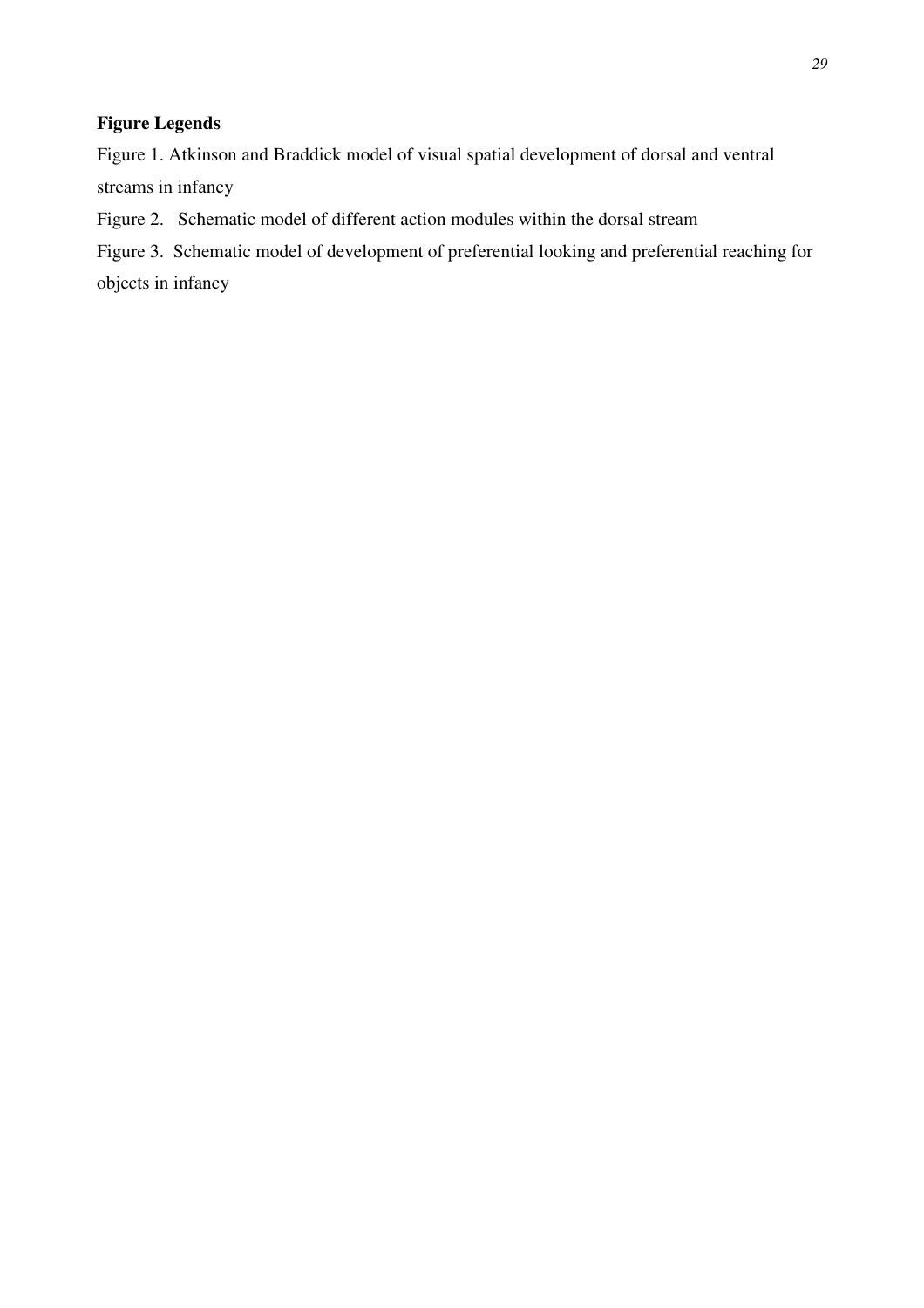## **Figure Legends**

Figure 1. Atkinson and Braddick model of visual spatial development of dorsal and ventral streams in infancy

Figure 2. Schematic model of different action modules within the dorsal stream

Figure 3. Schematic model of development of preferential looking and preferential reaching for objects in infancy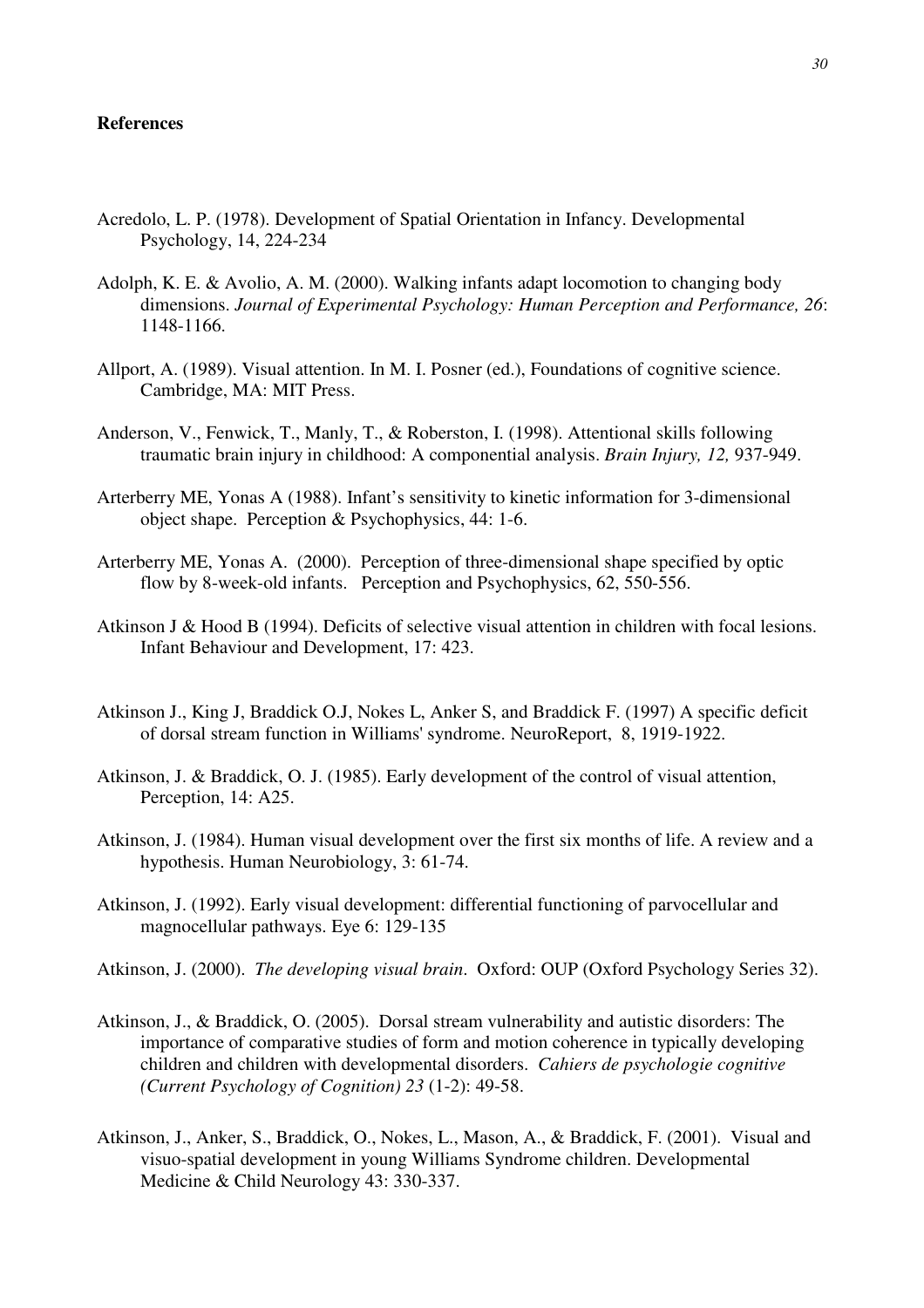## **References**

- Acredolo, L. P. (1978). Development of Spatial Orientation in Infancy. Developmental Psychology, 14, 224-234
- Adolph, K. E. & Avolio, A. M. (2000). Walking infants adapt locomotion to changing body dimensions. *Journal of Experimental Psychology: Human Perception and Performance, 26*: 1148-1166.
- Allport, A. (1989). Visual attention. In M. I. Posner (ed.), Foundations of cognitive science. Cambridge, MA: MIT Press.
- Anderson, V., Fenwick, T., Manly, T., & Roberston, I. (1998). Attentional skills following traumatic brain injury in childhood: A componential analysis. *Brain Injury, 12,* 937-949.
- Arterberry ME, Yonas A (1988). Infant's sensitivity to kinetic information for 3-dimensional object shape. Perception & Psychophysics, 44: 1-6.
- Arterberry ME, Yonas A. (2000). Perception of three-dimensional shape specified by optic flow by 8-week-old infants. Perception and Psychophysics, 62, 550-556.
- Atkinson J & Hood B (1994). Deficits of selective visual attention in children with focal lesions. Infant Behaviour and Development, 17: 423.
- Atkinson J., King J, Braddick O.J, Nokes L, Anker S, and Braddick F. (1997) A specific deficit of dorsal stream function in Williams' syndrome. NeuroReport, 8, 1919-1922.
- Atkinson, J. & Braddick, O. J. (1985). Early development of the control of visual attention, Perception, 14: A25.
- Atkinson, J. (1984). Human visual development over the first six months of life. A review and a hypothesis. Human Neurobiology, 3: 61-74.
- Atkinson, J. (1992). Early visual development: differential functioning of parvocellular and magnocellular pathways. Eye 6: 129-135
- Atkinson, J. (2000). *The developing visual brain*. Oxford: OUP (Oxford Psychology Series 32).
- Atkinson, J., & Braddick, O. (2005). Dorsal stream vulnerability and autistic disorders: The importance of comparative studies of form and motion coherence in typically developing children and children with developmental disorders. *Cahiers de psychologie cognitive (Current Psychology of Cognition) 23* (1-2): 49-58.
- Atkinson, J., Anker, S., Braddick, O., Nokes, L., Mason, A., & Braddick, F. (2001). Visual and visuo-spatial development in young Williams Syndrome children. Developmental Medicine & Child Neurology 43: 330-337.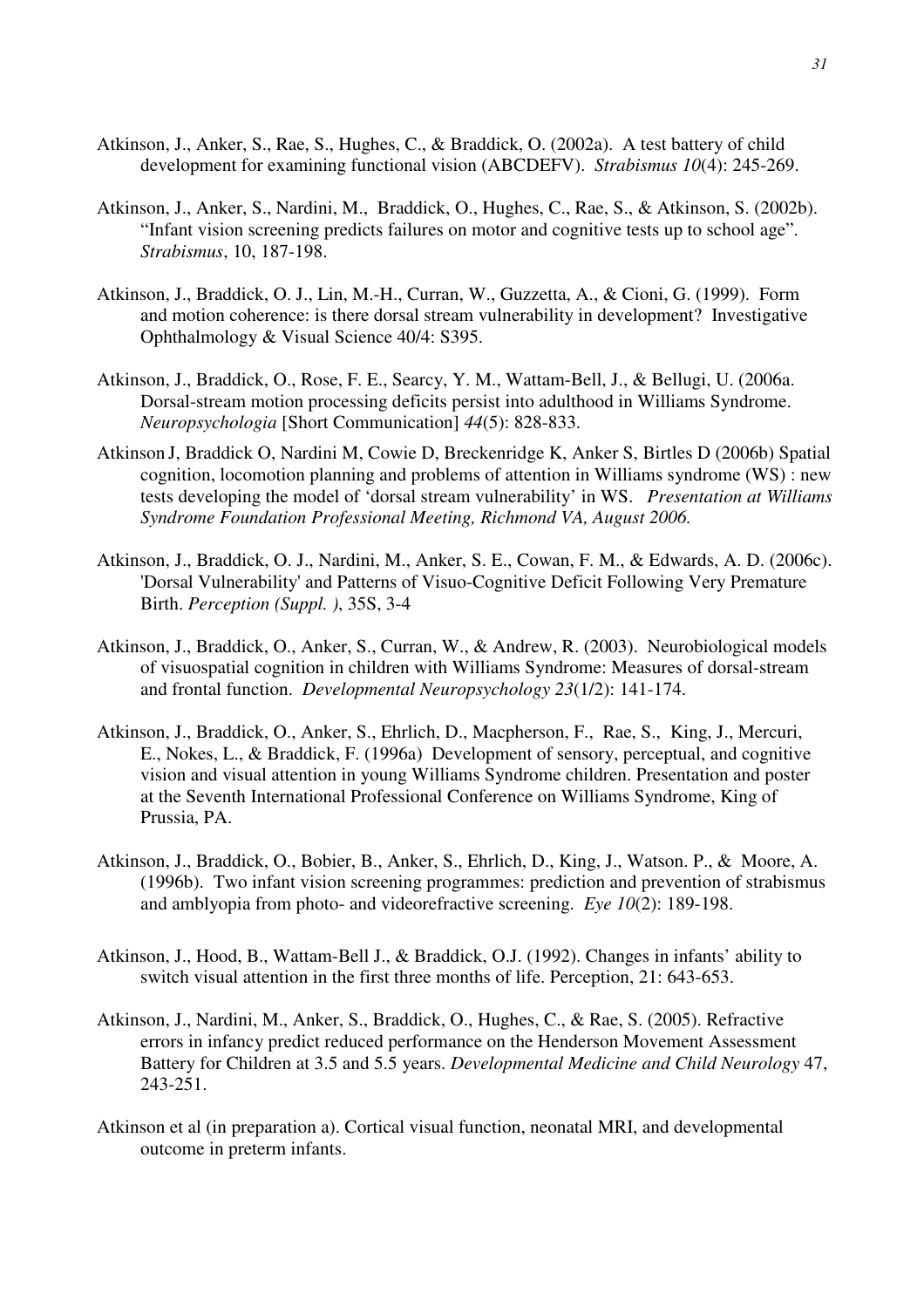- Atkinson, J., Anker, S., Rae, S., Hughes, C., & Braddick, O. (2002a). A test battery of child development for examining functional vision (ABCDEFV). *Strabismus 10*(4): 245-269.
- Atkinson, J., Anker, S., Nardini, M., Braddick, O., Hughes, C., Rae, S., & Atkinson, S. (2002b). "Infant vision screening predicts failures on motor and cognitive tests up to school age". *Strabismus*, 10, 187-198.
- Atkinson, J., Braddick, O. J., Lin, M.-H., Curran, W., Guzzetta, A., & Cioni, G. (1999). Form and motion coherence: is there dorsal stream vulnerability in development? Investigative Ophthalmology & Visual Science 40/4: S395.
- Atkinson, J., Braddick, O., Rose, F. E., Searcy, Y. M., Wattam-Bell, J., & Bellugi, U. (2006a. Dorsal-stream motion processing deficits persist into adulthood in Williams Syndrome. *Neuropsychologia* [Short Communication] *44*(5): 828-833.
- Atkinson J, Braddick O, Nardini M, Cowie D, Breckenridge K, Anker S, Birtles D (2006b) Spatial cognition, locomotion planning and problems of attention in Williams syndrome (WS) : new tests developing the model of 'dorsal stream vulnerability' in WS. *Presentation at Williams Syndrome Foundation Professional Meeting, Richmond VA, August 2006.*
- Atkinson, J., Braddick, O. J., Nardini, M., Anker, S. E., Cowan, F. M., & Edwards, A. D. (2006c). 'Dorsal Vulnerability' and Patterns of Visuo-Cognitive Deficit Following Very Premature Birth. *Perception (Suppl. )*, 35S, 3-4
- Atkinson, J., Braddick, O., Anker, S., Curran, W., & Andrew, R. (2003). Neurobiological models of visuospatial cognition in children with Williams Syndrome: Measures of dorsal-stream and frontal function. *Developmental Neuropsychology 23*(1/2): 141-174.
- Atkinson, J., Braddick, O., Anker, S., Ehrlich, D., Macpherson, F., Rae, S., King, J., Mercuri, E., Nokes, L., & Braddick, F. (1996a) Development of sensory, perceptual, and cognitive vision and visual attention in young Williams Syndrome children. Presentation and poster at the Seventh International Professional Conference on Williams Syndrome, King of Prussia, PA.
- Atkinson, J., Braddick, O., Bobier, B., Anker, S., Ehrlich, D., King, J., Watson. P., & Moore, A. (1996b). Two infant vision screening programmes: prediction and prevention of strabismus and amblyopia from photo- and videorefractive screening. *Eye 10*(2): 189-198.
- Atkinson, J., Hood, B., Wattam-Bell J., & Braddick, O.J. (1992). Changes in infants' ability to switch visual attention in the first three months of life. Perception, 21: 643-653.
- Atkinson, J., Nardini, M., Anker, S., Braddick, O., Hughes, C., & Rae, S. (2005). Refractive errors in infancy predict reduced performance on the Henderson Movement Assessment Battery for Children at 3.5 and 5.5 years. *Developmental Medicine and Child Neurology* 47, 243-251.
- Atkinson et al (in preparation a). Cortical visual function, neonatal MRI, and developmental outcome in preterm infants.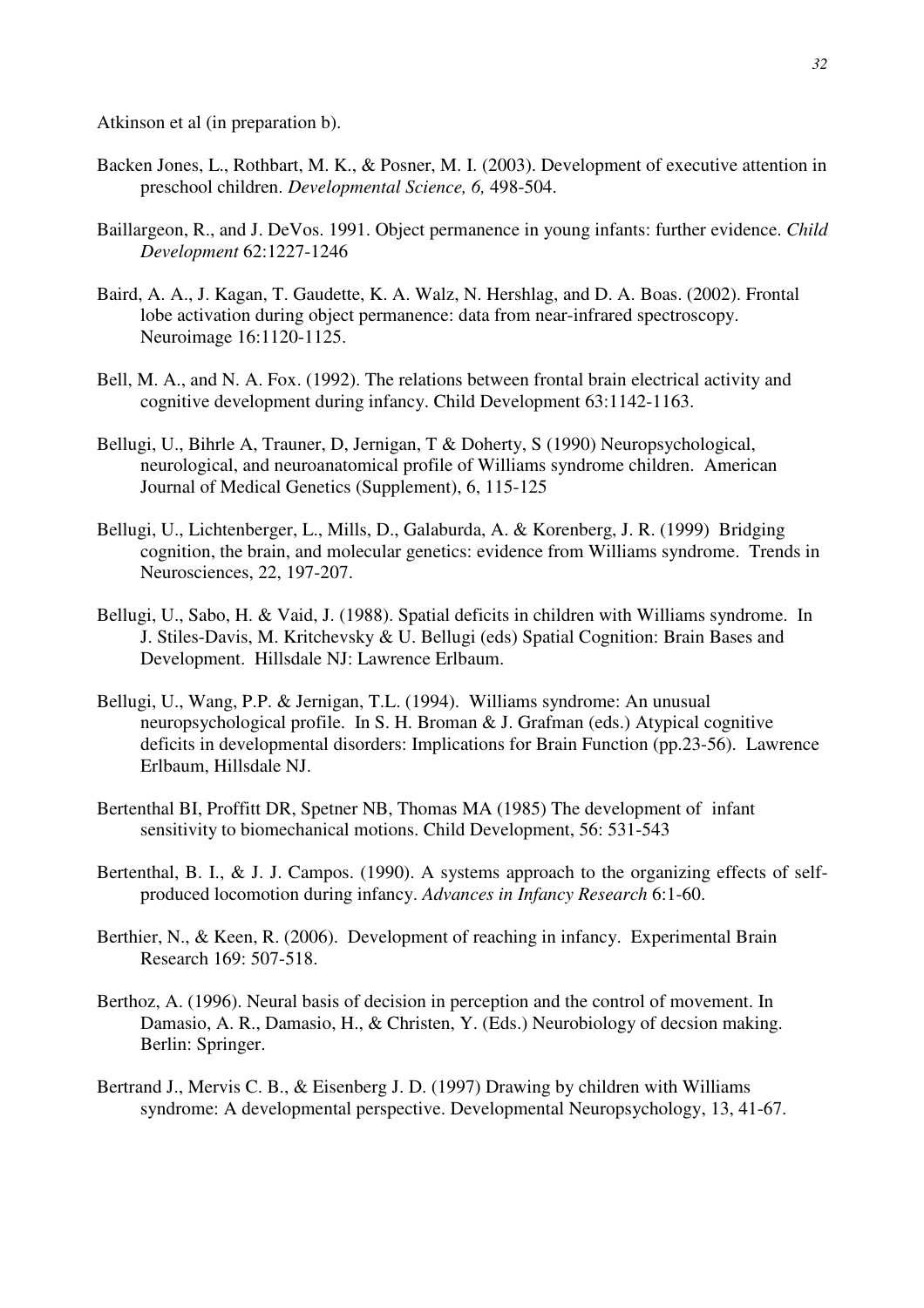Atkinson et al (in preparation b).

- Backen Jones, L., Rothbart, M. K., & Posner, M. I. (2003). Development of executive attention in preschool children. *Developmental Science, 6,* 498-504.
- Baillargeon, R., and J. DeVos. 1991. Object permanence in young infants: further evidence. *Child Development* 62:1227-1246
- Baird, A. A., J. Kagan, T. Gaudette, K. A. Walz, N. Hershlag, and D. A. Boas. (2002). Frontal lobe activation during object permanence: data from near-infrared spectroscopy. Neuroimage 16:1120-1125.
- Bell, M. A., and N. A. Fox. (1992). The relations between frontal brain electrical activity and cognitive development during infancy. Child Development 63:1142-1163.
- Bellugi, U., Bihrle A, Trauner, D, Jernigan, T & Doherty, S (1990) Neuropsychological, neurological, and neuroanatomical profile of Williams syndrome children. American Journal of Medical Genetics (Supplement), 6, 115-125
- Bellugi, U., Lichtenberger, L., Mills, D., Galaburda, A. & Korenberg, J. R. (1999) Bridging cognition, the brain, and molecular genetics: evidence from Williams syndrome. Trends in Neurosciences, 22, 197-207.
- Bellugi, U., Sabo, H. & Vaid, J. (1988). Spatial deficits in children with Williams syndrome. In J. Stiles-Davis, M. Kritchevsky & U. Bellugi (eds) Spatial Cognition: Brain Bases and Development. Hillsdale NJ: Lawrence Erlbaum.
- Bellugi, U., Wang, P.P. & Jernigan, T.L. (1994). Williams syndrome: An unusual neuropsychological profile. In S. H. Broman & J. Grafman (eds.) Atypical cognitive deficits in developmental disorders: Implications for Brain Function (pp.23-56). Lawrence Erlbaum, Hillsdale NJ.
- Bertenthal BI, Proffitt DR, Spetner NB, Thomas MA (1985) The development of infant sensitivity to biomechanical motions. Child Development, 56: 531-543
- Bertenthal, B. I., & J. J. Campos. (1990). A systems approach to the organizing effects of selfproduced locomotion during infancy. *Advances in Infancy Research* 6:1-60.
- Berthier, N., & Keen, R. (2006). Development of reaching in infancy. Experimental Brain Research 169: 507-518.
- Berthoz, A. (1996). Neural basis of decision in perception and the control of movement. In Damasio, A. R., Damasio, H., & Christen, Y. (Eds.) Neurobiology of decsion making. Berlin: Springer.
- Bertrand J., Mervis C. B., & Eisenberg J. D. (1997) Drawing by children with Williams syndrome: A developmental perspective. Developmental Neuropsychology, 13, 41-67.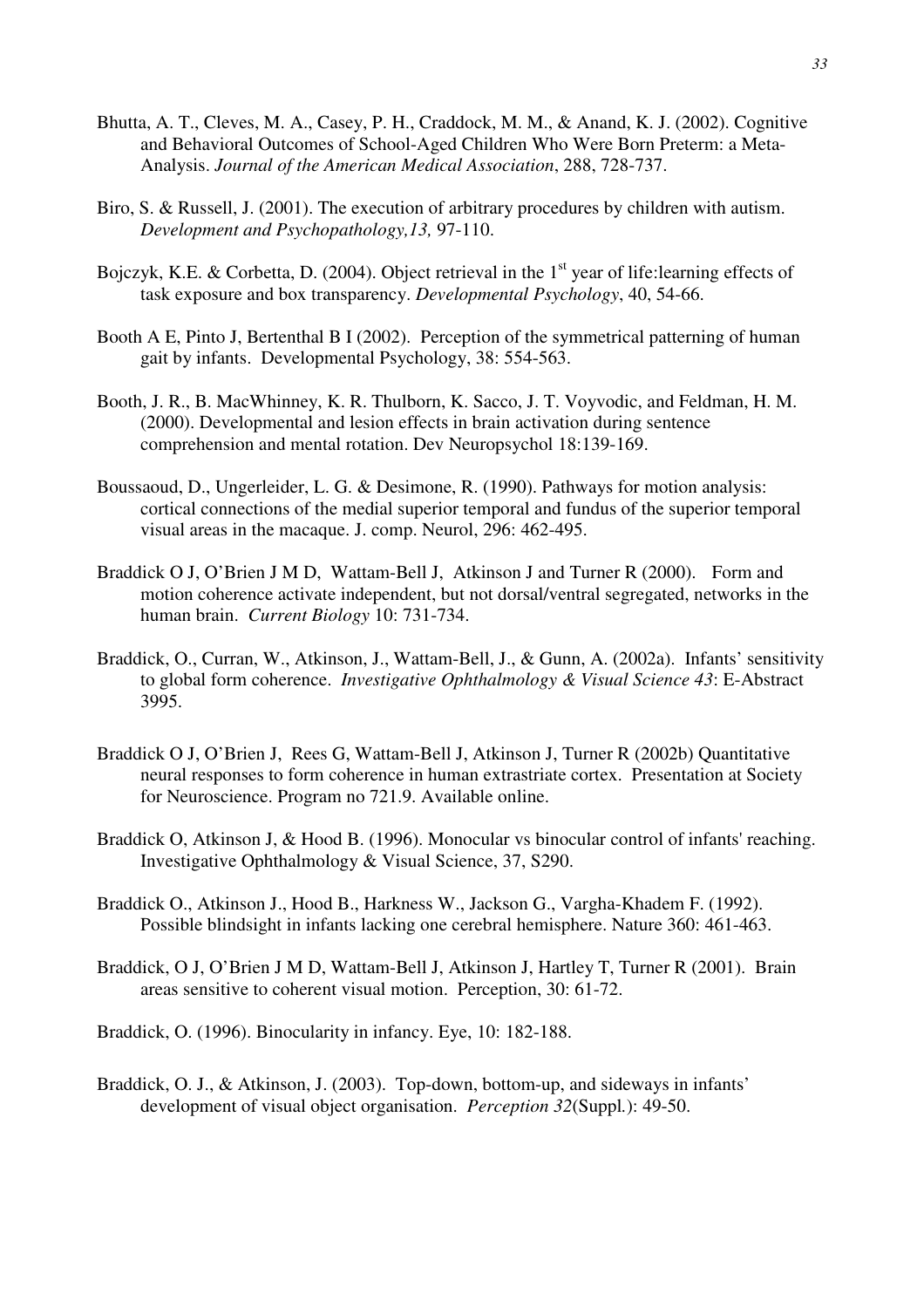- Bhutta, A. T., Cleves, M. A., Casey, P. H., Craddock, M. M., & Anand, K. J. (2002). Cognitive and Behavioral Outcomes of School-Aged Children Who Were Born Preterm: a Meta-Analysis. *Journal of the American Medical Association*, 288, 728-737.
- Biro, S. & Russell, J. (2001). The execution of arbitrary procedures by children with autism. *Development and Psychopathology,13,* 97-110.
- Bojczyk, K.E. & Corbetta, D. (2004). Object retrieval in the  $1<sup>st</sup>$  year of life: learning effects of task exposure and box transparency. *Developmental Psychology*, 40, 54-66.
- Booth A E, Pinto J, Bertenthal B I (2002). Perception of the symmetrical patterning of human gait by infants. Developmental Psychology, 38: 554-563.
- Booth, J. R., B. MacWhinney, K. R. Thulborn, K. Sacco, J. T. Voyvodic, and Feldman, H. M. (2000). Developmental and lesion effects in brain activation during sentence comprehension and mental rotation. Dev Neuropsychol 18:139-169.
- Boussaoud, D., Ungerleider, L. G. & Desimone, R. (1990). Pathways for motion analysis: cortical connections of the medial superior temporal and fundus of the superior temporal visual areas in the macaque. J. comp. Neurol, 296: 462-495.
- Braddick O J, O'Brien J M D, Wattam-Bell J, Atkinson J and Turner R (2000). Form and motion coherence activate independent, but not dorsal/ventral segregated, networks in the human brain. *Current Biology* 10: 731-734.
- Braddick, O., Curran, W., Atkinson, J., Wattam-Bell, J., & Gunn, A. (2002a). Infants' sensitivity to global form coherence. *Investigative Ophthalmology & Visual Science 43*: E-Abstract 3995.
- Braddick O J, O'Brien J, Rees G, Wattam-Bell J, Atkinson J, Turner R (2002b) Quantitative neural responses to form coherence in human extrastriate cortex. Presentation at Society for Neuroscience. Program no 721.9. Available online.
- Braddick O, Atkinson J, & Hood B. (1996). Monocular vs binocular control of infants' reaching. Investigative Ophthalmology & Visual Science, 37, S290.
- Braddick O., Atkinson J., Hood B., Harkness W., Jackson G., Vargha-Khadem F. (1992). Possible blindsight in infants lacking one cerebral hemisphere. Nature 360: 461-463.
- Braddick, O J, O'Brien J M D, Wattam-Bell J, Atkinson J, Hartley T, Turner R (2001). Brain areas sensitive to coherent visual motion. Perception, 30: 61-72.
- Braddick, O. (1996). Binocularity in infancy. Eye, 10: 182-188.
- Braddick, O. J., & Atkinson, J. (2003). Top-down, bottom-up, and sideways in infants' development of visual object organisation. *Perception 32*(Suppl*.*): 49-50.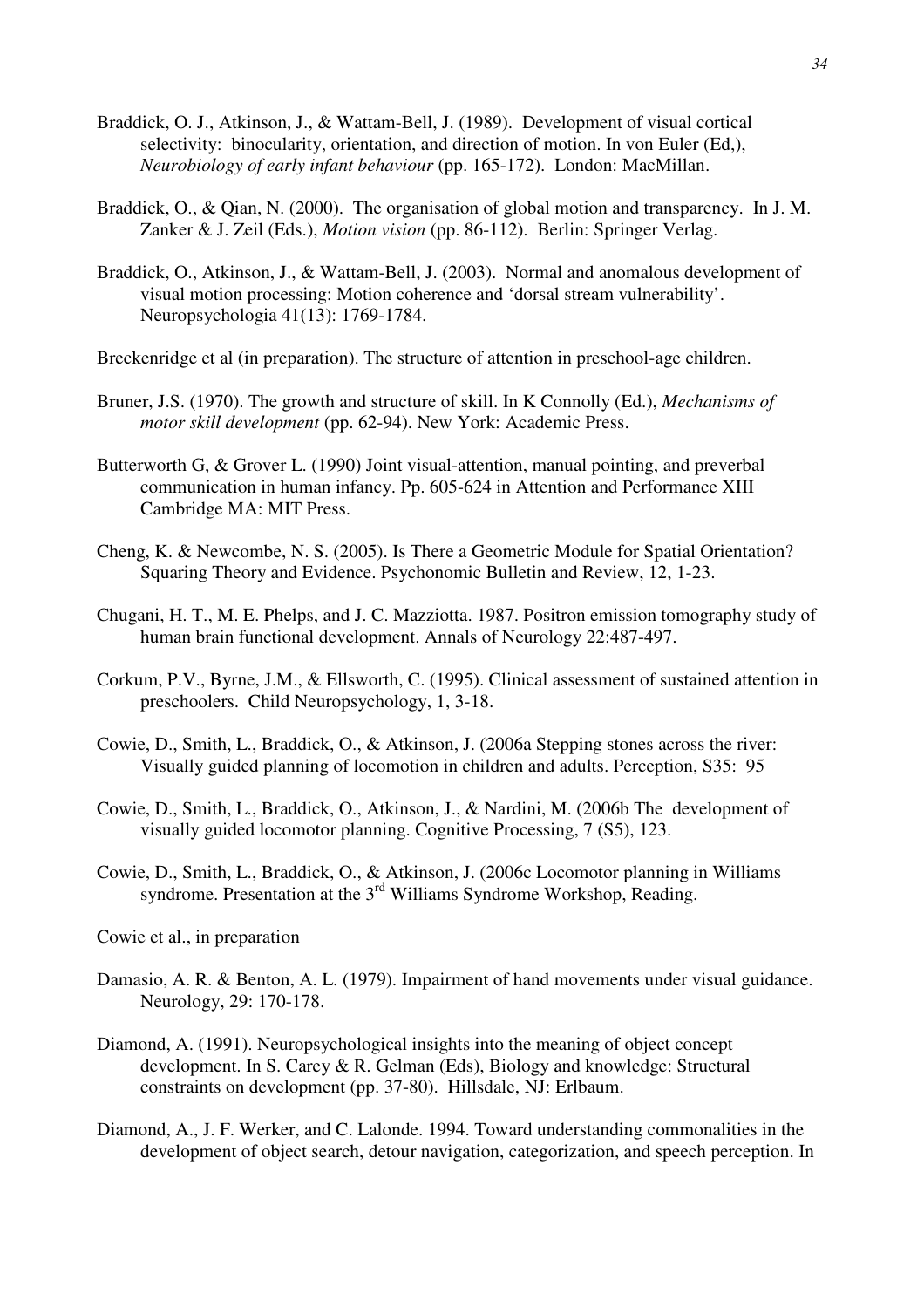- Braddick, O. J., Atkinson, J., & Wattam-Bell, J. (1989). Development of visual cortical selectivity: binocularity, orientation, and direction of motion. In von Euler (Ed,), *Neurobiology of early infant behaviour* (pp. 165-172). London: MacMillan.
- Braddick, O., & Oian, N. (2000). The organisation of global motion and transparency. In J. M. Zanker & J. Zeil (Eds.), *Motion vision* (pp. 86-112). Berlin: Springer Verlag.
- Braddick, O., Atkinson, J., & Wattam-Bell, J. (2003). Normal and anomalous development of visual motion processing: Motion coherence and 'dorsal stream vulnerability'. Neuropsychologia 41(13): 1769-1784.
- Breckenridge et al (in preparation). The structure of attention in preschool-age children.
- Bruner, J.S. (1970). The growth and structure of skill. In K Connolly (Ed.), *Mechanisms of motor skill development* (pp. 62-94). New York: Academic Press.
- Butterworth G, & Grover L. (1990) Joint visual-attention, manual pointing, and preverbal communication in human infancy. Pp. 605-624 in Attention and Performance XIII Cambridge MA: MIT Press.
- Cheng, K. & Newcombe, N. S. (2005). Is There a Geometric Module for Spatial Orientation? Squaring Theory and Evidence. Psychonomic Bulletin and Review, 12, 1-23.
- Chugani, H. T., M. E. Phelps, and J. C. Mazziotta. 1987. Positron emission tomography study of human brain functional development. Annals of Neurology 22:487-497.
- Corkum, P.V., Byrne, J.M., & Ellsworth, C. (1995). Clinical assessment of sustained attention in preschoolers. Child Neuropsychology, 1, 3-18.
- Cowie, D., Smith, L., Braddick, O., & Atkinson, J. (2006a Stepping stones across the river: Visually guided planning of locomotion in children and adults. Perception, S35: 95
- Cowie, D., Smith, L., Braddick, O., Atkinson, J., & Nardini, M. (2006b The development of visually guided locomotor planning. Cognitive Processing, 7 (S5), 123.
- Cowie, D., Smith, L., Braddick, O., & Atkinson, J. (2006c Locomotor planning in Williams syndrome. Presentation at the  $3<sup>rd</sup>$  Williams Syndrome Workshop, Reading.
- Cowie et al., in preparation
- Damasio, A. R. & Benton, A. L. (1979). Impairment of hand movements under visual guidance. Neurology, 29: 170-178.
- Diamond, A. (1991). Neuropsychological insights into the meaning of object concept development. In S. Carey & R. Gelman (Eds), Biology and knowledge: Structural constraints on development (pp. 37-80). Hillsdale, NJ: Erlbaum.
- Diamond, A., J. F. Werker, and C. Lalonde. 1994. Toward understanding commonalities in the development of object search, detour navigation, categorization, and speech perception. In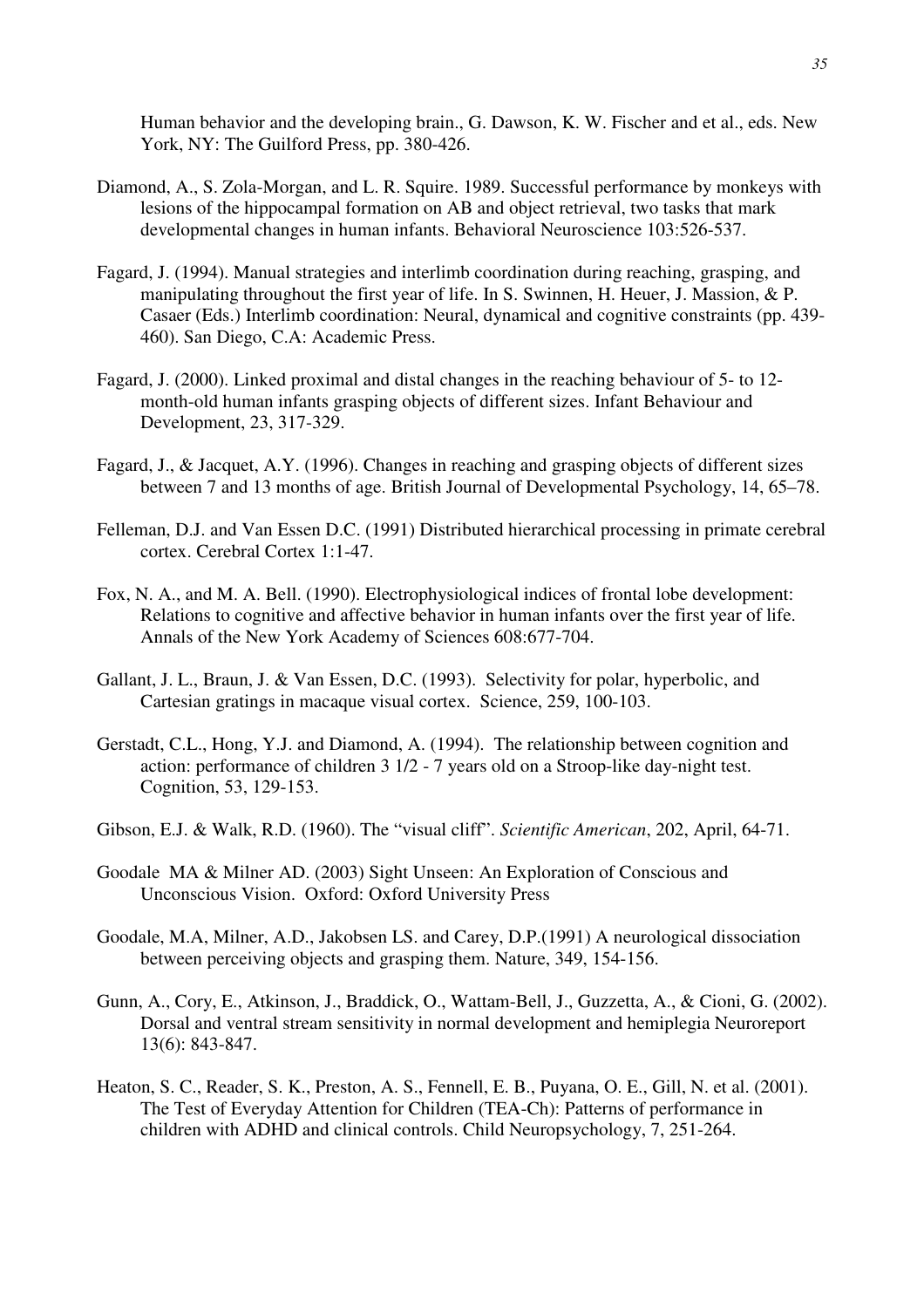Human behavior and the developing brain., G. Dawson, K. W. Fischer and et al., eds. New York, NY: The Guilford Press, pp. 380-426.

- Diamond, A., S. Zola-Morgan, and L. R. Squire. 1989. Successful performance by monkeys with lesions of the hippocampal formation on AB and object retrieval, two tasks that mark developmental changes in human infants. Behavioral Neuroscience 103:526-537.
- Fagard, J. (1994). Manual strategies and interlimb coordination during reaching, grasping, and manipulating throughout the first year of life. In S. Swinnen, H. Heuer, J. Massion, & P. Casaer (Eds.) Interlimb coordination: Neural, dynamical and cognitive constraints (pp. 439- 460). San Diego, C.A: Academic Press.
- Fagard, J. (2000). Linked proximal and distal changes in the reaching behaviour of 5- to 12 month-old human infants grasping objects of different sizes. Infant Behaviour and Development, 23, 317-329.
- Fagard, J., & Jacquet, A.Y. (1996). Changes in reaching and grasping objects of different sizes between 7 and 13 months of age. British Journal of Developmental Psychology, 14, 65–78.
- Felleman, D.J. and Van Essen D.C. (1991) Distributed hierarchical processing in primate cerebral cortex. Cerebral Cortex 1:1-47.
- Fox, N. A., and M. A. Bell. (1990). Electrophysiological indices of frontal lobe development: Relations to cognitive and affective behavior in human infants over the first year of life. Annals of the New York Academy of Sciences 608:677-704.
- Gallant, J. L., Braun, J. & Van Essen, D.C. (1993). Selectivity for polar, hyperbolic, and Cartesian gratings in macaque visual cortex. Science, 259, 100-103.
- Gerstadt, C.L., Hong, Y.J. and Diamond, A. (1994). The relationship between cognition and action: performance of children 3 1/2 - 7 years old on a Stroop-like day-night test. Cognition, 53, 129-153.
- Gibson, E.J. & Walk, R.D. (1960). The "visual cliff". *Scientific American*, 202, April, 64-71.
- Goodale MA & Milner AD. (2003) Sight Unseen: An Exploration of Conscious and Unconscious Vision. Oxford: Oxford University Press
- Goodale, M.A, Milner, A.D., Jakobsen LS. and Carey, D.P.(1991) A neurological dissociation between perceiving objects and grasping them. Nature, 349, 154-156.
- Gunn, A., Cory, E., Atkinson, J., Braddick, O., Wattam-Bell, J., Guzzetta, A., & Cioni, G. (2002). Dorsal and ventral stream sensitivity in normal development and hemiplegia Neuroreport 13(6): 843-847.
- Heaton, S. C., Reader, S. K., Preston, A. S., Fennell, E. B., Puyana, O. E., Gill, N. et al. (2001). The Test of Everyday Attention for Children (TEA-Ch): Patterns of performance in children with ADHD and clinical controls. Child Neuropsychology, 7, 251-264.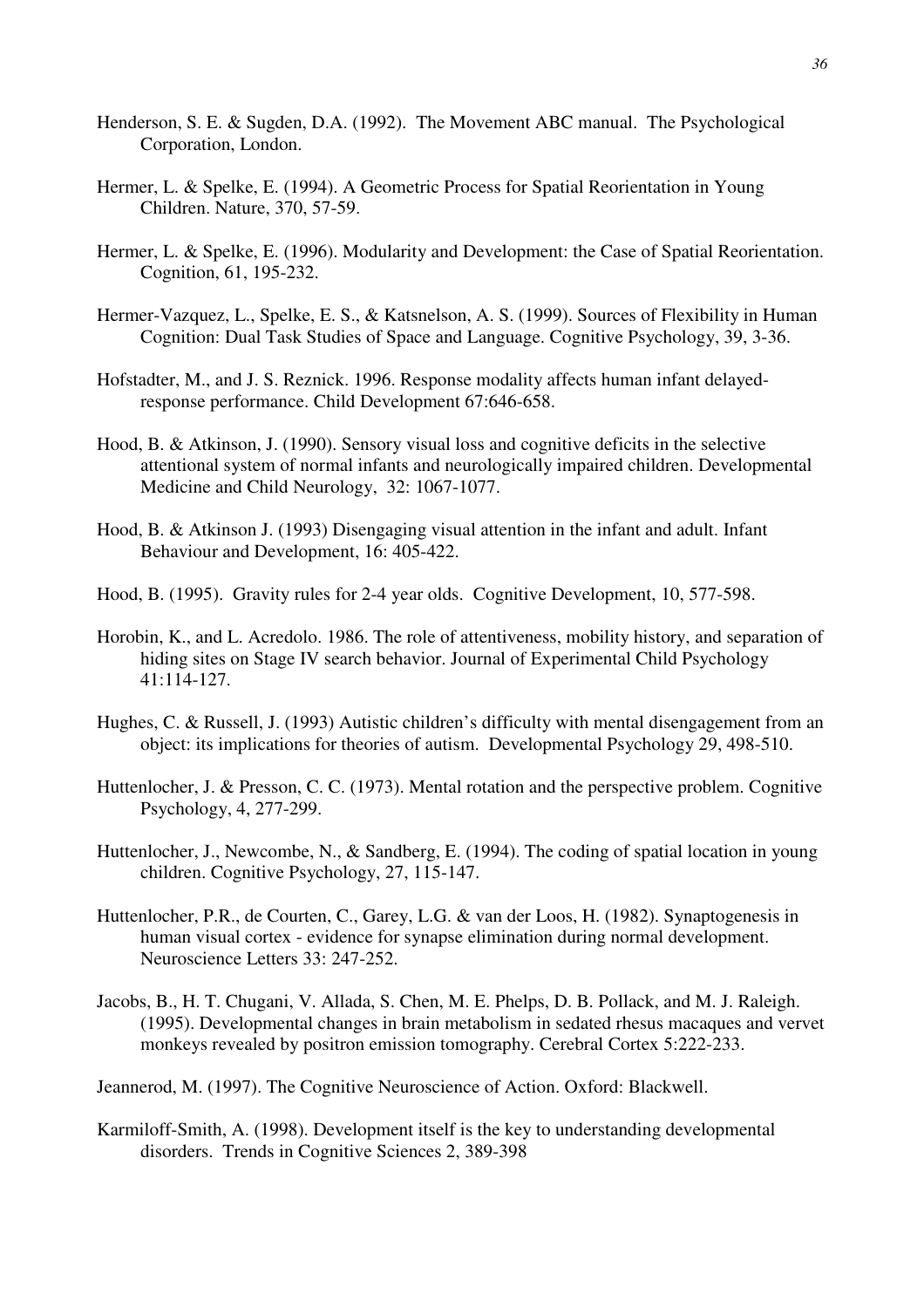- Henderson, S. E. & Sugden, D.A. (1992). The Movement ABC manual. The Psychological Corporation, London.
- Hermer, L. & Spelke, E. (1994). A Geometric Process for Spatial Reorientation in Young Children. Nature, 370, 57-59.
- Hermer, L. & Spelke, E. (1996). Modularity and Development: the Case of Spatial Reorientation. Cognition, 61, 195-232.
- Hermer-Vazquez, L., Spelke, E. S., & Katsnelson, A. S. (1999). Sources of Flexibility in Human Cognition: Dual Task Studies of Space and Language. Cognitive Psychology, 39, 3-36.
- Hofstadter, M., and J. S. Reznick. 1996. Response modality affects human infant delayedresponse performance. Child Development 67:646-658.
- Hood, B. & Atkinson, J. (1990). Sensory visual loss and cognitive deficits in the selective attentional system of normal infants and neurologically impaired children. Developmental Medicine and Child Neurology, 32: 1067-1077.
- Hood, B. & Atkinson J. (1993) Disengaging visual attention in the infant and adult. Infant Behaviour and Development, 16: 405-422.
- Hood, B. (1995). Gravity rules for 2-4 year olds. Cognitive Development, 10, 577-598.
- Horobin, K., and L. Acredolo. 1986. The role of attentiveness, mobility history, and separation of hiding sites on Stage IV search behavior. Journal of Experimental Child Psychology 41:114-127.
- Hughes, C. & Russell, J. (1993) Autistic children's difficulty with mental disengagement from an object: its implications for theories of autism. Developmental Psychology 29, 498-510.
- Huttenlocher, J. & Presson, C. C. (1973). Mental rotation and the perspective problem. Cognitive Psychology, 4, 277-299.
- Huttenlocher, J., Newcombe, N., & Sandberg, E. (1994). The coding of spatial location in young children. Cognitive Psychology, 27, 115-147.
- Huttenlocher, P.R., de Courten, C., Garey, L.G. & van der Loos, H. (1982). Synaptogenesis in human visual cortex - evidence for synapse elimination during normal development. Neuroscience Letters 33: 247-252.
- Jacobs, B., H. T. Chugani, V. Allada, S. Chen, M. E. Phelps, D. B. Pollack, and M. J. Raleigh. (1995). Developmental changes in brain metabolism in sedated rhesus macaques and vervet monkeys revealed by positron emission tomography. Cerebral Cortex 5:222-233.
- Jeannerod, M. (1997). The Cognitive Neuroscience of Action. Oxford: Blackwell.
- Karmiloff-Smith, A. (1998). Development itself is the key to understanding developmental disorders. Trends in Cognitive Sciences 2, 389-398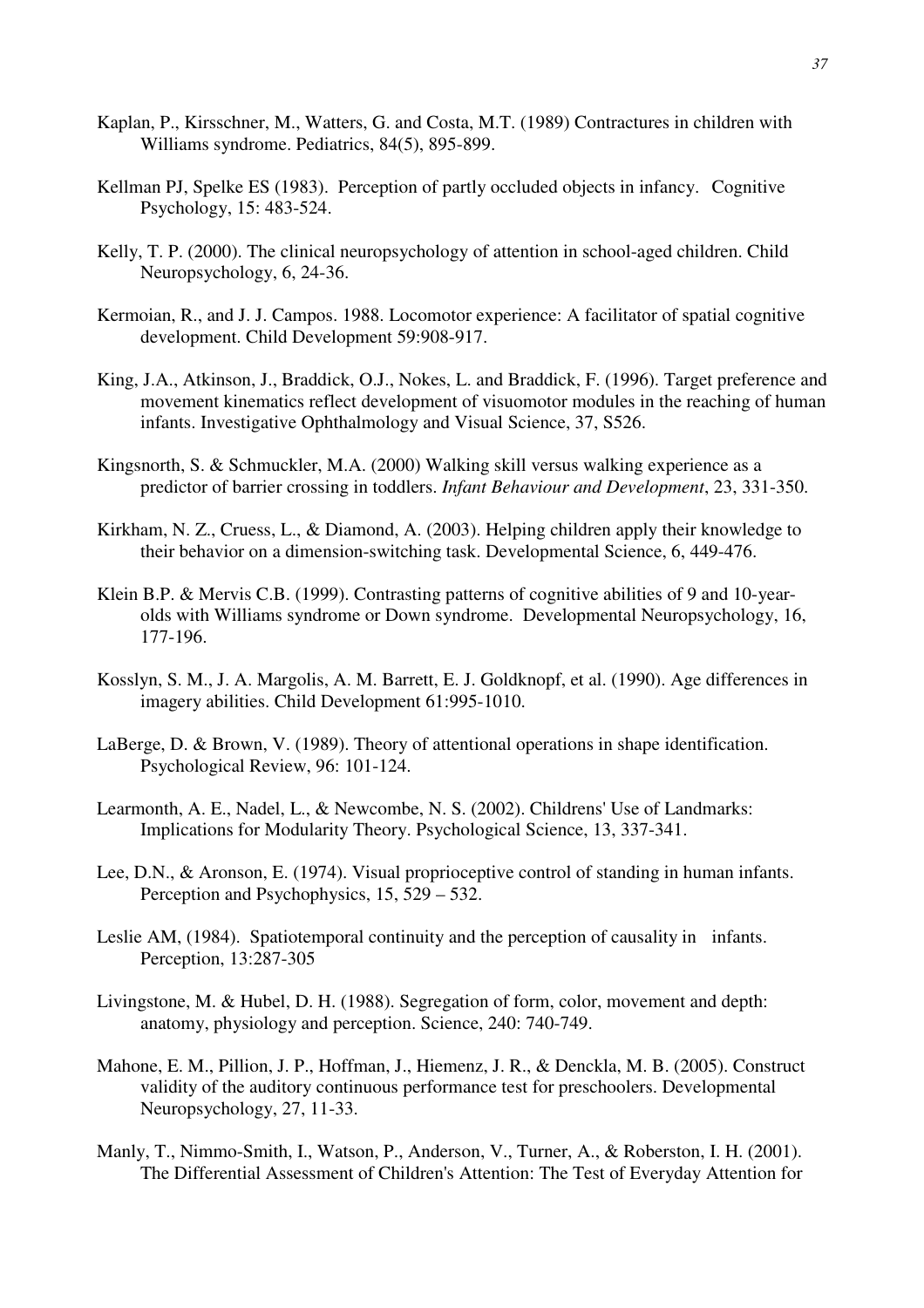- Kaplan, P., Kirsschner, M., Watters, G. and Costa, M.T. (1989) Contractures in children with Williams syndrome. Pediatrics, 84(5), 895-899.
- Kellman PJ, Spelke ES (1983). Perception of partly occluded objects in infancy. Cognitive Psychology, 15: 483-524.
- Kelly, T. P. (2000). The clinical neuropsychology of attention in school-aged children. Child Neuropsychology, 6, 24-36.
- Kermoian, R., and J. J. Campos. 1988. Locomotor experience: A facilitator of spatial cognitive development. Child Development 59:908-917.
- King, J.A., Atkinson, J., Braddick, O.J., Nokes, L. and Braddick, F. (1996). Target preference and movement kinematics reflect development of visuomotor modules in the reaching of human infants. Investigative Ophthalmology and Visual Science, 37, S526.
- Kingsnorth, S. & Schmuckler, M.A. (2000) Walking skill versus walking experience as a predictor of barrier crossing in toddlers. *Infant Behaviour and Development*, 23, 331-350.
- Kirkham, N. Z., Cruess, L., & Diamond, A. (2003). Helping children apply their knowledge to their behavior on a dimension-switching task. Developmental Science, 6, 449-476.
- Klein B.P. & Mervis C.B. (1999). Contrasting patterns of cognitive abilities of 9 and 10-yearolds with Williams syndrome or Down syndrome. Developmental Neuropsychology, 16, 177-196.
- Kosslyn, S. M., J. A. Margolis, A. M. Barrett, E. J. Goldknopf, et al. (1990). Age differences in imagery abilities. Child Development 61:995-1010.
- LaBerge, D. & Brown, V. (1989). Theory of attentional operations in shape identification. Psychological Review, 96: 101-124.
- Learmonth, A. E., Nadel, L., & Newcombe, N. S. (2002). Childrens' Use of Landmarks: Implications for Modularity Theory. Psychological Science, 13, 337-341.
- Lee, D.N., & Aronson, E. (1974). Visual proprioceptive control of standing in human infants. Perception and Psychophysics, 15, 529 – 532.
- Leslie AM, (1984). Spatiotemporal continuity and the perception of causality in infants. Perception, 13:287-305
- Livingstone, M. & Hubel, D. H. (1988). Segregation of form, color, movement and depth: anatomy, physiology and perception. Science, 240: 740-749.
- Mahone, E. M., Pillion, J. P., Hoffman, J., Hiemenz, J. R., & Denckla, M. B. (2005). Construct validity of the auditory continuous performance test for preschoolers. Developmental Neuropsychology, 27, 11-33.
- Manly, T., Nimmo-Smith, I., Watson, P., Anderson, V., Turner, A., & Roberston, I. H. (2001). The Differential Assessment of Children's Attention: The Test of Everyday Attention for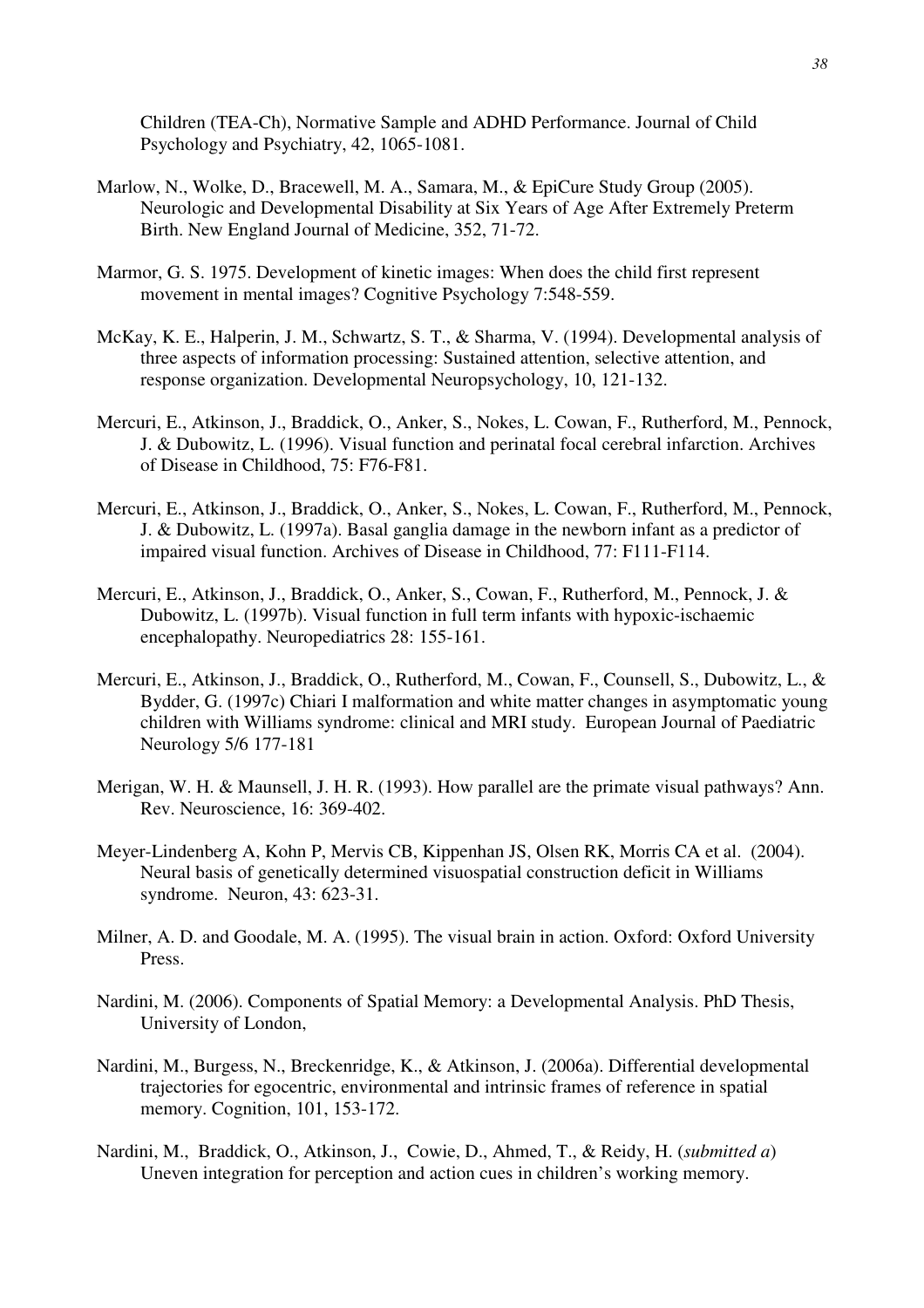Children (TEA-Ch), Normative Sample and ADHD Performance. Journal of Child Psychology and Psychiatry, 42, 1065-1081.

- Marlow, N., Wolke, D., Bracewell, M. A., Samara, M., & EpiCure Study Group (2005). Neurologic and Developmental Disability at Six Years of Age After Extremely Preterm Birth. New England Journal of Medicine, 352, 71-72.
- Marmor, G. S. 1975. Development of kinetic images: When does the child first represent movement in mental images? Cognitive Psychology 7:548-559.
- McKay, K. E., Halperin, J. M., Schwartz, S. T., & Sharma, V. (1994). Developmental analysis of three aspects of information processing: Sustained attention, selective attention, and response organization. Developmental Neuropsychology, 10, 121-132.
- Mercuri, E., Atkinson, J., Braddick, O., Anker, S., Nokes, L. Cowan, F., Rutherford, M., Pennock, J. & Dubowitz, L. (1996). Visual function and perinatal focal cerebral infarction. Archives of Disease in Childhood, 75: F76-F81.
- Mercuri, E., Atkinson, J., Braddick, O., Anker, S., Nokes, L. Cowan, F., Rutherford, M., Pennock, J. & Dubowitz, L. (1997a). Basal ganglia damage in the newborn infant as a predictor of impaired visual function. Archives of Disease in Childhood, 77: F111-F114.
- Mercuri, E., Atkinson, J., Braddick, O., Anker, S., Cowan, F., Rutherford, M., Pennock, J. & Dubowitz, L. (1997b). Visual function in full term infants with hypoxic-ischaemic encephalopathy. Neuropediatrics 28: 155-161.
- Mercuri, E., Atkinson, J., Braddick, O., Rutherford, M., Cowan, F., Counsell, S., Dubowitz, L., & Bydder, G. (1997c) Chiari I malformation and white matter changes in asymptomatic young children with Williams syndrome: clinical and MRI study. European Journal of Paediatric Neurology 5/6 177-181
- Merigan, W. H. & Maunsell, J. H. R. (1993). How parallel are the primate visual pathways? Ann. Rev. Neuroscience, 16: 369-402.
- Meyer-Lindenberg A, Kohn P, Mervis CB, Kippenhan JS, Olsen RK, Morris CA et al. (2004). Neural basis of genetically determined visuospatial construction deficit in Williams syndrome. Neuron, 43: 623-31.
- Milner, A. D. and Goodale, M. A. (1995). The visual brain in action. Oxford: Oxford University Press.
- Nardini, M. (2006). Components of Spatial Memory: a Developmental Analysis. PhD Thesis, University of London,
- Nardini, M., Burgess, N., Breckenridge, K., & Atkinson, J. (2006a). Differential developmental trajectories for egocentric, environmental and intrinsic frames of reference in spatial memory. Cognition, 101, 153-172.
- Nardini, M., Braddick, O., Atkinson, J., Cowie, D., Ahmed, T., & Reidy, H. (*submitted a*) Uneven integration for perception and action cues in children's working memory.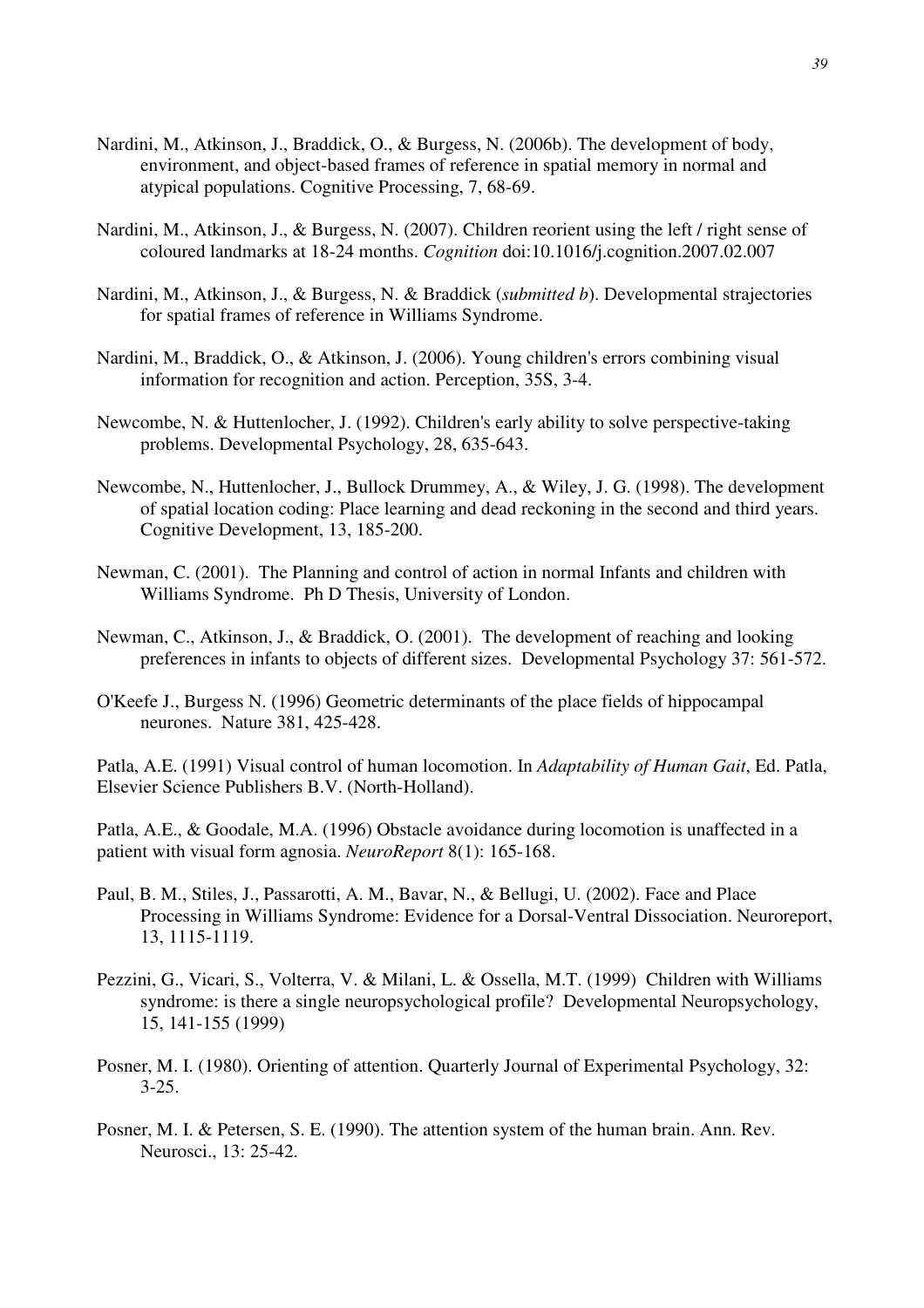- Nardini, M., Atkinson, J., Braddick, O., & Burgess, N. (2006b). The development of body, environment, and object-based frames of reference in spatial memory in normal and atypical populations. Cognitive Processing, 7, 68-69.
- Nardini, M., Atkinson, J., & Burgess, N. (2007). Children reorient using the left / right sense of coloured landmarks at 18-24 months. *Cognition* doi:10.1016/j.cognition.2007.02.007
- Nardini, M., Atkinson, J., & Burgess, N. & Braddick (*submitted b*). Developmental strajectories for spatial frames of reference in Williams Syndrome.
- Nardini, M., Braddick, O., & Atkinson, J. (2006). Young children's errors combining visual information for recognition and action. Perception, 35S, 3-4.
- Newcombe, N. & Huttenlocher, J. (1992). Children's early ability to solve perspective-taking problems. Developmental Psychology, 28, 635-643.
- Newcombe, N., Huttenlocher, J., Bullock Drummey, A., & Wiley, J. G. (1998). The development of spatial location coding: Place learning and dead reckoning in the second and third years. Cognitive Development, 13, 185-200.
- Newman, C. (2001). The Planning and control of action in normal Infants and children with Williams Syndrome. Ph D Thesis, University of London.
- Newman, C., Atkinson, J., & Braddick, O. (2001). The development of reaching and looking preferences in infants to objects of different sizes. Developmental Psychology 37: 561-572.
- O'Keefe J., Burgess N. (1996) Geometric determinants of the place fields of hippocampal neurones. Nature 381, 425-428.

Patla, A.E. (1991) Visual control of human locomotion. In *Adaptability of Human Gait*, Ed. Patla, Elsevier Science Publishers B.V. (North-Holland).

Patla, A.E., & Goodale, M.A. (1996) Obstacle avoidance during locomotion is unaffected in a patient with visual form agnosia. *NeuroReport* 8(1): 165-168.

- Paul, B. M., Stiles, J., Passarotti, A. M., Bavar, N., & Bellugi, U. (2002). Face and Place Processing in Williams Syndrome: Evidence for a Dorsal-Ventral Dissociation. Neuroreport, 13, 1115-1119.
- Pezzini, G., Vicari, S., Volterra, V. & Milani, L. & Ossella, M.T. (1999) Children with Williams syndrome: is there a single neuropsychological profile? Developmental Neuropsychology, 15, 141-155 (1999)
- Posner, M. I. (1980). Orienting of attention. Quarterly Journal of Experimental Psychology, 32:  $3 - 25$ .
- Posner, M. I. & Petersen, S. E. (1990). The attention system of the human brain. Ann. Rev. Neurosci., 13: 25-42.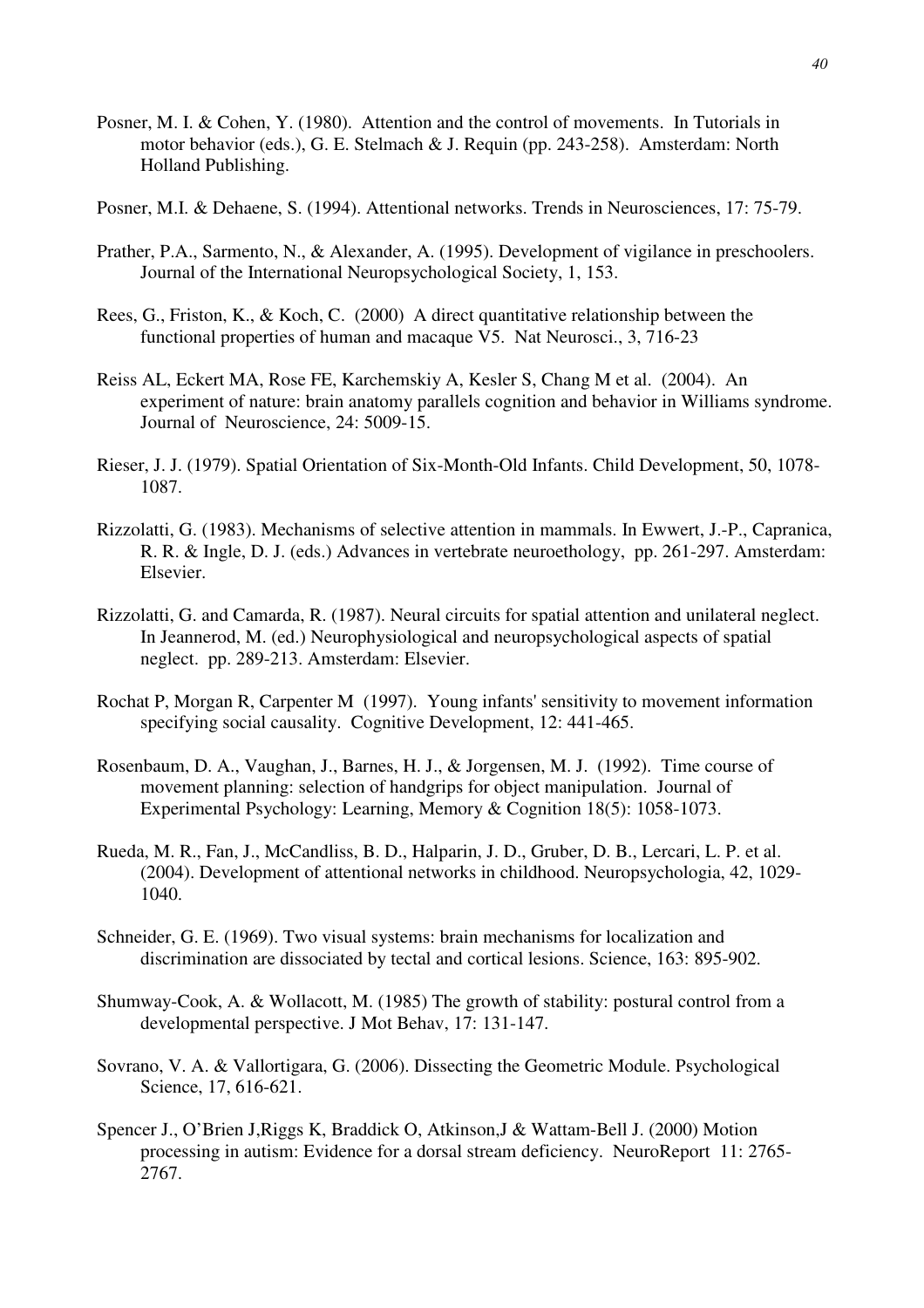- Posner, M. I. & Cohen, Y. (1980). Attention and the control of movements. In Tutorials in motor behavior (eds.), G. E. Stelmach & J. Requin (pp. 243-258). Amsterdam: North Holland Publishing.
- Posner, M.I. & Dehaene, S. (1994). Attentional networks. Trends in Neurosciences, 17: 75-79.
- Prather, P.A., Sarmento, N., & Alexander, A. (1995). Development of vigilance in preschoolers. Journal of the International Neuropsychological Society, 1, 153.
- Rees, G., Friston, K., & Koch, C. (2000) A direct quantitative relationship between the functional properties of human and macaque V5. Nat Neurosci., 3, 716-23
- Reiss AL, Eckert MA, Rose FE, Karchemskiy A, Kesler S, Chang M et al. (2004). An experiment of nature: brain anatomy parallels cognition and behavior in Williams syndrome. Journal of Neuroscience, 24: 5009-15.
- Rieser, J. J. (1979). Spatial Orientation of Six-Month-Old Infants. Child Development, 50, 1078- 1087.
- Rizzolatti, G. (1983). Mechanisms of selective attention in mammals. In Ewwert, J.-P., Capranica, R. R. & Ingle, D. J. (eds.) Advances in vertebrate neuroethology, pp. 261-297. Amsterdam: Elsevier.
- Rizzolatti, G. and Camarda, R. (1987). Neural circuits for spatial attention and unilateral neglect. In Jeannerod, M. (ed.) Neurophysiological and neuropsychological aspects of spatial neglect. pp. 289-213. Amsterdam: Elsevier.
- Rochat P, Morgan R, Carpenter M (1997). Young infants' sensitivity to movement information specifying social causality. Cognitive Development, 12: 441-465.
- Rosenbaum, D. A., Vaughan, J., Barnes, H. J., & Jorgensen, M. J. (1992). Time course of movement planning: selection of handgrips for object manipulation. Journal of Experimental Psychology: Learning, Memory & Cognition 18(5): 1058-1073.
- Rueda, M. R., Fan, J., McCandliss, B. D., Halparin, J. D., Gruber, D. B., Lercari, L. P. et al. (2004). Development of attentional networks in childhood. Neuropsychologia, 42, 1029- 1040.
- Schneider, G. E. (1969). Two visual systems: brain mechanisms for localization and discrimination are dissociated by tectal and cortical lesions. Science, 163: 895-902.
- Shumway-Cook, A. & Wollacott, M. (1985) The growth of stability: postural control from a developmental perspective. J Mot Behav, 17: 131-147.
- Sovrano, V. A. & Vallortigara, G. (2006). Dissecting the Geometric Module. Psychological Science, 17, 616-621.
- Spencer J., O'Brien J,Riggs K, Braddick O, Atkinson,J & Wattam-Bell J. (2000) Motion processing in autism: Evidence for a dorsal stream deficiency. NeuroReport 11: 2765- 2767.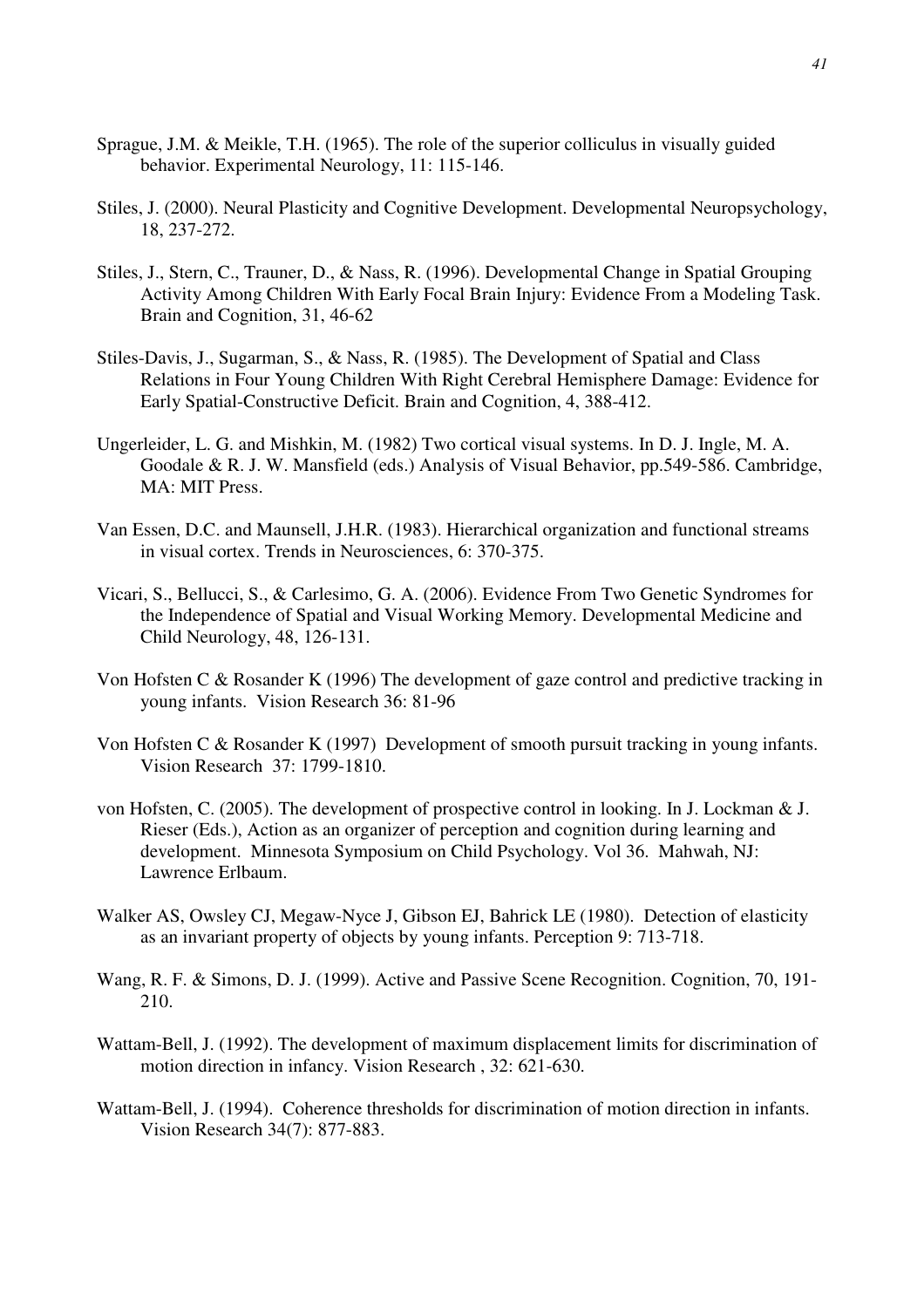- Sprague, J.M. & Meikle, T.H. (1965). The role of the superior colliculus in visually guided behavior. Experimental Neurology, 11: 115-146.
- Stiles, J. (2000). Neural Plasticity and Cognitive Development. Developmental Neuropsychology, 18, 237-272.
- Stiles, J., Stern, C., Trauner, D., & Nass, R. (1996). Developmental Change in Spatial Grouping Activity Among Children With Early Focal Brain Injury: Evidence From a Modeling Task. Brain and Cognition, 31, 46-62
- Stiles-Davis, J., Sugarman, S., & Nass, R. (1985). The Development of Spatial and Class Relations in Four Young Children With Right Cerebral Hemisphere Damage: Evidence for Early Spatial-Constructive Deficit. Brain and Cognition, 4, 388-412.
- Ungerleider, L. G. and Mishkin, M. (1982) Two cortical visual systems. In D. J. Ingle, M. A. Goodale & R. J. W. Mansfield (eds.) Analysis of Visual Behavior, pp.549-586. Cambridge, MA: MIT Press.
- Van Essen, D.C. and Maunsell, J.H.R. (1983). Hierarchical organization and functional streams in visual cortex. Trends in Neurosciences, 6: 370-375.
- Vicari, S., Bellucci, S., & Carlesimo, G. A. (2006). Evidence From Two Genetic Syndromes for the Independence of Spatial and Visual Working Memory. Developmental Medicine and Child Neurology, 48, 126-131.
- Von Hofsten C & Rosander K (1996) The development of gaze control and predictive tracking in young infants. Vision Research 36: 81-96
- Von Hofsten C & Rosander K (1997) Development of smooth pursuit tracking in young infants. Vision Research 37: 1799-1810.
- von Hofsten, C. (2005). The development of prospective control in looking. In J. Lockman & J. Rieser (Eds.), Action as an organizer of perception and cognition during learning and development. Minnesota Symposium on Child Psychology. Vol 36. Mahwah, NJ: Lawrence Erlbaum.
- Walker AS, Owsley CJ, Megaw-Nyce J, Gibson EJ, Bahrick LE (1980). Detection of elasticity as an invariant property of objects by young infants. Perception 9: 713-718.
- Wang, R. F. & Simons, D. J. (1999). Active and Passive Scene Recognition. Cognition, 70, 191- 210.
- Wattam-Bell, J. (1992). The development of maximum displacement limits for discrimination of motion direction in infancy. Vision Research , 32: 621-630.
- Wattam-Bell, J. (1994). Coherence thresholds for discrimination of motion direction in infants. Vision Research 34(7): 877-883.